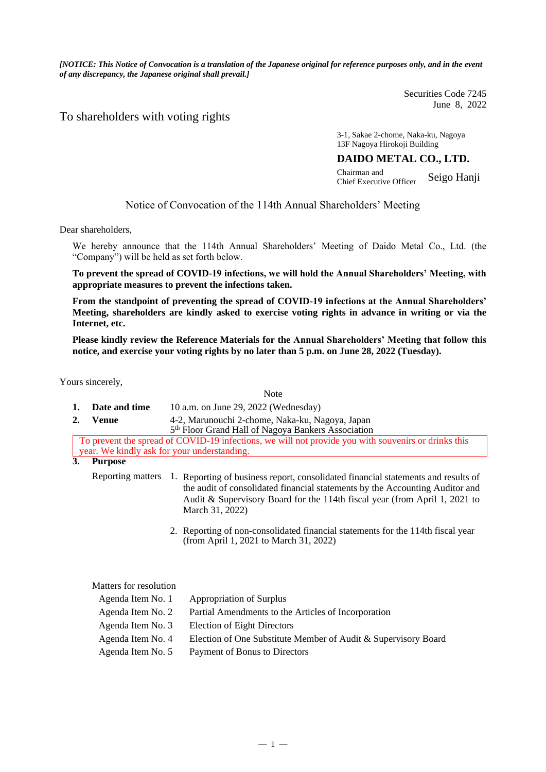*[NOTICE: This Notice of Convocation is a translation of the Japanese original for reference purposes only, and in the event of any discrepancy, the Japanese original shall prevail.]*

> Securities Code 7245 June 8, 2022

### To shareholders with voting rights

3-1, Sakae 2-chome, Naka-ku, Nagoya 13F Nagoya Hirokoji Building

### **DAIDO METAL CO., LTD.**

Chairman and Chief Executive Officer Seigo Hanji

### Notice of Convocation of the 114th Annual Shareholders' Meeting

Dear shareholders,

We hereby announce that the 114th Annual Shareholders' Meeting of Daido Metal Co., Ltd. (the "Company") will be held as set forth below.

**To prevent the spread of COVID-19 infections, we will hold the Annual Shareholders' Meeting, with appropriate measures to prevent the infections taken.**

**From the standpoint of preventing the spread of COVID-19 infections at the Annual Shareholders' Meeting, shareholders are kindly asked to exercise voting rights in advance in writing or via the Internet, etc.**

**Please kindly review the Reference Materials for the Annual Shareholders' Meeting that follow this notice, and exercise your voting rights by no later than 5 p.m. on June 28, 2022 (Tuesday).**

 $N_{\alpha\alpha}$ 

Yours sincerely,

|    |                        | 130W                                                                                                                                                                                                                                                                  |  |  |  |  |
|----|------------------------|-----------------------------------------------------------------------------------------------------------------------------------------------------------------------------------------------------------------------------------------------------------------------|--|--|--|--|
| 1. | Date and time          | 10 a.m. on June 29, 2022 (Wednesday)                                                                                                                                                                                                                                  |  |  |  |  |
| 2. | <b>Venue</b>           | 4-2, Marunouchi 2-chome, Naka-ku, Nagoya, Japan<br>5 <sup>th</sup> Floor Grand Hall of Nagoya Bankers Association                                                                                                                                                     |  |  |  |  |
|    |                        | To prevent the spread of COVID-19 infections, we will not provide you with souvenirs or drinks this                                                                                                                                                                   |  |  |  |  |
|    |                        | year. We kindly ask for your understanding.                                                                                                                                                                                                                           |  |  |  |  |
| 3. | <b>Purpose</b>         |                                                                                                                                                                                                                                                                       |  |  |  |  |
|    | Reporting matters      | Reporting of business report, consolidated financial statements and results of<br>1.<br>the audit of consolidated financial statements by the Accounting Auditor and<br>Audit & Supervisory Board for the 114th fiscal year (from April 1, 2021 to<br>March 31, 2022) |  |  |  |  |
|    |                        | 2. Reporting of non-consolidated financial statements for the 114th fiscal year<br>(from April 1, 2021 to March 31, 2022)                                                                                                                                             |  |  |  |  |
|    | Matters for resolution |                                                                                                                                                                                                                                                                       |  |  |  |  |
|    | Agenda Item No. 1      | Appropriation of Surplus                                                                                                                                                                                                                                              |  |  |  |  |
|    | Agenda Item No. 2      | Partial Amendments to the Articles of Incorporation                                                                                                                                                                                                                   |  |  |  |  |
|    | Agenda Item No. 3      | <b>Election of Eight Directors</b>                                                                                                                                                                                                                                    |  |  |  |  |
|    | Agenda Item No. 4      | Election of One Substitute Member of Audit & Supervisory Board                                                                                                                                                                                                        |  |  |  |  |
|    |                        |                                                                                                                                                                                                                                                                       |  |  |  |  |

Agenda Item No. 5 Payment of Bonus to Directors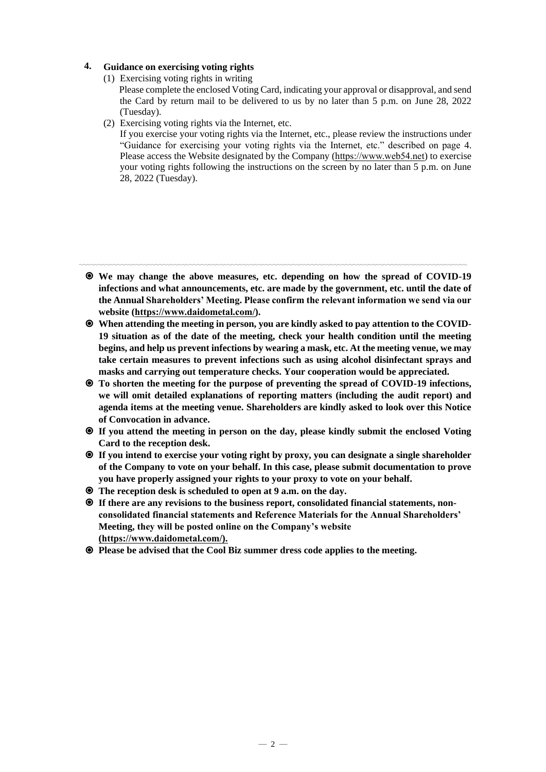### **4. Guidance on exercising voting rights**

- (1) Exercising voting rights in writing
	- Please complete the enclosed Voting Card, indicating your approval or disapproval, and send the Card by return mail to be delivered to us by no later than 5 p.m. on June 28, 2022 (Tuesday).
- (2) Exercising voting rights via the Internet, etc.

If you exercise your voting rights via the Internet, etc., please review the instructions under "Guidance for exercising your voting rights via the Internet, etc." described on page 4. Please access the Website designated by the Company [\(https://www.web54.net\)](https://www.web54.net/) to exercise your voting rights following the instructions on the screen by no later than 5 p.m. on June 28, 2022 (Tuesday).

〰〰〰〰〰〰〰〰〰〰〰〰〰〰〰〰〰〰〰〰〰〰〰〰〰〰〰〰〰〰〰〰〰〰〰〰〰〰〰〰〰〰〰〰〰〰〰〰〰〰〰 **We may change the above measures, etc. depending on how the spread of COVID-19 infections and what announcements, etc. are made by the government, etc. until the date of the Annual Shareholders' Meeting. Please confirm the relevant information we send via our website [\(https://www.daidometal.com/\)](https://www.daidometal.com/).**

- **When attending the meeting in person, you are kindly asked to pay attention to the COVID-19 situation as of the date of the meeting, check your health condition until the meeting begins, and help us prevent infections by wearing a mask, etc. At the meeting venue, we may take certain measures to prevent infections such as using alcohol disinfectant sprays and masks and carrying out temperature checks. Your cooperation would be appreciated.**
- **To shorten the meeting for the purpose of preventing the spread of COVID-19 infections, we will omit detailed explanations of reporting matters (including the audit report) and agenda items at the meeting venue. Shareholders are kindly asked to look over this Notice of Convocation in advance.**
- **If you attend the meeting in person on the day, please kindly submit the enclosed Voting Card to the reception desk.**
- **If you intend to exercise your voting right by proxy, you can designate a single shareholder of the Company to vote on your behalf. In this case, please submit documentation to prove you have properly assigned your rights to your proxy to vote on your behalf.**
- **The reception desk is scheduled to open at 9 a.m. on the day.**
- **If there are any revisions to the business report, consolidated financial statements, nonconsolidated financial statements and Reference Materials for the Annual Shareholders' Meeting, they will be posted online on the Company's website [\(https://www.daidometal.com/\)](https://www.daidometal.com/).**
- **Please be advised that the Cool Biz summer dress code applies to the meeting.**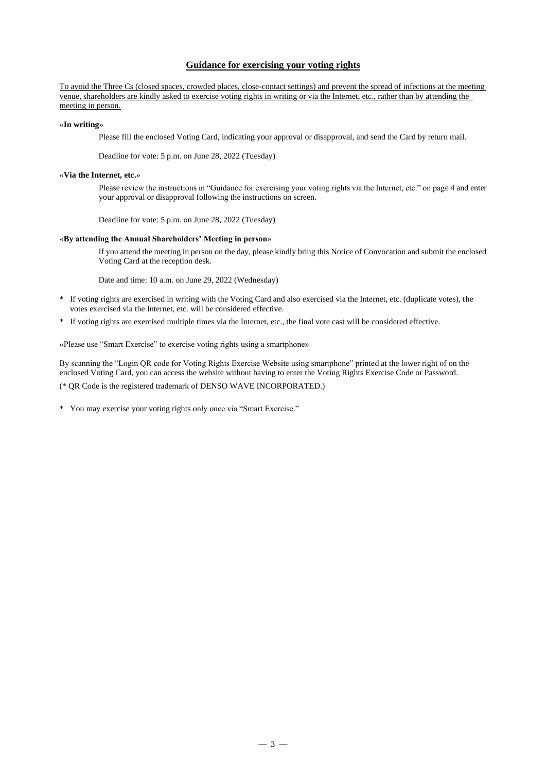### **Guidance for exercising your voting rights**

To avoid the Three Cs (closed spaces, crowded places, close-contact settings) and prevent the spread of infections at the meeting venue, shareholders are kindly asked to exercise voting rights in writing or via the Internet, etc., rather than by attending the meeting in person.

### «**In writing**»

Please fill the enclosed Voting Card, indicating your approval or disapproval, and send the Card by return mail.

Deadline for vote: 5 p.m. on June 28, 2022 (Tuesday)

### «**Via the Internet, etc.**»

Please review the instructions in "Guidance for exercising your voting rights via the Internet, etc." on page 4 and enter your approval or disapproval following the instructions on screen.

Deadline for vote: 5 p.m. on June 28, 2022 (Tuesday)

### «**By attending the Annual Shareholders' Meeting in person**»

If you attend the meeting in person on the day, please kindly bring this Notice of Convocation and submit the enclosed Voting Card at the reception desk.

Date and time: 10 a.m. on June 29, 2022 (Wednesday)

- \* If voting rights are exercised in writing with the Voting Card and also exercised via the Internet, etc. (duplicate votes), the votes exercised via the Internet, etc. will be considered effective.
- \* If voting rights are exercised multiple times via the Internet, etc., the final vote cast will be considered effective.

«Please use "Smart Exercise" to exercise voting rights using a smartphone»

By scanning the "Login QR code for Voting Rights Exercise Website using smartphone" printed at the lower right of on the enclosed Voting Card, you can access the website without having to enter the Voting Rights Exercise Code or Password. (\* QR Code is the registered trademark of DENSO WAVE INCORPORATED.)

\* You may exercise your voting rights only once via "Smart Exercise."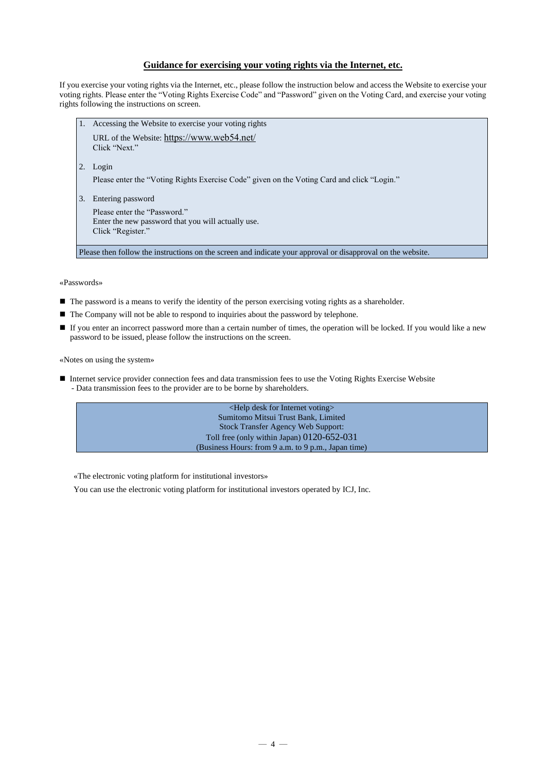### **Guidance for exercising your voting rights via the Internet, etc.**

If you exercise your voting rights via the Internet, etc., please follow the instruction below and access the Website to exercise your voting rights. Please enter the "Voting Rights Exercise Code" and "Password" given on the Voting Card, and exercise your voting rights following the instructions on screen.

- 1. Accessing the Website to exercise your voting rights
	- URL of the Website: <https://www.web54.net/> Click "Next."
- 2. Login

Please enter the "Voting Rights Exercise Code" given on the Voting Card and click "Login."

3. Entering password

```
Please enter the "Password."
Enter the new password that you will actually use.
Click "Register."
```
Please then follow the instructions on the screen and indicate your approval or disapproval on the website.

«Passwords»

- The password is a means to verify the identity of the person exercising voting rights as a shareholder.
- The Company will not be able to respond to inquiries about the password by telephone.
- If you enter an incorrect password more than a certain number of times, the operation will be locked. If you would like a new password to be issued, please follow the instructions on the screen.

«Notes on using the system»

■ Internet service provider connection fees and data transmission fees to use the Voting Rights Exercise Website - Data transmission fees to the provider are to be borne by shareholders.



«The electronic voting platform for institutional investors»

You can use the electronic voting platform for institutional investors operated by ICJ, Inc.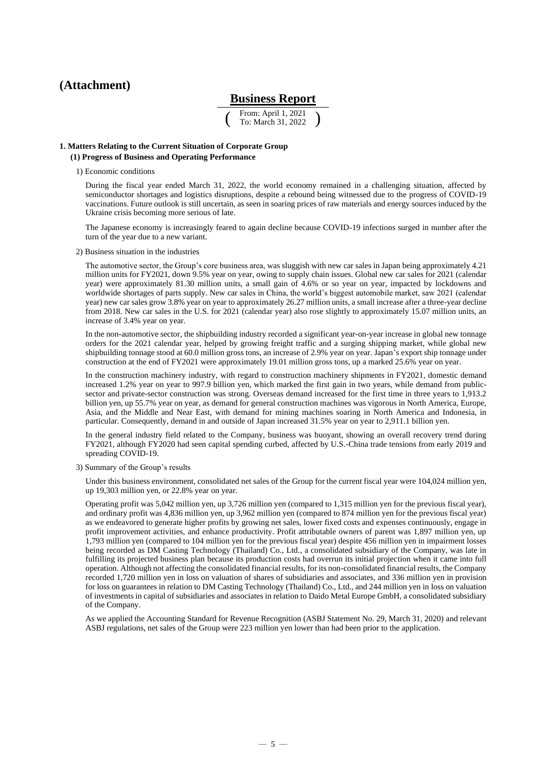### **(Attachment)**

### **Business Report**

( From: April 1, 2021 To: March 31, 2022 )

### **1. Matters Relating to the Current Situation of Corporate Group (1) Progress of Business and Operating Performance**

1) Economic conditions

During the fiscal year ended March 31, 2022, the world economy remained in a challenging situation, affected by semiconductor shortages and logistics disruptions, despite a rebound being witnessed due to the progress of COVID-19 vaccinations. Future outlook is still uncertain, as seen in soaring prices of raw materials and energy sources induced by the Ukraine crisis becoming more serious of late.

The Japanese economy is increasingly feared to again decline because COVID-19 infections surged in number after the turn of the year due to a new variant.

2) Business situation in the industries

The automotive sector, the Group's core business area, was sluggish with new car sales in Japan being approximately 4.21 million units for FY2021, down 9.5% year on year, owing to supply chain issues. Global new car sales for 2021 (calendar year) were approximately 81.30 million units, a small gain of 4.6% or so year on year, impacted by lockdowns and worldwide shortages of parts supply. New car sales in China, the world's biggest automobile market, saw 2021 (calendar year) new car sales grow 3.8% year on year to approximately 26.27 million units, a small increase after a three-year decline from 2018. New car sales in the U.S. for 2021 (calendar year) also rose slightly to approximately 15.07 million units, an increase of 3.4% year on year.

In the non-automotive sector, the shipbuilding industry recorded a significant year-on-year increase in global new tonnage orders for the 2021 calendar year, helped by growing freight traffic and a surging shipping market, while global new shipbuilding tonnage stood at 60.0 million gross tons, an increase of 2.9% year on year. Japan's export ship tonnage under construction at the end of FY2021 were approximately 19.01 million gross tons, up a marked 25.6% year on year.

In the construction machinery industry, with regard to construction machinery shipments in FY2021, domestic demand increased 1.2% year on year to 997.9 billion yen, which marked the first gain in two years, while demand from publicsector and private-sector construction was strong. Overseas demand increased for the first time in three years to 1,913.2 billion yen, up 55.7% year on year, as demand for general construction machines was vigorous in North America, Europe, Asia, and the Middle and Near East, with demand for mining machines soaring in North America and Indonesia, in particular. Consequently, demand in and outside of Japan increased 31.5% year on year to 2,911.1 billion yen.

In the general industry field related to the Company, business was buoyant, showing an overall recovery trend during FY2021, although FY2020 had seen capital spending curbed, affected by U.S.-China trade tensions from early 2019 and spreading COVID-19.

3) Summary of the Group's results

Under this business environment, consolidated net sales of the Group for the current fiscal year were 104,024 million yen, up 19,303 million yen, or 22.8% year on year.

Operating profit was 5,042 million yen, up 3,726 million yen (compared to 1,315 million yen for the previous fiscal year), and ordinary profit was 4,836 million yen, up 3,962 million yen (compared to 874 million yen for the previous fiscal year) as we endeavored to generate higher profits by growing net sales, lower fixed costs and expenses continuously, engage in profit improvement activities, and enhance productivity. Profit attributable owners of parent was 1,897 million yen, up 1,793 million yen (compared to 104 million yen for the previous fiscal year) despite 456 million yen in impairment losses being recorded as DM Casting Technology (Thailand) Co., Ltd., a consolidated subsidiary of the Company, was late in fulfilling its projected business plan because its production costs had overrun its initial projection when it came into full operation. Although not affecting the consolidated financial results, for its non-consolidated financial results, the Company recorded 1,720 million yen in loss on valuation of shares of subsidiaries and associates, and 336 million yen in provision for loss on guarantees in relation to DM Casting Technology (Thailand) Co., Ltd., and 244 million yen in loss on valuation of investments in capital of subsidiaries and associates in relation to Daido Metal Europe GmbH, a consolidated subsidiary of the Company.

As we applied the Accounting Standard for Revenue Recognition (ASBJ Statement No. 29, March 31, 2020) and relevant ASBJ regulations, net sales of the Group were 223 million yen lower than had been prior to the application.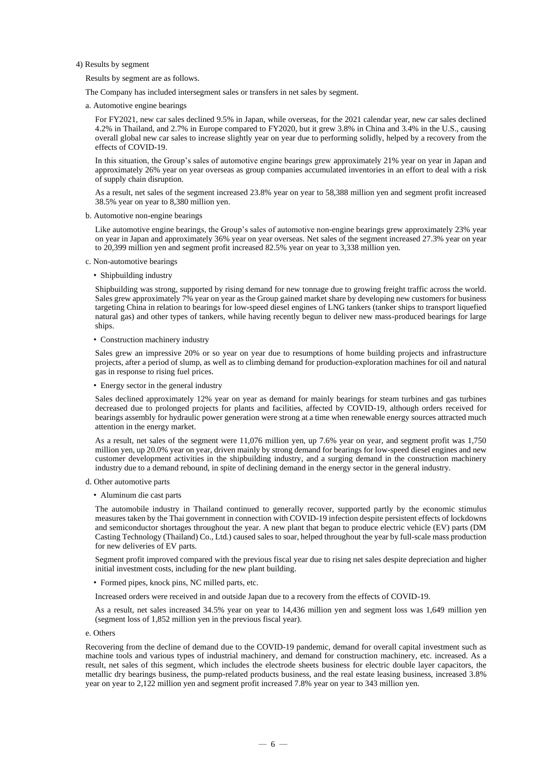4) Results by segment

Results by segment are as follows.

The Company has included intersegment sales or transfers in net sales by segment.

a. Automotive engine bearings

For FY2021, new car sales declined 9.5% in Japan, while overseas, for the 2021 calendar year, new car sales declined 4.2% in Thailand, and 2.7% in Europe compared to FY2020, but it grew 3.8% in China and 3.4% in the U.S., causing overall global new car sales to increase slightly year on year due to performing solidly, helped by a recovery from the effects of COVID-19.

In this situation, the Group's sales of automotive engine bearings grew approximately 21% year on year in Japan and approximately 26% year on year overseas as group companies accumulated inventories in an effort to deal with a risk of supply chain disruption.

As a result, net sales of the segment increased 23.8% year on year to 58,388 million yen and segment profit increased 38.5% year on year to 8,380 million yen.

b. Automotive non-engine bearings

Like automotive engine bearings, the Group's sales of automotive non-engine bearings grew approximately 23% year on year in Japan and approximately 36% year on year overseas. Net sales of the segment increased 27.3% year on year to 20,399 million yen and segment profit increased 82.5% year on year to 3,338 million yen.

- c. Non-automotive bearings
	- Shipbuilding industry

Shipbuilding was strong, supported by rising demand for new tonnage due to growing freight traffic across the world. Sales grew approximately 7% year on year as the Group gained market share by developing new customers for business targeting China in relation to bearings for low-speed diesel engines of LNG tankers (tanker ships to transport liquefied natural gas) and other types of tankers, while having recently begun to deliver new mass-produced bearings for large ships.

• Construction machinery industry

Sales grew an impressive 20% or so year on year due to resumptions of home building projects and infrastructure projects, after a period of slump, as well as to climbing demand for production-exploration machines for oil and natural gas in response to rising fuel prices.

• Energy sector in the general industry

Sales declined approximately 12% year on year as demand for mainly bearings for steam turbines and gas turbines decreased due to prolonged projects for plants and facilities, affected by COVID-19, although orders received for bearings assembly for hydraulic power generation were strong at a time when renewable energy sources attracted much attention in the energy market.

As a result, net sales of the segment were 11,076 million yen, up 7.6% year on year, and segment profit was 1,750 million yen, up 20.0% year on year, driven mainly by strong demand for bearings for low-speed diesel engines and new customer development activities in the shipbuilding industry, and a surging demand in the construction machinery industry due to a demand rebound, in spite of declining demand in the energy sector in the general industry.

- d. Other automotive parts
	- Aluminum die cast parts

The automobile industry in Thailand continued to generally recover, supported partly by the economic stimulus measures taken by the Thai government in connection with COVID-19 infection despite persistent effects of lockdowns and semiconductor shortages throughout the year. A new plant that began to produce electric vehicle (EV) parts (DM Casting Technology (Thailand) Co., Ltd.) caused sales to soar, helped throughout the year by full-scale mass production for new deliveries of EV parts.

Segment profit improved compared with the previous fiscal year due to rising net sales despite depreciation and higher initial investment costs, including for the new plant building.

• Formed pipes, knock pins, NC milled parts, etc.

Increased orders were received in and outside Japan due to a recovery from the effects of COVID-19.

As a result, net sales increased 34.5% year on year to 14,436 million yen and segment loss was 1,649 million yen (segment loss of 1,852 million yen in the previous fiscal year).

e. Others

Recovering from the decline of demand due to the COVID-19 pandemic, demand for overall capital investment such as machine tools and various types of industrial machinery, and demand for construction machinery, etc. increased. As a result, net sales of this segment, which includes the electrode sheets business for electric double layer capacitors, the metallic dry bearings business, the pump-related products business, and the real estate leasing business, increased 3.8% year on year to 2,122 million yen and segment profit increased 7.8% year on year to 343 million yen.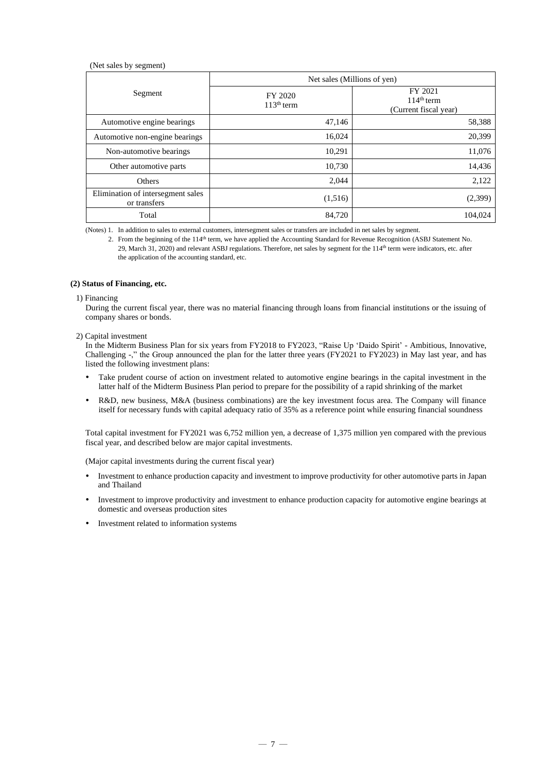### (Net sales by segment)

|                                                   | Net sales (Millions of yen) |                                                  |  |  |
|---------------------------------------------------|-----------------------------|--------------------------------------------------|--|--|
| Segment                                           | FY 2020<br>$113th$ term     | FY 2021<br>$114th$ term<br>(Current fiscal year) |  |  |
| Automotive engine bearings                        | 47,146                      | 58,388                                           |  |  |
| Automotive non-engine bearings                    | 16,024                      | 20,399                                           |  |  |
| Non-automotive bearings                           | 10,291                      | 11,076                                           |  |  |
| Other automotive parts                            | 10,730                      | 14,436                                           |  |  |
| <b>Others</b>                                     | 2,044                       | 2,122                                            |  |  |
| Elimination of intersegment sales<br>or transfers | (1,516)                     | (2,399)                                          |  |  |
| Total                                             | 84,720                      | 104,024                                          |  |  |

(Notes) 1. In addition to sales to external customers, intersegment sales or transfers are included in net sales by segment.

2. From the beginning of the 114<sup>th</sup> term, we have applied the Accounting Standard for Revenue Recognition (ASBJ Statement No. 29, March 31, 2020) and relevant ASBJ regulations. Therefore, net sales by segment for the 114<sup>th</sup> term were indicators, etc. after the application of the accounting standard, etc.

### **(2) Status of Financing, etc.**

#### 1) Financing

During the current fiscal year, there was no material financing through loans from financial institutions or the issuing of company shares or bonds.

#### 2) Capital investment

In the Midterm Business Plan for six years from FY2018 to FY2023, "Raise Up 'Daido Spirit' - Ambitious, Innovative, Challenging -," the Group announced the plan for the latter three years (FY2021 to FY2023) in May last year, and has listed the following investment plans:

- Take prudent course of action on investment related to automotive engine bearings in the capital investment in the latter half of the Midterm Business Plan period to prepare for the possibility of a rapid shrinking of the market
- R&D, new business, M&A (business combinations) are the key investment focus area. The Company will finance itself for necessary funds with capital adequacy ratio of 35% as a reference point while ensuring financial soundness

Total capital investment for FY2021 was 6,752 million yen, a decrease of 1,375 million yen compared with the previous fiscal year, and described below are major capital investments.

(Major capital investments during the current fiscal year)

- Investment to enhance production capacity and investment to improve productivity for other automotive parts in Japan and Thailand
- Investment to improve productivity and investment to enhance production capacity for automotive engine bearings at domestic and overseas production sites
- Investment related to information systems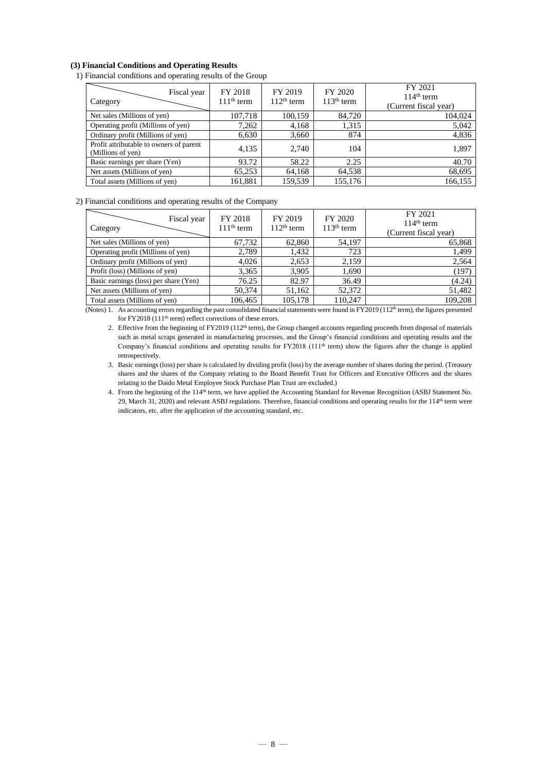### **(3) Financial Conditions and Operating Results**

### 1) Financial conditions and operating results of the Group

| Fiscal year<br>Category                                      | FY 2018<br>$111th$ term | FY 2019<br>$112th$ term | FY 2020<br>$113th$ term | FY 2021<br>$114th$ term<br>(Current fiscal year) |
|--------------------------------------------------------------|-------------------------|-------------------------|-------------------------|--------------------------------------------------|
| Net sales (Millions of yen)                                  | 107,718                 | 100,159                 | 84,720                  | 104,024                                          |
| Operating profit (Millions of yen)                           | 7,262                   | 4,168                   | 1,315                   | 5,042                                            |
| Ordinary profit (Millions of yen)                            | 6,630                   | 3,660                   | 874                     | 4,836                                            |
| Profit attributable to owners of parent<br>(Millions of yen) | 4,135                   | 2,740                   | 104                     | 1,897                                            |
| Basic earnings per share (Yen)                               | 93.72                   | 58.22                   | 2.25                    | 40.70                                            |
| Net assets (Millions of yen)                                 | 65,253                  | 64,168                  | 64,538                  | 68,695                                           |
| Total assets (Millions of yen)                               | 161,881                 | 159,539                 | 155,176                 | 166,155                                          |

### 2) Financial conditions and operating results of the Company

| Fiscal year<br>Category               | FY 2018<br>$111th$ term | FY 2019<br>$112th$ term | FY 2020<br>$113th$ term | FY 2021<br>$114th$ term<br>(Current fiscal year) |
|---------------------------------------|-------------------------|-------------------------|-------------------------|--------------------------------------------------|
| Net sales (Millions of yen)           | 67,732                  | 62,860                  | 54,197                  | 65,868                                           |
| Operating profit (Millions of yen)    | 2,789                   | 1,432                   | 723                     | 1,499                                            |
| Ordinary profit (Millions of yen)     | 4,026                   | 2,653                   | 2,159                   | 2,564                                            |
| Profit (loss) (Millions of yen)       | 3,365                   | 3,905                   | 1,690                   | (197)                                            |
| Basic earnings (loss) per share (Yen) | 76.25                   | 82.97                   | 36.49                   | (4.24)                                           |
| Net assets (Millions of yen)          | 50,374                  | 51,162                  | 52,372                  | 51,482                                           |
| Total assets (Millions of yen)        | 106,465                 | 105,178                 | 110,247                 | 109,208                                          |

(Notes) 1. As accounting errors regarding the past consolidated financial statements were found in FY2019 ( $112<sup>th</sup>$  term), the figures presented for FY2018 (111th term) reflect corrections of these errors.

- 2. Effective from the beginning of FY2019 (112<sup>th</sup> term), the Group changed accounts regarding proceeds from disposal of materials such as metal scraps generated in manufacturing processes, and the Group's financial conditions and operating results and the Company's financial conditions and operating results for FY2018 (111<sup>th</sup> term) show the figures after the change is applied retrospectively.
- 3. Basic earnings (loss) per share is calculated by dividing profit (loss) by the average number of shares during the period. (Treasury shares and the shares of the Company relating to the Board Benefit Trust for Officers and Executive Officers and the shares relating to the Daido Metal Employee Stock Purchase Plan Trust are excluded.)
- 4. From the beginning of the 114th term, we have applied the Accounting Standard for Revenue Recognition (ASBJ Statement No. 29, March 31, 2020) and relevant ASBJ regulations. Therefore, financial conditions and operating results for the 114<sup>th</sup> term were indicators, etc. after the application of the accounting standard, etc.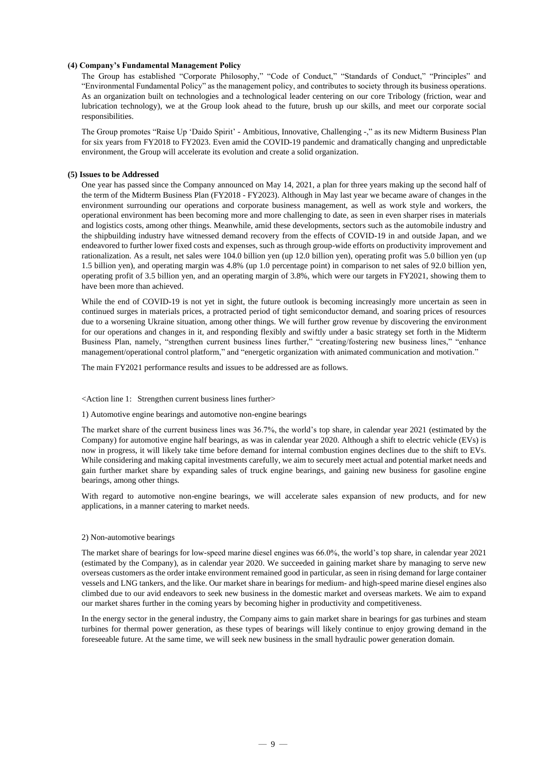### **(4) Company's Fundamental Management Policy**

The Group has established "Corporate Philosophy," "Code of Conduct," "Standards of Conduct," "Principles" and "Environmental Fundamental Policy" as the management policy, and contributes to society through its business operations. As an organization built on technologies and a technological leader centering on our core Tribology (friction, wear and lubrication technology), we at the Group look ahead to the future, brush up our skills, and meet our corporate social responsibilities.

The Group promotes "Raise Up 'Daido Spirit' - Ambitious, Innovative, Challenging -," as its new Midterm Business Plan for six years from FY2018 to FY2023. Even amid the COVID-19 pandemic and dramatically changing and unpredictable environment, the Group will accelerate its evolution and create a solid organization.

#### **(5) Issues to be Addressed**

One year has passed since the Company announced on May 14, 2021, a plan for three years making up the second half of the term of the Midterm Business Plan (FY2018 - FY2023). Although in May last year we became aware of changes in the environment surrounding our operations and corporate business management, as well as work style and workers, the operational environment has been becoming more and more challenging to date, as seen in even sharper rises in materials and logistics costs, among other things. Meanwhile, amid these developments, sectors such as the automobile industry and the shipbuilding industry have witnessed demand recovery from the effects of COVID-19 in and outside Japan, and we endeavored to further lower fixed costs and expenses, such as through group-wide efforts on productivity improvement and rationalization. As a result, net sales were 104.0 billion yen (up 12.0 billion yen), operating profit was 5.0 billion yen (up 1.5 billion yen), and operating margin was 4.8% (up 1.0 percentage point) in comparison to net sales of 92.0 billion yen, operating profit of 3.5 billion yen, and an operating margin of 3.8%, which were our targets in FY2021, showing them to have been more than achieved.

While the end of COVID-19 is not yet in sight, the future outlook is becoming increasingly more uncertain as seen in continued surges in materials prices, a protracted period of tight semiconductor demand, and soaring prices of resources due to a worsening Ukraine situation, among other things. We will further grow revenue by discovering the environment for our operations and changes in it, and responding flexibly and swiftly under a basic strategy set forth in the Midterm Business Plan, namely, "strengthen current business lines further," "creating/fostering new business lines," "enhance management/operational control platform," and "energetic organization with animated communication and motivation."

The main FY2021 performance results and issues to be addressed are as follows.

#### <Action line 1: Strengthen current business lines further>

1) Automotive engine bearings and automotive non-engine bearings

The market share of the current business lines was 36.7%, the world's top share, in calendar year 2021 (estimated by the Company) for automotive engine half bearings, as was in calendar year 2020. Although a shift to electric vehicle (EVs) is now in progress, it will likely take time before demand for internal combustion engines declines due to the shift to EVs. While considering and making capital investments carefully, we aim to securely meet actual and potential market needs and gain further market share by expanding sales of truck engine bearings, and gaining new business for gasoline engine bearings, among other things.

With regard to automotive non-engine bearings, we will accelerate sales expansion of new products, and for new applications, in a manner catering to market needs.

### 2) Non-automotive bearings

The market share of bearings for low-speed marine diesel engines was 66.0%, the world's top share, in calendar year 2021 (estimated by the Company), as in calendar year 2020. We succeeded in gaining market share by managing to serve new overseas customers as the order intake environment remained good in particular, as seen in rising demand for large container vessels and LNG tankers, and the like. Our market share in bearings for medium- and high-speed marine diesel engines also climbed due to our avid endeavors to seek new business in the domestic market and overseas markets. We aim to expand our market shares further in the coming years by becoming higher in productivity and competitiveness.

In the energy sector in the general industry, the Company aims to gain market share in bearings for gas turbines and steam turbines for thermal power generation, as these types of bearings will likely continue to enjoy growing demand in the foreseeable future. At the same time, we will seek new business in the small hydraulic power generation domain.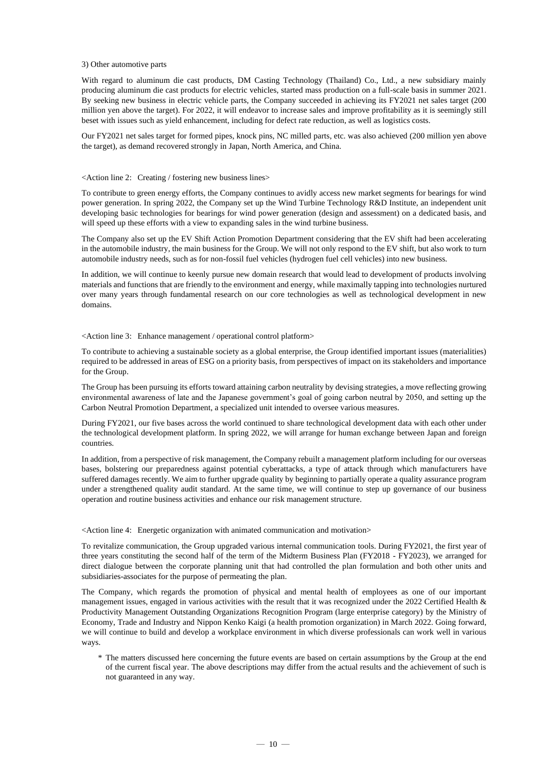#### 3) Other automotive parts

With regard to aluminum die cast products, DM Casting Technology (Thailand) Co., Ltd., a new subsidiary mainly producing aluminum die cast products for electric vehicles, started mass production on a full-scale basis in summer 2021. By seeking new business in electric vehicle parts, the Company succeeded in achieving its FY2021 net sales target (200 million yen above the target). For 2022, it will endeavor to increase sales and improve profitability as it is seemingly still beset with issues such as yield enhancement, including for defect rate reduction, as well as logistics costs.

Our FY2021 net sales target for formed pipes, knock pins, NC milled parts, etc. was also achieved (200 million yen above the target), as demand recovered strongly in Japan, North America, and China.

<Action line 2: Creating / fostering new business lines>

To contribute to green energy efforts, the Company continues to avidly access new market segments for bearings for wind power generation. In spring 2022, the Company set up the Wind Turbine Technology R&D Institute, an independent unit developing basic technologies for bearings for wind power generation (design and assessment) on a dedicated basis, and will speed up these efforts with a view to expanding sales in the wind turbine business.

The Company also set up the EV Shift Action Promotion Department considering that the EV shift had been accelerating in the automobile industry, the main business for the Group. We will not only respond to the EV shift, but also work to turn automobile industry needs, such as for non-fossil fuel vehicles (hydrogen fuel cell vehicles) into new business.

In addition, we will continue to keenly pursue new domain research that would lead to development of products involving materials and functions that are friendly to the environment and energy, while maximally tapping into technologies nurtured over many years through fundamental research on our core technologies as well as technological development in new domains.

<Action line 3: Enhance management / operational control platform>

To contribute to achieving a sustainable society as a global enterprise, the Group identified important issues (materialities) required to be addressed in areas of ESG on a priority basis, from perspectives of impact on its stakeholders and importance for the Group.

The Group has been pursuing its efforts toward attaining carbon neutrality by devising strategies, a move reflecting growing environmental awareness of late and the Japanese government's goal of going carbon neutral by 2050, and setting up the Carbon Neutral Promotion Department, a specialized unit intended to oversee various measures.

During FY2021, our five bases across the world continued to share technological development data with each other under the technological development platform. In spring 2022, we will arrange for human exchange between Japan and foreign countries.

In addition, from a perspective of risk management, the Company rebuilt a management platform including for our overseas bases, bolstering our preparedness against potential cyberattacks, a type of attack through which manufacturers have suffered damages recently. We aim to further upgrade quality by beginning to partially operate a quality assurance program under a strengthened quality audit standard. At the same time, we will continue to step up governance of our business operation and routine business activities and enhance our risk management structure.

### <Action line 4: Energetic organization with animated communication and motivation>

To revitalize communication, the Group upgraded various internal communication tools. During FY2021, the first year of three years constituting the second half of the term of the Midterm Business Plan (FY2018 - FY2023), we arranged for direct dialogue between the corporate planning unit that had controlled the plan formulation and both other units and subsidiaries-associates for the purpose of permeating the plan.

The Company, which regards the promotion of physical and mental health of employees as one of our important management issues, engaged in various activities with the result that it was recognized under the 2022 Certified Health  $\&$ Productivity Management Outstanding Organizations Recognition Program (large enterprise category) by the Ministry of Economy, Trade and Industry and Nippon Kenko Kaigi (a health promotion organization) in March 2022. Going forward, we will continue to build and develop a workplace environment in which diverse professionals can work well in various ways.

\* The matters discussed here concerning the future events are based on certain assumptions by the Group at the end of the current fiscal year. The above descriptions may differ from the actual results and the achievement of such is not guaranteed in any way.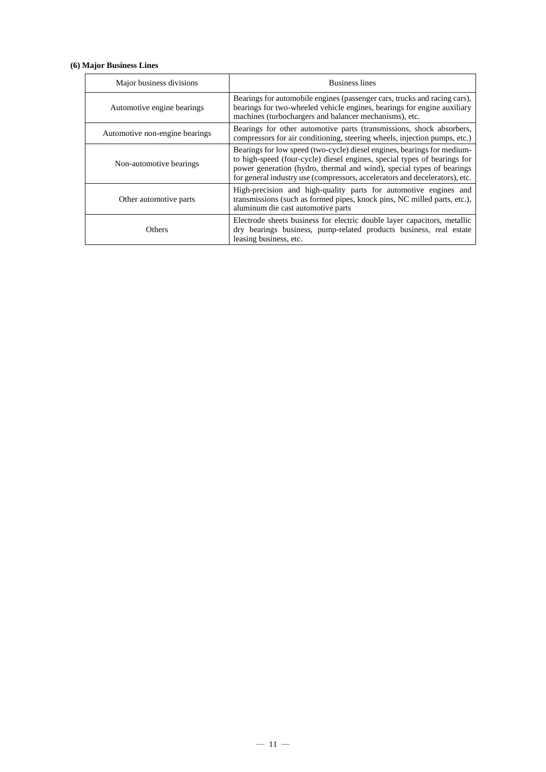### **(6) Major Business Lines**

| Major business divisions       | <b>Business lines</b>                                                                                                                                                                                                                                                                                       |
|--------------------------------|-------------------------------------------------------------------------------------------------------------------------------------------------------------------------------------------------------------------------------------------------------------------------------------------------------------|
| Automotive engine bearings     | Bearings for automobile engines (passenger cars, trucks and racing cars),<br>bearings for two-wheeled vehicle engines, bearings for engine auxiliary<br>machines (turbochargers and balancer mechanisms), etc.                                                                                              |
| Automotive non-engine bearings | Bearings for other automotive parts (transmissions, shock absorbers,<br>compressors for air conditioning, steering wheels, injection pumps, etc.)                                                                                                                                                           |
| Non-automotive bearings        | Bearings for low speed (two-cycle) diesel engines, bearings for medium-<br>to high-speed (four-cycle) diesel engines, special types of bearings for<br>power generation (hydro, thermal and wind), special types of bearings<br>for general industry use (compressors, accelerators and decelerators), etc. |
| Other automotive parts         | High-precision and high-quality parts for automotive engines and<br>transmissions (such as formed pipes, knock pins, NC milled parts, etc.),<br>aluminum die cast automotive parts                                                                                                                          |
| Others                         | Electrode sheets business for electric double layer capacitors, metallic<br>dry bearings business, pump-related products business, real estate<br>leasing business, etc.                                                                                                                                    |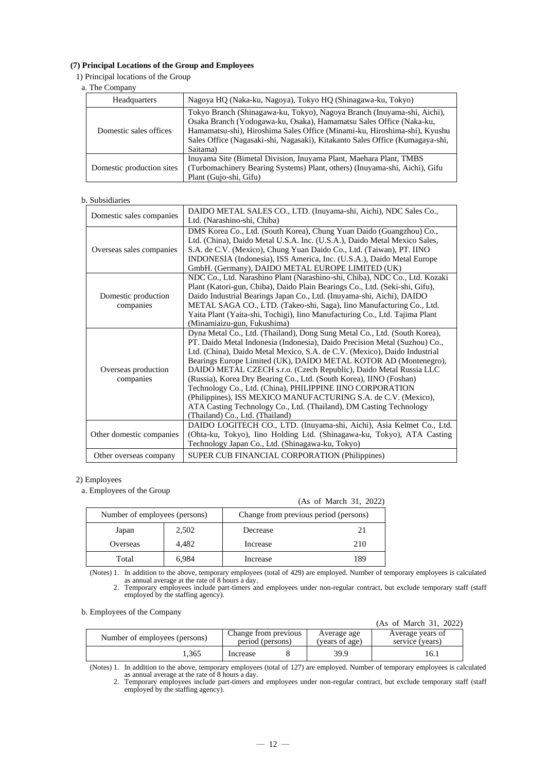### **(7) Principal Locations of the Group and Employees**

1) Principal locations of the Group

### a. The Company

| Headquarters              | Nagoya HQ (Naka-ku, Nagoya), Tokyo HQ (Shinagawa-ku, Tokyo)                                                                                                                                                                                                                                                             |
|---------------------------|-------------------------------------------------------------------------------------------------------------------------------------------------------------------------------------------------------------------------------------------------------------------------------------------------------------------------|
| Domestic sales offices    | Tokyo Branch (Shinagawa-ku, Tokyo), Nagoya Branch (Inuyama-shi, Aichi),<br>Osaka Branch (Yodogawa-ku, Osaka), Hamamatsu Sales Office (Naka-ku,<br>Hamamatsu-shi), Hiroshima Sales Office (Minami-ku, Hiroshima-shi), Kyushu<br>Sales Office (Nagasaki-shi, Nagasaki), Kitakanto Sales Office (Kumagaya-shi,<br>Saitama) |
| Domestic production sites | Inuyama Site (Bimetal Division, Inuyama Plant, Maehara Plant, TMBS<br>(Turbomachinery Bearing Systems) Plant, others) (Inuyama-shi, Aichi), Gifu<br>Plant (Gujo-shi, Gifu)                                                                                                                                              |

### b. Subsidiaries

| Domestic sales companies         | DAIDO METAL SALES CO., LTD. (Inuyama-shi, Aichi), NDC Sales Co.,<br>Ltd. (Narashino-shi, Chiba)                                                                                                                                                                                                                                                                                                                                                                                                                                                                                                                                                                                             |
|----------------------------------|---------------------------------------------------------------------------------------------------------------------------------------------------------------------------------------------------------------------------------------------------------------------------------------------------------------------------------------------------------------------------------------------------------------------------------------------------------------------------------------------------------------------------------------------------------------------------------------------------------------------------------------------------------------------------------------------|
| Overseas sales companies         | DMS Korea Co., Ltd. (South Korea), Chung Yuan Daido (Guangzhou) Co.,<br>Ltd. (China), Daido Metal U.S.A. Inc. (U.S.A.), Daido Metal Mexico Sales,<br>S.A. de C.V. (Mexico), Chung Yuan Daido Co., Ltd. (Taiwan), PT. IINO<br>INDONESIA (Indonesia), ISS America, Inc. (U.S.A.), Daido Metal Europe<br>GmbH. (Germany), DAIDO METAL EUROPE LIMITED (UK)                                                                                                                                                                                                                                                                                                                                      |
| Domestic production<br>companies | NDC Co., Ltd. Narashino Plant (Narashino-shi, Chiba), NDC Co., Ltd. Kozaki<br>Plant (Katori-gun, Chiba), Daido Plain Bearings Co., Ltd. (Seki-shi, Gifu),<br>Daido Industrial Bearings Japan Co., Ltd. (Inuyama-shi, Aichi), DAIDO<br>METAL SAGA CO., LTD. (Takeo-shi, Saga), Iino Manufacturing Co., Ltd.<br>Yaita Plant (Yaita-shi, Tochigi), Iino Manufacturing Co., Ltd. Tajima Plant<br>(Minamiaizu-gun, Fukushima)                                                                                                                                                                                                                                                                    |
| Overseas production<br>companies | Dyna Metal Co., Ltd. (Thailand), Dong Sung Metal Co., Ltd. (South Korea),<br>PT. Daido Metal Indonesia (Indonesia), Daido Precision Metal (Suzhou) Co.,<br>Ltd. (China), Daido Metal Mexico, S.A. de C.V. (Mexico), Daido Industrial<br>Bearings Europe Limited (UK), DAIDO METAL KOTOR AD (Montenegro),<br>DAIDO METAL CZECH s.r.o. (Czech Republic), Daido Metal Russia LLC<br>(Russia), Korea Dry Bearing Co., Ltd. (South Korea), IINO (Foshan)<br>Technology Co., Ltd. (China), PHILIPPINE IINO CORPORATION<br>(Philippines), ISS MEXICO MANUFACTURING S.A. de C.V. (Mexico),<br>ATA Casting Technology Co., Ltd. (Thailand), DM Casting Technology<br>(Thailand) Co., Ltd. (Thailand) |
| Other domestic companies         | DAIDO LOGITECH CO., LTD. (Inuyama-shi, Aichi), Asia Kelmet Co., Ltd.<br>(Ohta-ku, Tokyo), Iino Holding Ltd. (Shinagawa-ku, Tokyo), ATA Casting<br>Technology Japan Co., Ltd. (Shinagawa-ku, Tokyo)                                                                                                                                                                                                                                                                                                                                                                                                                                                                                          |
| Other overseas company           | SUPER CUB FINANCIAL CORPORATION (Philippines)                                                                                                                                                                                                                                                                                                                                                                                                                                                                                                                                                                                                                                               |

### 2) Employees

a. Employees of the Group

|                               |       |                                       | (As of March 31, 2022) |
|-------------------------------|-------|---------------------------------------|------------------------|
| Number of employees (persons) |       | Change from previous period (persons) |                        |
| Japan                         | 2,502 | Decrease                              | 21                     |
| Overseas                      | 4.482 | Increase                              | 210                    |
| Total                         | 6,984 | Increase                              | 189                    |

(Notes) 1. In addition to the above, temporary employees (total of 429) are employed. Number of temporary employees is calculated as annual average at the rate of 8 hours a day. 2. Temporary employees include part-timers and employees under non-regular contract, but exclude temporary staff (staff

employed by the staffing agency).

b. Employees of the Company

|                               |                                          |  |                               | (As of March 31, 2022)              |
|-------------------------------|------------------------------------------|--|-------------------------------|-------------------------------------|
| Number of employees (persons) | Change from previous<br>period (persons) |  | Average age<br>(years of age) | Average years of<br>service (years) |
| 1.365                         | Increase                                 |  | 39.9                          | 16.1                                |

(Notes) 1. In addition to the above, temporary employees (total of 127) are employed. Number of temporary employees is calculated as annual average at the rate of 8 hours a day. 2. Temporary employees include part-timers and employees under non-regular contract, but exclude temporary staff (staff

employed by the staffing agency).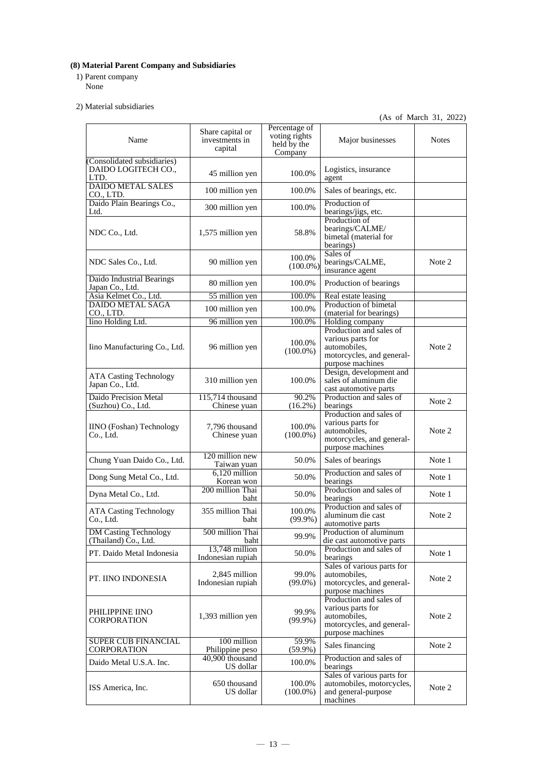### **(8) Material Parent Company and Subsidiaries**

1) Parent company

None

2) Material subsidiaries

(As of March 31, 2022)

| Name                                                       | Share capital or<br>investments in<br>capital | Percentage of<br>voting rights<br>held by the<br>Company | Major businesses                                                                                              | <b>Notes</b> |
|------------------------------------------------------------|-----------------------------------------------|----------------------------------------------------------|---------------------------------------------------------------------------------------------------------------|--------------|
| (Consolidated subsidiaries)<br>DAIDO LOGITECH CO.,<br>LTD. | 45 million yen                                | 100.0%                                                   | Logistics, insurance<br>agent                                                                                 |              |
| <b>DAIDO METAL SALES</b><br>CO., LTD.                      | 100 million yen                               | 100.0%                                                   | Sales of bearings, etc.                                                                                       |              |
| Daido Plain Bearings Co.,<br>Ltd.                          | 300 million yen                               | 100.0%                                                   | Production of<br>bearings/jigs, etc.                                                                          |              |
| NDC Co., Ltd.                                              | 1,575 million yen                             | 58.8%                                                    | Production of<br>bearings/CALME/<br>bimetal (material for<br>bearings)                                        |              |
| NDC Sales Co., Ltd.                                        | 90 million yen                                | 100.0%<br>$(100.0\%)$                                    | Sales of<br>bearings/CALME,<br>insurance agent                                                                | Note 2       |
| Daido Industrial Bearings<br>Japan Co., Ltd.               | 80 million yen                                | 100.0%                                                   | Production of bearings                                                                                        |              |
| Asia Kelmet Co., Ltd.                                      | 55 million yen                                | 100.0%                                                   | Real estate leasing                                                                                           |              |
| <b>DAIDO METAL SAGA</b><br>CO., LTD.                       | 100 million yen                               | 100.0%                                                   | Production of bimetal<br>(material for bearings)                                                              |              |
| Iino Holding Ltd.                                          | 96 million yen                                | 100.0%                                                   | Holding company                                                                                               |              |
| Iino Manufacturing Co., Ltd.                               | 96 million yen                                | 100.0%<br>$(100.0\%)$                                    | Production and sales of<br>various parts for<br>automobiles,<br>motorcycles, and general-<br>purpose machines | Note 2       |
| <b>ATA Casting Technology</b><br>Japan Co., Ltd.           | 310 million yen                               | 100.0%                                                   | Design, development and<br>sales of aluminum die<br>cast automotive parts                                     |              |
| <b>Daido Precision Metal</b><br>(Suzhou) Co., Ltd.         | 115,714 thousand<br>Chinese yuan              | 90.2%<br>$(16.2\%)$                                      | Production and sales of<br>bearings                                                                           | Note 2       |
| <b>IINO</b> (Foshan) Technology<br>Co., Ltd.               | 7,796 thousand<br>Chinese yuan                | 100.0%<br>$(100.0\%)$                                    | Production and sales of<br>various parts for<br>automobiles,<br>motorcycles, and general-<br>purpose machines | Note 2       |
| Chung Yuan Daido Co., Ltd.                                 | 120 million new<br>Taiwan yuan                | 50.0%                                                    | Sales of bearings                                                                                             | Note 1       |
| Dong Sung Metal Co., Ltd.                                  | 6,120 million<br>Korean won                   | 50.0%                                                    | Production and sales of<br>bearings                                                                           | Note 1       |
| Dyna Metal Co., Ltd.                                       | 200 million Thai<br>baht                      | 50.0%                                                    | Production and sales of<br>bearings                                                                           | Note 1       |
| <b>ATA Casting Technology</b><br>Co., Ltd.                 | 355 million Thai<br><b>baht</b>               | 100.0%<br>$(99.9\%)$                                     | Production and sales of<br>aluminum die cast<br>automotive parts                                              | Note 2       |
| <b>DM Casting Technology</b><br>(Thailand) Co., Ltd.       | 500 million Thai<br>baht                      | 99.9%                                                    | Production of aluminum<br>die cast automotive parts                                                           |              |
| PT. Daido Metal Indonesia                                  | 13,748 million<br>Indonesian rupiah           | 50.0%                                                    | Production and sales of<br>bearings                                                                           | Note 1       |
| PT. IINO INDONESIA                                         | 2,845 million<br>Indonesian rupiah            | 99.0%<br>$(99.0\%)$                                      | Sales of various parts for<br>automobiles,<br>motorcycles, and general-<br>purpose machines                   | Note 2       |
| PHILIPPINE IINO<br><b>CORPORATION</b>                      | 1,393 million yen                             | 99.9%<br>$(99.9\%)$                                      | Production and sales of<br>various parts for<br>automobiles,<br>motorcycles, and general-<br>purpose machines | Note 2       |
| <b>SUPER CUB FINANCIAL</b><br>CORPORATION                  | 100 million<br>Philippine peso                | 59.9%<br>$(59.9\%)$                                      | Sales financing                                                                                               | Note 2       |
| Daido Metal U.S.A. Inc.                                    | 40,900 thousand<br>US dollar                  | 100.0%                                                   | Production and sales of<br>bearings                                                                           |              |
| ISS America, Inc.                                          | 650 thousand<br>US dollar                     | 100.0%<br>$(100.0\%)$                                    | Sales of various parts for<br>automobiles, motorcycles,<br>and general-purpose<br>machines                    | Note 2       |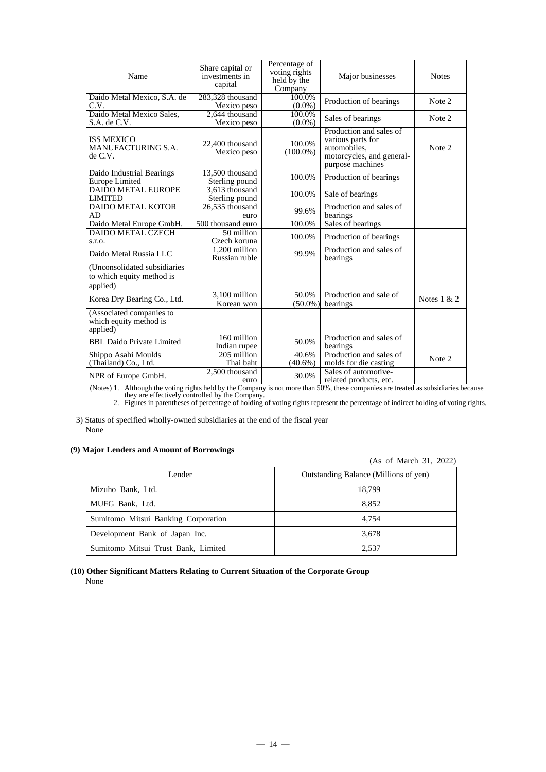| Name                                                                  | Share capital or<br>investments in<br>capital | Percentage of<br>voting rights<br>held by the<br>Company | Major businesses                                                                                              | <b>Notes</b>  |
|-----------------------------------------------------------------------|-----------------------------------------------|----------------------------------------------------------|---------------------------------------------------------------------------------------------------------------|---------------|
| Daido Metal Mexico, S.A. de<br>C.V.                                   | 283,328 thousand<br>Mexico peso               | 100.0%<br>$(0.0\%)$                                      | Production of bearings                                                                                        | Note 2        |
| Daido Metal Mexico Sales,<br>S.A. de C.V.                             | 2.644 thousand<br>Mexico peso                 | 100.0%<br>$(0.0\%)$                                      | Sales of bearings                                                                                             | Note 2        |
| <b>ISS MEXICO</b><br>MANUFACTURING S.A.<br>de C.V.                    | 22,400 thousand<br>Mexico peso                | 100.0%<br>$(100.0\%)$                                    | Production and sales of<br>various parts for<br>automobiles,<br>motorcycles, and general-<br>purpose machines | Note 2        |
| Daido Industrial Bearings<br><b>Europe Limited</b>                    | 13,500 thousand<br>Sterling pound             | 100.0%                                                   | Production of bearings                                                                                        |               |
| <b>DAIDO METAL EUROPE</b><br><b>LIMITED</b>                           | 3.613 thousand<br>Sterling pound              | 100.0%                                                   | Sale of bearings                                                                                              |               |
| <b>DAIDO METAL KOTOR</b><br>AD                                        | 26,535 thousand<br>euro                       | 99.6%                                                    | Production and sales of<br>bearings                                                                           |               |
| Daido Metal Europe GmbH.                                              | 500 thousand euro                             | 100.0%                                                   | Sales of bearings                                                                                             |               |
| <b>DAIDO METAL CZECH</b><br>S.I.O.                                    | 50 million<br>Czech koruna                    | 100.0%                                                   | Production of bearings                                                                                        |               |
| Daido Metal Russia LLC                                                | 1,200 million<br>Russian ruble                | 99.9%                                                    | Production and sales of<br>bearings                                                                           |               |
| (Unconsolidated subsidiaries<br>to which equity method is<br>applied) |                                               |                                                          |                                                                                                               |               |
| Korea Dry Bearing Co., Ltd.                                           | 3,100 million<br>Korean won                   | 50.0%<br>$(50.0\%)$                                      | Production and sale of<br>bearings                                                                            | Notes $1 & 2$ |
| (Associated companies to<br>which equity method is<br>applied)        |                                               |                                                          |                                                                                                               |               |
| <b>BBL Daido Private Limited</b>                                      | 160 million<br>Indian rupee                   | 50.0%                                                    | Production and sales of<br>bearings                                                                           |               |
| Shippo Asahi Moulds<br>(Thailand) Co., Ltd.                           | 205 million<br>Thai baht                      | 40.6%<br>$(40.6\%)$                                      | Production and sales of<br>molds for die casting                                                              | Note 2        |
| NPR of Europe GmbH.                                                   | 2,500 thousand<br>euro                        | 30.0%                                                    | Sales of automotive-<br>related products, etc.                                                                |               |

(Notes) 1. Although the voting rights held by the Company is not more than 50%, these companies are treated as subsidiaries because they are effectively controlled by the Company.

2. Figures in parentheses of percentage of holding of voting rights represent the percentage of indirect holding of voting rights.

3) Status of specified wholly-owned subsidiaries at the end of the fiscal year None

### **(9) Major Lenders and Amount of Borrowings**

(As of March 31, 2022)

| Lender                              | Outstanding Balance (Millions of yen) |
|-------------------------------------|---------------------------------------|
| Mizuho Bank, Ltd.                   | 18.799                                |
| MUFG Bank, Ltd.                     | 8.852                                 |
| Sumitomo Mitsui Banking Corporation | 4.754                                 |
| Development Bank of Japan Inc.      | 3,678                                 |
| Sumitomo Mitsui Trust Bank, Limited | 2.537                                 |

### **(10) Other Significant Matters Relating to Current Situation of the Corporate Group** None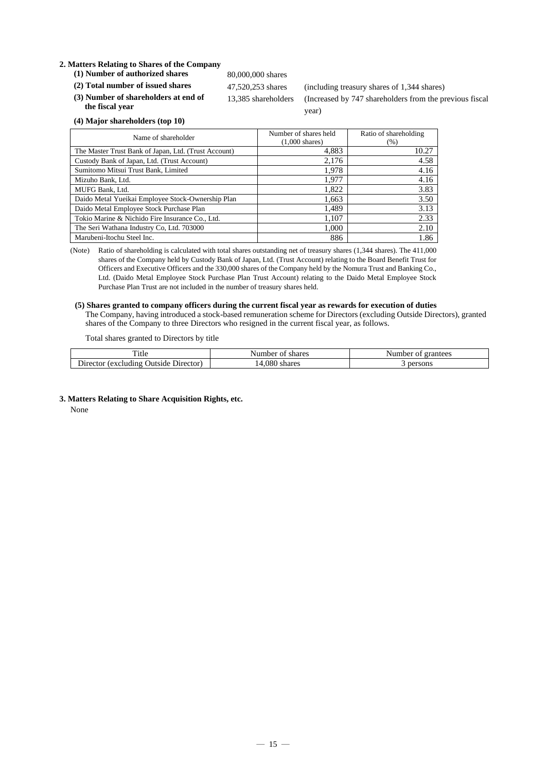### **2. Matters Relating to Shares of the Company**

- (1) **Number of authorized shares** 80,000,000 shares
- 

**(3) Number of shareholders at end of the fiscal year**

(2) Total number of issued shares 47,520,253 shares (including treasury shares of 1,344 shares) 13,385 shareholders (Increased by 747 shareholders from the previous fiscal year)

**(4) Major shareholders (top 10)**

| Name of shareholder                                  | Number of shares held<br>$(1,000 \text{ shares})$ | Ratio of shareholding<br>(%) |
|------------------------------------------------------|---------------------------------------------------|------------------------------|
| The Master Trust Bank of Japan, Ltd. (Trust Account) | 4,883                                             | 10.27                        |
| Custody Bank of Japan, Ltd. (Trust Account)          | 2,176                                             | 4.58                         |
| Sumitomo Mitsui Trust Bank, Limited                  | 1.978                                             | 4.16                         |
| Mizuho Bank, Ltd.                                    | 1.977                                             | 4.16                         |
| MUFG Bank, Ltd.                                      | 1,822                                             | 3.83                         |
| Daido Metal Yueikai Employee Stock-Ownership Plan    | 1,663                                             | 3.50                         |
| Daido Metal Employee Stock Purchase Plan             | 1,489                                             | 3.13                         |
| Tokio Marine & Nichido Fire Insurance Co., Ltd.      | 1,107                                             | 2.33                         |
| The Seri Wathana Industry Co, Ltd. 703000            | 1.000                                             | 2.10                         |
| Marubeni-Itochu Steel Inc.                           | 886                                               | 1.86                         |

(Note) Ratio of shareholding is calculated with total shares outstanding net of treasury shares (1,344 shares). The 411,000 shares of the Company held by Custody Bank of Japan, Ltd. (Trust Account) relating to the Board Benefit Trust for Officers and Executive Officers and the 330,000 shares of the Company held by the Nomura Trust and Banking Co., Ltd. (Daido Metal Employee Stock Purchase Plan Trust Account) relating to the Daido Metal Employee Stock Purchase Plan Trust are not included in the number of treasury shares held.

### **(5) Shares granted to company officers during the current fiscal year as rewards for execution of duties**

The Company, having introduced a stock-based remuneration scheme for Directors (excluding Outside Directors), granted shares of the Company to three Directors who resigned in the current fiscal year, as follows.

Total shares granted to Directors by title

| m.<br>. itle<br>shares<br>Number<br>O1                    |                | Number<br>grantees<br>O! |
|-----------------------------------------------------------|----------------|--------------------------|
| Director)<br><i>(excluding)</i><br>$D$ irector<br>Jutside | .080<br>shares | persons                  |

**3. Matters Relating to Share Acquisition Rights, etc.**

None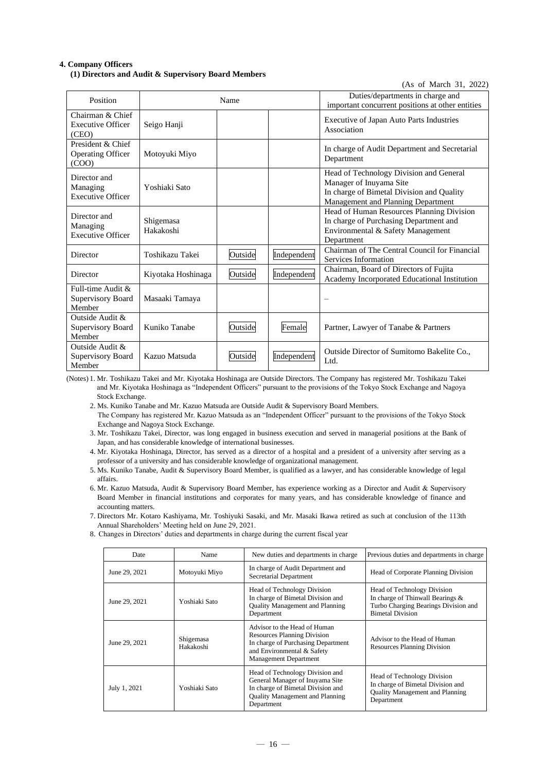### **4. Company Officers (1) Directors and Audit & Supervisory Board Members**

| Position                                               |                        | Name    |             | Duties/departments in charge and<br>important concurrent positions at other entities                                                                  |
|--------------------------------------------------------|------------------------|---------|-------------|-------------------------------------------------------------------------------------------------------------------------------------------------------|
| Chairman & Chief<br><b>Executive Officer</b><br>(CEO)  | Seigo Hanji            |         |             | <b>Executive of Japan Auto Parts Industries</b><br>Association                                                                                        |
| President & Chief<br><b>Operating Officer</b><br>(COO) | Motoyuki Miyo          |         |             | In charge of Audit Department and Secretarial<br>Department                                                                                           |
| Director and<br>Managing<br><b>Executive Officer</b>   | Yoshiaki Sato          |         |             | Head of Technology Division and General<br>Manager of Inuyama Site<br>In charge of Bimetal Division and Quality<br>Management and Planning Department |
| Director and<br>Managing<br><b>Executive Officer</b>   | Shigemasa<br>Hakakoshi |         |             | Head of Human Resources Planning Division<br>In charge of Purchasing Department and<br>Environmental & Safety Management<br>Department                |
| Director                                               | Toshikazu Takei        | Outside | Independent | Chairman of The Central Council for Financial<br>Services Information                                                                                 |
| Director                                               | Kiyotaka Hoshinaga     | Outside | Independent | Chairman, Board of Directors of Fujita<br>Academy Incorporated Educational Institution                                                                |
| Full-time Audit &<br>Supervisory Board<br>Member       | Masaaki Tamaya         |         |             | $\overline{\phantom{0}}$                                                                                                                              |
| Outside Audit &<br>Supervisory Board<br>Member         | Kuniko Tanabe          | Outside | Female      | Partner, Lawyer of Tanabe & Partners                                                                                                                  |
| Outside Audit &<br>Supervisory Board<br>Member         | Kazuo Matsuda          | Outside | Independent | Outside Director of Sumitomo Bakelite Co.,<br>Ltd.                                                                                                    |

 $(As$  of March 31, 2022)

(Notes) 1. Mr. Toshikazu Takei and Mr. Kiyotaka Hoshinaga are Outside Directors. The Company has registered Mr. Toshikazu Takei and Mr. Kiyotaka Hoshinaga as "Independent Officers" pursuant to the provisions of the Tokyo Stock Exchange and Nagoya Stock Exchange.

2. Ms. Kuniko Tanabe and Mr. Kazuo Matsuda are Outside Audit & Supervisory Board Members.

The Company has registered Mr. Kazuo Matsuda as an "Independent Officer" pursuant to the provisions of the Tokyo Stock Exchange and Nagoya Stock Exchange.

3. Mr. Toshikazu Takei, Director, was long engaged in business execution and served in managerial positions at the Bank of Japan, and has considerable knowledge of international businesses.

4. Mr. Kiyotaka Hoshinaga, Director, has served as a director of a hospital and a president of a university after serving as a professor of a university and has considerable knowledge of organizational management.

5. Ms. Kuniko Tanabe, Audit & Supervisory Board Member, is qualified as a lawyer, and has considerable knowledge of legal affairs.

6. Mr. Kazuo Matsuda, Audit & Supervisory Board Member, has experience working as a Director and Audit & Supervisory Board Member in financial institutions and corporates for many years, and has considerable knowledge of finance and accounting matters.

7. Directors Mr. Kotaro Kashiyama, Mr. Toshiyuki Sasaki, and Mr. Masaki Ikawa retired as such at conclusion of the 113th Annual Shareholders' Meeting held on June 29, 2021.

8. Changes in Directors' duties and departments in charge during the current fiscal year

| Date          | Name                   | New duties and departments in charge.                                                                                                                                  | Previous duties and departments in charge.                                                                                                |
|---------------|------------------------|------------------------------------------------------------------------------------------------------------------------------------------------------------------------|-------------------------------------------------------------------------------------------------------------------------------------------|
| June 29, 2021 | Motoyuki Miyo          | In charge of Audit Department and<br>Secretarial Department                                                                                                            | Head of Corporate Planning Division                                                                                                       |
| June 29, 2021 | Yoshiaki Sato          | Head of Technology Division<br>In charge of Bimetal Division and<br><b>Quality Management and Planning</b><br>Department                                               | <b>Head of Technology Division</b><br>In charge of Thinwall Bearings &<br>Turbo Charging Bearings Division and<br><b>Bimetal Division</b> |
| June 29, 2021 | Shigemasa<br>Hakakoshi | Advisor to the Head of Human<br><b>Resources Planning Division</b><br>In charge of Purchasing Department<br>and Environmental & Safety<br><b>Management Department</b> | Advisor to the Head of Human<br><b>Resources Planning Division</b>                                                                        |
| July 1, 2021  | Yoshiaki Sato          | Head of Technology Division and<br>General Manager of Inuyama Site<br>In charge of Bimetal Division and<br><b>Quality Management and Planning</b><br>Department        | <b>Head of Technology Division</b><br>In charge of Bimetal Division and<br><b>Ouality Management and Planning</b><br>Department           |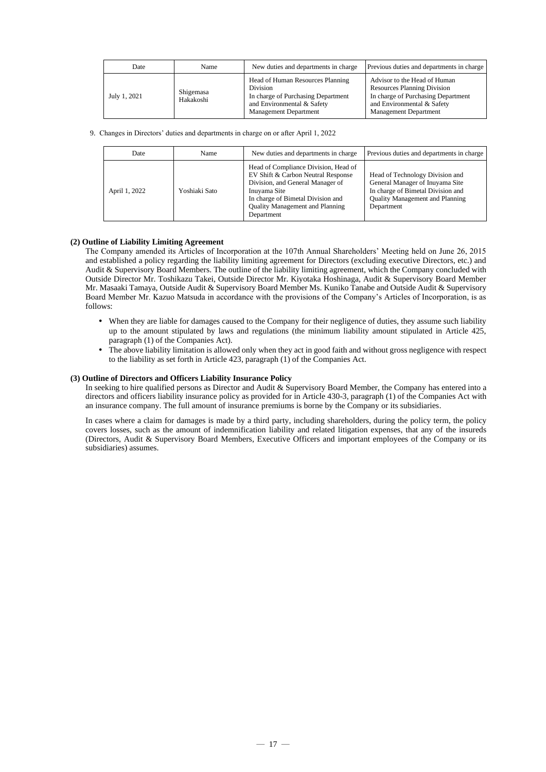| Date         | Name                   | New duties and departments in charge.                                                                                                                   | Previous duties and departments in charge                                                                                                                              |
|--------------|------------------------|---------------------------------------------------------------------------------------------------------------------------------------------------------|------------------------------------------------------------------------------------------------------------------------------------------------------------------------|
| July 1, 2021 | Shigemasa<br>Hakakoshi | Head of Human Resources Planning<br><b>Division</b><br>In charge of Purchasing Department<br>and Environmental & Safety<br><b>Management Department</b> | Advisor to the Head of Human<br><b>Resources Planning Division</b><br>In charge of Purchasing Department<br>and Environmental & Safety<br><b>Management Department</b> |

9. Changes in Directors' duties and departments in charge on or after April 1, 2022

| Date          | Name          | New duties and departments in charge.                                                                                                                                                                                | Previous duties and departments in charge                                                                                                                       |
|---------------|---------------|----------------------------------------------------------------------------------------------------------------------------------------------------------------------------------------------------------------------|-----------------------------------------------------------------------------------------------------------------------------------------------------------------|
| April 1, 2022 | Yoshiaki Sato | Head of Compliance Division, Head of<br>EV Shift & Carbon Neutral Response<br>Division, and General Manager of<br>Inuvama Site<br>In charge of Bimetal Division and<br>Quality Management and Planning<br>Department | Head of Technology Division and<br>General Manager of Inuyama Site<br>In charge of Bimetal Division and<br><b>Quality Management and Planning</b><br>Department |

### **(2) Outline of Liability Limiting Agreement**

The Company amended its Articles of Incorporation at the 107th Annual Shareholders' Meeting held on June 26, 2015 and established a policy regarding the liability limiting agreement for Directors (excluding executive Directors, etc.) and Audit & Supervisory Board Members. The outline of the liability limiting agreement, which the Company concluded with Outside Director Mr. Toshikazu Takei, Outside Director Mr. Kiyotaka Hoshinaga, Audit & Supervisory Board Member Mr. Masaaki Tamaya, Outside Audit & Supervisory Board Member Ms. Kuniko Tanabe and Outside Audit & Supervisory Board Member Mr. Kazuo Matsuda in accordance with the provisions of the Company's Articles of Incorporation, is as follows:

- When they are liable for damages caused to the Company for their negligence of duties, they assume such liability up to the amount stipulated by laws and regulations (the minimum liability amount stipulated in Article 425, paragraph (1) of the Companies Act).
- The above liability limitation is allowed only when they act in good faith and without gross negligence with respect to the liability as set forth in Article 423, paragraph (1) of the Companies Act.

### **(3) Outline of Directors and Officers Liability Insurance Policy**

In seeking to hire qualified persons as Director and Audit & Supervisory Board Member, the Company has entered into a directors and officers liability insurance policy as provided for in Article 430-3, paragraph (1) of the Companies Act with an insurance company. The full amount of insurance premiums is borne by the Company or its subsidiaries.

In cases where a claim for damages is made by a third party, including shareholders, during the policy term, the policy covers losses, such as the amount of indemnification liability and related litigation expenses, that any of the insureds (Directors, Audit & Supervisory Board Members, Executive Officers and important employees of the Company or its subsidiaries) assumes.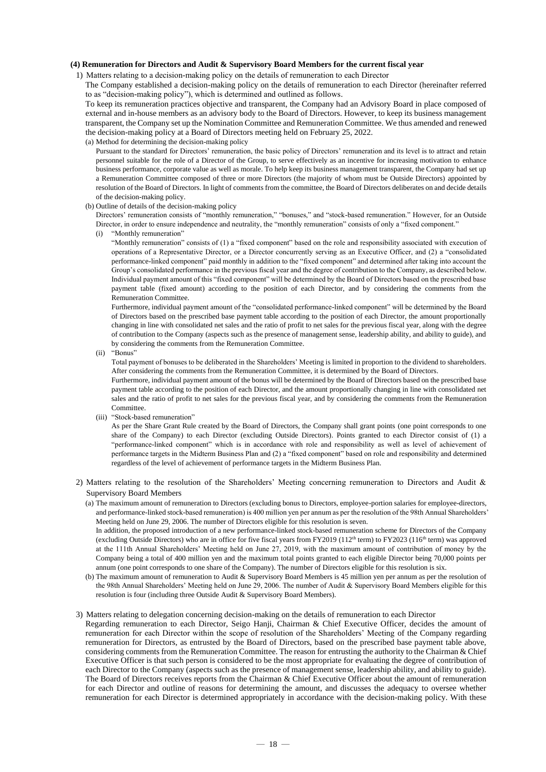### **(4) Remuneration for Directors and Audit & Supervisory Board Members for the current fiscal year**

1) Matters relating to a decision-making policy on the details of remuneration to each Director

The Company established a decision-making policy on the details of remuneration to each Director (hereinafter referred to as "decision-making policy"), which is determined and outlined as follows.

To keep its remuneration practices objective and transparent, the Company had an Advisory Board in place composed of external and in-house members as an advisory body to the Board of Directors. However, to keep its business management transparent, the Company set up the Nomination Committee and Remuneration Committee. We thus amended and renewed the decision-making policy at a Board of Directors meeting held on February 25, 2022.

#### (a) Method for determining the decision-making policy

Pursuant to the standard for Directors' remuneration, the basic policy of Directors' remuneration and its level is to attract and retain personnel suitable for the role of a Director of the Group, to serve effectively as an incentive for increasing motivation to enhance business performance, corporate value as well as morale. To help keep its business management transparent, the Company had set up a Remuneration Committee composed of three or more Directors (the majority of whom must be Outside Directors) appointed by resolution of the Board of Directors. In light of comments from the committee, the Board of Directors deliberates on and decide details of the decision-making policy.

(b) Outline of details of the decision-making policy

Directors' remuneration consists of "monthly remuneration," "bonuses," and "stock-based remuneration." However, for an Outside Director, in order to ensure independence and neutrality, the "monthly remuneration" consists of only a "fixed component."

(i) "Monthly remuneration"

"Monthly remuneration" consists of (1) a "fixed component" based on the role and responsibility associated with execution of operations of a Representative Director, or a Director concurrently serving as an Executive Officer, and (2) a "consolidated performance-linked component" paid monthly in addition to the "fixed component" and determined after taking into account the Group's consolidated performance in the previous fiscal year and the degree of contribution to the Company, as described below. Individual payment amount of this "fixed component" will be determined by the Board of Directors based on the prescribed base payment table (fixed amount) according to the position of each Director, and by considering the comments from the Remuneration Committee.

Furthermore, individual payment amount of the "consolidated performance-linked component" will be determined by the Board of Directors based on the prescribed base payment table according to the position of each Director, the amount proportionally changing in line with consolidated net sales and the ratio of profit to net sales for the previous fiscal year, along with the degree of contribution to the Company (aspects such as the presence of management sense, leadership ability, and ability to guide), and by considering the comments from the Remuneration Committee.

(ii) "Bonus"

Total payment of bonuses to be deliberated in the Shareholders' Meeting is limited in proportion to the dividend to shareholders. After considering the comments from the Remuneration Committee, it is determined by the Board of Directors.

Furthermore, individual payment amount of the bonus will be determined by the Board of Directors based on the prescribed base payment table according to the position of each Director, and the amount proportionally changing in line with consolidated net sales and the ratio of profit to net sales for the previous fiscal year, and by considering the comments from the Remuneration Committee.

(iii) "Stock-based remuneration"

As per the Share Grant Rule created by the Board of Directors, the Company shall grant points (one point corresponds to one share of the Company) to each Director (excluding Outside Directors). Points granted to each Director consist of (1) a "performance-linked component" which is in accordance with role and responsibility as well as level of achievement of performance targets in the Midterm Business Plan and (2) a "fixed component" based on role and responsibility and determined regardless of the level of achievement of performance targets in the Midterm Business Plan.

2) Matters relating to the resolution of the Shareholders' Meeting concerning remuneration to Directors and Audit & Supervisory Board Members

(a) The maximum amount of remuneration to Directors (excluding bonus to Directors, employee-portion salaries for employee-directors, and performance-linked stock-based remuneration) is 400 million yen per annum as per the resolution of the 98th Annual Shareholders' Meeting held on June 29, 2006. The number of Directors eligible for this resolution is seven.

In addition, the proposed introduction of a new performance-linked stock-based remuneration scheme for Directors of the Company (excluding Outside Directors) who are in office for five fiscal years from FY2019 (112<sup>th</sup> term) to FY2023 (116<sup>th</sup> term) was approved at the 111th Annual Shareholders' Meeting held on June 27, 2019, with the maximum amount of contribution of money by the Company being a total of 400 million yen and the maximum total points granted to each eligible Director being 70,000 points per annum (one point corresponds to one share of the Company). The number of Directors eligible for this resolution is six.

(b) The maximum amount of remuneration to Audit & Supervisory Board Members is 45 million yen per annum as per the resolution of the 98th Annual Shareholders' Meeting held on June 29, 2006. The number of Audit & Supervisory Board Members eligible for this resolution is four (including three Outside Audit & Supervisory Board Members).

#### 3) Matters relating to delegation concerning decision-making on the details of remuneration to each Director

Regarding remuneration to each Director, Seigo Hanji, Chairman & Chief Executive Officer, decides the amount of remuneration for each Director within the scope of resolution of the Shareholders' Meeting of the Company regarding remuneration for Directors, as entrusted by the Board of Directors, based on the prescribed base payment table above, considering comments from the Remuneration Committee. The reason for entrusting the authority to the Chairman & Chief Executive Officer is that such person is considered to be the most appropriate for evaluating the degree of contribution of each Director to the Company (aspects such as the presence of management sense, leadership ability, and ability to guide). The Board of Directors receives reports from the Chairman & Chief Executive Officer about the amount of remuneration for each Director and outline of reasons for determining the amount, and discusses the adequacy to oversee whether remuneration for each Director is determined appropriately in accordance with the decision-making policy. With these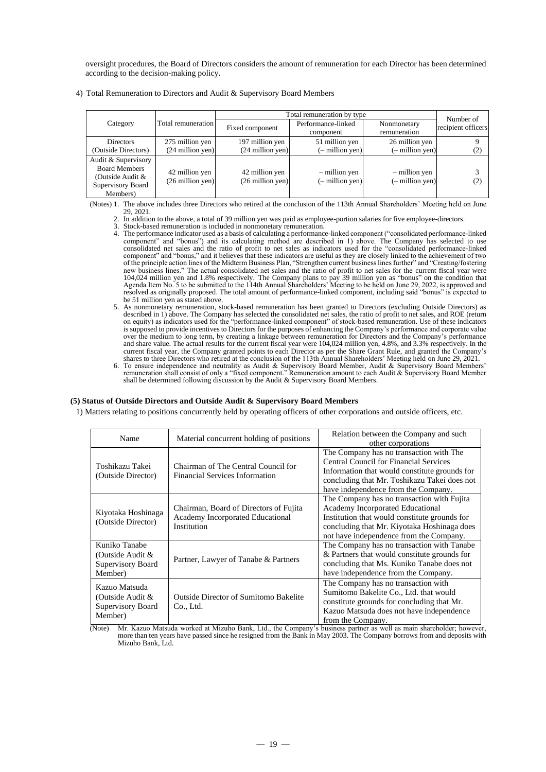oversight procedures, the Board of Directors considers the amount of remuneration for each Director has been determined according to the decision-making policy.

|                                                                                                  |                                              | Total remuneration by type                   | Number of                        |                                    |                    |
|--------------------------------------------------------------------------------------------------|----------------------------------------------|----------------------------------------------|----------------------------------|------------------------------------|--------------------|
| Category                                                                                         | Total remuneration                           | Fixed component                              | Performance-linked<br>component  | Nonmonetary<br>remuneration        | recipient officers |
| <b>Directors</b>                                                                                 | 275 million yen                              | 197 million yen                              | 51 million yen                   | 26 million yen                     |                    |
| (Outside Directors)                                                                              | $(24$ million yen)                           | $(24$ million yen)                           | $(-$ million yen)                | $(-$ million yen)                  | (2)                |
| Audit & Supervisory<br><b>Board Members</b><br>(Outside Audit &<br>Supervisory Board<br>Members) | 42 million yen<br>$(26 \text{ million yen})$ | 42 million yen<br>$(26 \text{ million yen})$ | - million yen<br>(- million yen) | - million yen<br>$(-$ million yen) | (2)                |

4) Total Remuneration to Directors and Audit & Supervisory Board Members

(Notes) 1. The above includes three Directors who retired at the conclusion of the 113th Annual Shareholders' Meeting held on June 29, 2021.

- 2. In addition to the above, a total of 39 million yen was paid as employee-portion salaries for five employee-directors.
- 3. Stock-based remuneration is included in nonmonetary remuneration.
- 4. The performance indicator used as a basis of calculating a performance-linked component ("consolidated performance-linked component" and "bonus") and its calculating method are described in 1) above. The Company has selected to use consolidated net sales and the ratio of profit to net sales as indicators used for the "consolidated performance-linked component" and "bonus," and it believes that these indicators are useful as they are closely linked to the achievement of two of the principle action lines of the Midterm Business Plan, "Strengthen current business lines further" and "Creating/fostering<br>new business lines." The actual consolidated net sales and the ratio of profit to net sales fo 104,024 million yen and 1.8% respectively. The Company plans to pay 39 million yen as "bonus" on the condition that Agenda Item No. 5 to be submitted to the 114th Annual Shareholders' Meeting to be held on June 29, 2022, is approved and resolved as originally proposed. The total amount of performance-linked component, including said "bonus" is expected to be 51 million yen as stated above.
- 5. As nonmonetary remuneration, stock-based remuneration has been granted to Directors (excluding Outside Directors) as described in 1) above. The Company has selected the consolidated net sales, the ratio of profit to net sales, and ROE (return on equity) as indicators used for the "performance-linked component" of stock-based remuneration. Use of these indicators is supposed to provide incentives to Directors for the purposes of enhancing the Company's performance and corporate value over the medium to long term, by creating a linkage between remuneration for Directors and the Company's performance and share value. The actual results for the current fiscal year were 104,024 million yen, 4.8%, and 3.3% respectively. In the current fiscal year, the Company granted points to each Director as per the Share Grant Rule, and granted the Company's shares to three Directors who retired at the conclusion of the 113th Annual Shareholders' Meeting held
- 6. To ensure independence and neutrality as Audit & Supervisory Board Member, Audit & Supervisory Board Members' remuneration shall consist of only a "fixed component." Remuneration amount to each Audit & Supervisory Board Member shall be determined following discussion by the Audit & Supervisory Board Members.

#### **(5) Status of Outside Directors and Outside Audit & Supervisory Board Members**

1) Matters relating to positions concurrently held by operating officers of other corporations and outside officers, etc.

| Name                                                              | Material concurrent holding of positions                                                  | Relation between the Company and such<br>other corporations                                                                                                                                                               |
|-------------------------------------------------------------------|-------------------------------------------------------------------------------------------|---------------------------------------------------------------------------------------------------------------------------------------------------------------------------------------------------------------------------|
| Toshikazu Takei<br>(Outside Director)                             | Chairman of The Central Council for<br><b>Financial Services Information</b>              | The Company has no transaction with The<br>Central Council for Financial Services<br>Information that would constitute grounds for<br>concluding that Mr. Toshikazu Takei does not<br>have independence from the Company. |
| Kiyotaka Hoshinaga<br>(Outside Director)                          | Chairman, Board of Directors of Fujita<br>Academy Incorporated Educational<br>Institution | The Company has no transaction with Fujita<br>Academy Incorporated Educational<br>Institution that would constitute grounds for<br>concluding that Mr. Kiyotaka Hoshinaga does<br>not have independence from the Company. |
| Kuniko Tanabe<br>(Outside Audit &<br>Supervisory Board<br>Member) | Partner, Lawyer of Tanabe & Partners                                                      | The Company has no transaction with Tanabe<br>& Partners that would constitute grounds for<br>concluding that Ms. Kuniko Tanabe does not<br>have independence from the Company.                                           |
| Kazuo Matsuda<br>(Outside Audit &<br>Supervisory Board<br>Member) | <b>Outside Director of Sumitomo Bakelite</b><br>Co., Ltd.                                 | The Company has no transaction with<br>Sumitomo Bakelite Co., Ltd. that would<br>constitute grounds for concluding that Mr.<br>Kazuo Matsuda does not have independence<br>from the Company.                              |

(Note) Mr. Kazuo Matsuda worked at Mizuho Bank, Ltd., the Company's business partner as well as main shareholder; however, more than ten years have passed since he resigned from the Bank in May 2003. The Company borrows fr Mizuho Bank, Ltd.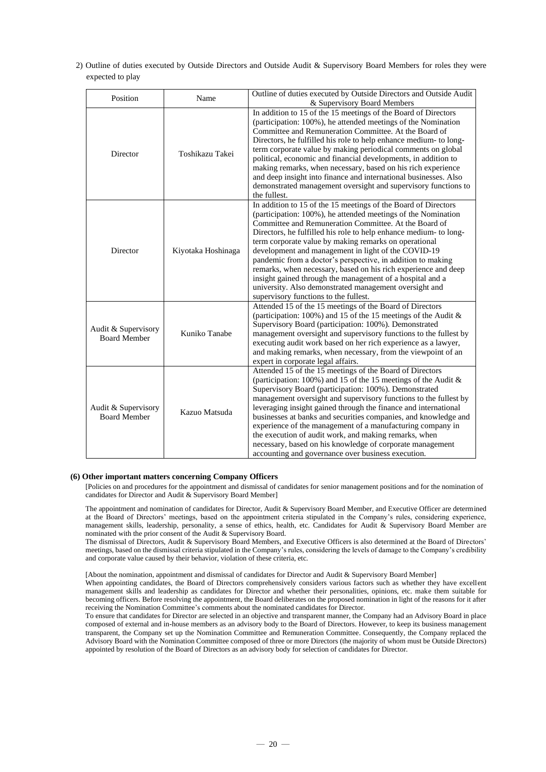2) Outline of duties executed by Outside Directors and Outside Audit & Supervisory Board Members for roles they were expected to play

| Position                                                    | Name               | Outline of duties executed by Outside Directors and Outside Audit<br>& Supervisory Board Members                                                                                                                                                                                                                                                                                                                                                                                                                                                                                                                                                                               |  |  |
|-------------------------------------------------------------|--------------------|--------------------------------------------------------------------------------------------------------------------------------------------------------------------------------------------------------------------------------------------------------------------------------------------------------------------------------------------------------------------------------------------------------------------------------------------------------------------------------------------------------------------------------------------------------------------------------------------------------------------------------------------------------------------------------|--|--|
| Director                                                    | Toshikazu Takei    | In addition to 15 of the 15 meetings of the Board of Directors<br>(participation: 100%), he attended meetings of the Nomination<br>Committee and Remuneration Committee. At the Board of<br>Directors, he fulfilled his role to help enhance medium- to long-<br>term corporate value by making periodical comments on global<br>political, economic and financial developments, in addition to<br>making remarks, when necessary, based on his rich experience<br>and deep insight into finance and international businesses. Also<br>demonstrated management oversight and supervisory functions to<br>the fullest.                                                          |  |  |
| Director                                                    | Kiyotaka Hoshinaga | In addition to 15 of the 15 meetings of the Board of Directors<br>(participation: 100%), he attended meetings of the Nomination<br>Committee and Remuneration Committee. At the Board of<br>Directors, he fulfilled his role to help enhance medium- to long-<br>term corporate value by making remarks on operational<br>development and management in light of the COVID-19<br>pandemic from a doctor's perspective, in addition to making<br>remarks, when necessary, based on his rich experience and deep<br>insight gained through the management of a hospital and a<br>university. Also demonstrated management oversight and<br>supervisory functions to the fullest. |  |  |
| Audit & Supervisory<br>Kuniko Tanabe<br><b>Board Member</b> |                    | Attended 15 of the 15 meetings of the Board of Directors<br>(participation: $100\%$ ) and 15 of the 15 meetings of the Audit &<br>Supervisory Board (participation: 100%). Demonstrated<br>management oversight and supervisory functions to the fullest by<br>executing audit work based on her rich experience as a lawyer,<br>and making remarks, when necessary, from the viewpoint of an<br>expert in corporate legal affairs.                                                                                                                                                                                                                                            |  |  |
| Audit & Supervisory<br>Kazuo Matsuda<br><b>Board Member</b> |                    | Attended 15 of the 15 meetings of the Board of Directors<br>(participation: $100\%$ ) and 15 of the 15 meetings of the Audit &<br>Supervisory Board (participation: 100%). Demonstrated<br>management oversight and supervisory functions to the fullest by<br>leveraging insight gained through the finance and international<br>businesses at banks and securities companies, and knowledge and<br>experience of the management of a manufacturing company in<br>the execution of audit work, and making remarks, when<br>necessary, based on his knowledge of corporate management<br>accounting and governance over business execution.                                    |  |  |

### **(6) Other important matters concerning Company Officers**

[Policies on and procedures for the appointment and dismissal of candidates for senior management positions and for the nomination of candidates for Director and Audit & Supervisory Board Member]

The appointment and nomination of candidates for Director, Audit & Supervisory Board Member, and Executive Officer are determined at the Board of Directors' meetings, based on the appointment criteria stipulated in the Company's rules, considering experience, management skills, leadership, personality, a sense of ethics, health, etc. Candidates for Audit & Supervisory Board Member are nominated with the prior consent of the Audit & Supervisory Board.

The dismissal of Directors, Audit & Supervisory Board Members, and Executive Officers is also determined at the Board of Directors' meetings, based on the dismissal criteria stipulated in the Company's rules, considering the levels of damage to the Company's credibility and corporate value caused by their behavior, violation of these criteria, etc.

[About the nomination, appointment and dismissal of candidates for Director and Audit & Supervisory Board Member]

When appointing candidates, the Board of Directors comprehensively considers various factors such as whether they have excellent management skills and leadership as candidates for Director and whether their personalities, opinions, etc. make them suitable for becoming officers. Before resolving the appointment, the Board deliberates on the proposed nomination in light of the reasons for it after receiving the Nomination Committee's comments about the nominated candidates for Director.

To ensure that candidates for Director are selected in an objective and transparent manner, the Company had an Advisory Board in place composed of external and in-house members as an advisory body to the Board of Directors. However, to keep its business management transparent, the Company set up the Nomination Committee and Remuneration Committee. Consequently, the Company replaced the Advisory Board with the Nomination Committee composed of three or more Directors (the majority of whom must be Outside Directors) appointed by resolution of the Board of Directors as an advisory body for selection of candidates for Director.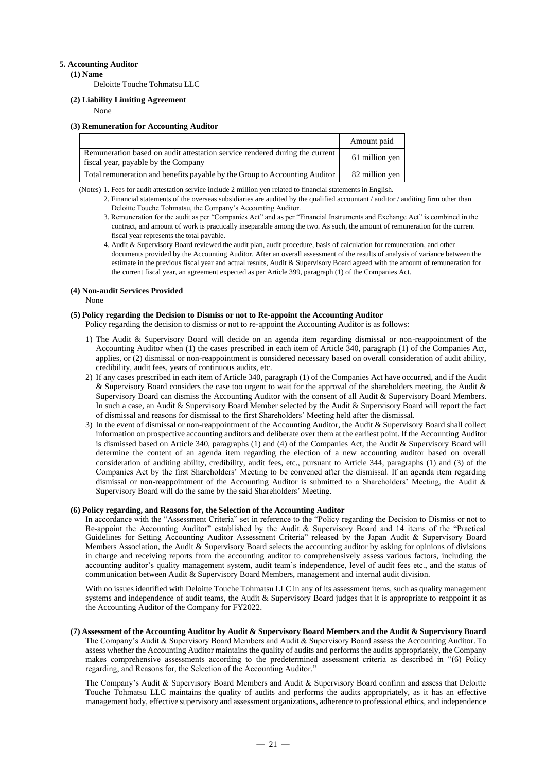### **5. Accounting Auditor**

**(1) Name**

Deloitte Touche Tohmatsu LLC

### **(2) Liability Limiting Agreement**

None

### **(3) Remuneration for Accounting Auditor**

|                                                                                                                    | Amount paid    |
|--------------------------------------------------------------------------------------------------------------------|----------------|
| Remuneration based on audit attestation service rendered during the current<br>fiscal year, payable by the Company | 61 million yen |
| Total remuneration and benefits payable by the Group to Accounting Auditor                                         | 82 million ven |

(Notes) 1. Fees for audit attestation service include 2 million yen related to financial statements in English.

- 2. Financial statements of the overseas subsidiaries are audited by the qualified accountant / auditor / auditing firm other than Deloitte Touche Tohmatsu, the Company's Accounting Auditor.
- 3. Remuneration for the audit as per "Companies Act" and as per "Financial Instruments and Exchange Act" is combined in the contract, and amount of work is practically inseparable among the two. As such, the amount of remuneration for the current fiscal year represents the total payable.
- 4. Audit & Supervisory Board reviewed the audit plan, audit procedure, basis of calculation for remuneration, and other documents provided by the Accounting Auditor. After an overall assessment of the results of analysis of variance between the estimate in the previous fiscal year and actual results, Audit & Supervisory Board agreed with the amount of remuneration for the current fiscal year, an agreement expected as per Article 399, paragraph (1) of the Companies Act.

#### **(4) Non-audit Services Provided**

None

### **(5) Policy regarding the Decision to Dismiss or not to Re-appoint the Accounting Auditor**

Policy regarding the decision to dismiss or not to re-appoint the Accounting Auditor is as follows:

- 1) The Audit & Supervisory Board will decide on an agenda item regarding dismissal or non-reappointment of the Accounting Auditor when (1) the cases prescribed in each item of Article 340, paragraph (1) of the Companies Act, applies, or (2) dismissal or non-reappointment is considered necessary based on overall consideration of audit ability, credibility, audit fees, years of continuous audits, etc.
- 2) If any cases prescribed in each item of Article 340, paragraph (1) of the Companies Act have occurred, and if the Audit & Supervisory Board considers the case too urgent to wait for the approval of the shareholders meeting, the Audit & Supervisory Board can dismiss the Accounting Auditor with the consent of all Audit & Supervisory Board Members. In such a case, an Audit & Supervisory Board Member selected by the Audit & Supervisory Board will report the fact of dismissal and reasons for dismissal to the first Shareholders' Meeting held after the dismissal.
- 3) In the event of dismissal or non-reappointment of the Accounting Auditor, the Audit & Supervisory Board shall collect information on prospective accounting auditors and deliberate over them at the earliest point. If the Accounting Auditor is dismissed based on Article 340, paragraphs (1) and (4) of the Companies Act, the Audit & Supervisory Board will determine the content of an agenda item regarding the election of a new accounting auditor based on overall consideration of auditing ability, credibility, audit fees, etc., pursuant to Article 344, paragraphs (1) and (3) of the Companies Act by the first Shareholders' Meeting to be convened after the dismissal. If an agenda item regarding dismissal or non-reappointment of the Accounting Auditor is submitted to a Shareholders' Meeting, the Audit & Supervisory Board will do the same by the said Shareholders' Meeting.

### **(6) Policy regarding, and Reasons for, the Selection of the Accounting Auditor**

In accordance with the "Assessment Criteria" set in reference to the "Policy regarding the Decision to Dismiss or not to Re-appoint the Accounting Auditor" established by the Audit & Supervisory Board and 14 items of the "Practical Guidelines for Setting Accounting Auditor Assessment Criteria" released by the Japan Audit & Supervisory Board Members Association, the Audit & Supervisory Board selects the accounting auditor by asking for opinions of divisions in charge and receiving reports from the accounting auditor to comprehensively assess various factors, including the accounting auditor's quality management system, audit team's independence, level of audit fees etc., and the status of communication between Audit & Supervisory Board Members, management and internal audit division.

With no issues identified with Deloitte Touche Tohmatsu LLC in any of its assessment items, such as quality management systems and independence of audit teams, the Audit & Supervisory Board judges that it is appropriate to reappoint it as the Accounting Auditor of the Company for FY2022.

**(7) Assessment of the Accounting Auditor by Audit & Supervisory Board Members and the Audit & Supervisory Board** The Company's Audit & Supervisory Board Members and Audit & Supervisory Board assess the Accounting Auditor. To assess whether the Accounting Auditor maintains the quality of audits and performs the audits appropriately, the Company makes comprehensive assessments according to the predetermined assessment criteria as described in "(6) Policy regarding, and Reasons for, the Selection of the Accounting Auditor."

The Company's Audit & Supervisory Board Members and Audit & Supervisory Board confirm and assess that Deloitte Touche Tohmatsu LLC maintains the quality of audits and performs the audits appropriately, as it has an effective management body, effective supervisory and assessment organizations, adherence to professional ethics, and independence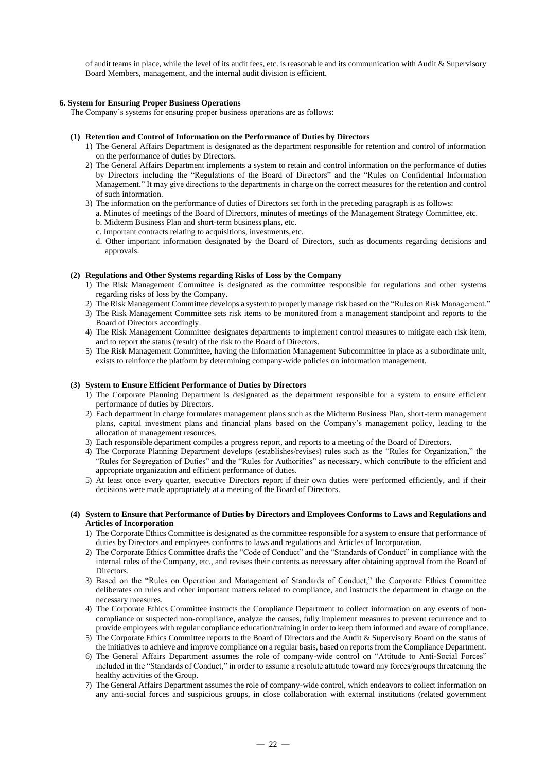of audit teams in place, while the level of its audit fees, etc. is reasonable and its communication with Audit & Supervisory Board Members, management, and the internal audit division is efficient.

### **6. System for Ensuring Proper Business Operations**

The Company's systems for ensuring proper business operations are as follows:

#### **(1) Retention and Control of Information on the Performance of Duties by Directors**

- 1) The General Affairs Department is designated as the department responsible for retention and control of information on the performance of duties by Directors.
- 2) The General Affairs Department implements a system to retain and control information on the performance of duties by Directors including the "Regulations of the Board of Directors" and the "Rules on Confidential Information Management." It may give directions to the departments in charge on the correct measures for the retention and control of such information.
- 3) The information on the performance of duties of Directors set forth in the preceding paragraph is as follows:
	- a. Minutes of meetings of the Board of Directors, minutes of meetings of the Management Strategy Committee, etc. b. Midterm Business Plan and short-term business plans, etc.
	- c. Important contracts relating to acquisitions, investments, etc.
	- d. Other important information designated by the Board of Directors, such as documents regarding decisions and approvals.

#### **(2) Regulations and Other Systems regarding Risks of Loss by the Company**

- 1) The Risk Management Committee is designated as the committee responsible for regulations and other systems regarding risks of loss by the Company.
- 2) The Risk Management Committee develops a system to properly manage risk based on the "Rules on Risk Management."
- 3) The Risk Management Committee sets risk items to be monitored from a management standpoint and reports to the Board of Directors accordingly.
- 4) The Risk Management Committee designates departments to implement control measures to mitigate each risk item, and to report the status (result) of the risk to the Board of Directors.
- 5) The Risk Management Committee, having the Information Management Subcommittee in place as a subordinate unit, exists to reinforce the platform by determining company-wide policies on information management.

### **(3) System to Ensure Efficient Performance of Duties by Directors**

- 1) The Corporate Planning Department is designated as the department responsible for a system to ensure efficient performance of duties by Directors.
- 2) Each department in charge formulates management plans such as the Midterm Business Plan, short-term management plans, capital investment plans and financial plans based on the Company's management policy, leading to the allocation of management resources.
- 3) Each responsible department compiles a progress report, and reports to a meeting of the Board of Directors.
- 4) The Corporate Planning Department develops (establishes/revises) rules such as the "Rules for Organization," the "Rules for Segregation of Duties" and the "Rules for Authorities" as necessary, which contribute to the efficient and appropriate organization and efficient performance of duties.
- 5) At least once every quarter, executive Directors report if their own duties were performed efficiently, and if their decisions were made appropriately at a meeting of the Board of Directors.

#### **(4) System to Ensure that Performance of Duties by Directors and Employees Conforms to Laws and Regulations and Articles of Incorporation**

- 1) The Corporate Ethics Committee is designated as the committee responsible for a system to ensure that performance of duties by Directors and employees conforms to laws and regulations and Articles of Incorporation.
- 2) The Corporate Ethics Committee drafts the "Code of Conduct" and the "Standards of Conduct" in compliance with the internal rules of the Company, etc., and revises their contents as necessary after obtaining approval from the Board of Directors.
- 3) Based on the "Rules on Operation and Management of Standards of Conduct," the Corporate Ethics Committee deliberates on rules and other important matters related to compliance, and instructs the department in charge on the necessary measures.
- 4) The Corporate Ethics Committee instructs the Compliance Department to collect information on any events of noncompliance or suspected non-compliance, analyze the causes, fully implement measures to prevent recurrence and to provide employees with regular compliance education/training in order to keep them informed and aware of compliance.
- 5) The Corporate Ethics Committee reports to the Board of Directors and the Audit & Supervisory Board on the status of the initiatives to achieve and improve compliance on a regular basis, based on reports from the Compliance Department.
- 6) The General Affairs Department assumes the role of company-wide control on "Attitude to Anti-Social Forces" included in the "Standards of Conduct," in order to assume a resolute attitude toward any forces/groups threatening the healthy activities of the Group.
- 7) The General Affairs Department assumes the role of company-wide control, which endeavors to collect information on any anti-social forces and suspicious groups, in close collaboration with external institutions (related government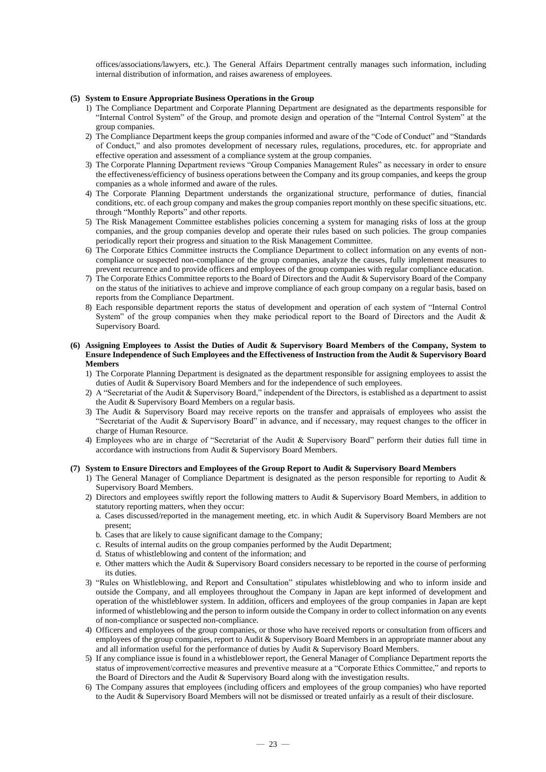offices/associations/lawyers, etc.). The General Affairs Department centrally manages such information, including internal distribution of information, and raises awareness of employees.

### **(5) System to Ensure Appropriate Business Operations in the Group**

- 1) The Compliance Department and Corporate Planning Department are designated as the departments responsible for "Internal Control System" of the Group, and promote design and operation of the "Internal Control System" at the group companies.
- 2) The Compliance Department keeps the group companies informed and aware of the "Code of Conduct" and "Standards of Conduct," and also promotes development of necessary rules, regulations, procedures, etc. for appropriate and effective operation and assessment of a compliance system at the group companies.
- 3) The Corporate Planning Department reviews "Group Companies Management Rules" as necessary in order to ensure the effectiveness/efficiency of business operations between the Company and its group companies, and keeps the group companies as a whole informed and aware of the rules.
- 4) The Corporate Planning Department understands the organizational structure, performance of duties, financial conditions, etc. of each group company and makes the group companies report monthly on these specific situations, etc. through "Monthly Reports" and other reports.
- 5) The Risk Management Committee establishes policies concerning a system for managing risks of loss at the group companies, and the group companies develop and operate their rules based on such policies. The group companies periodically report their progress and situation to the Risk Management Committee.
- 6) The Corporate Ethics Committee instructs the Compliance Department to collect information on any events of noncompliance or suspected non-compliance of the group companies, analyze the causes, fully implement measures to prevent recurrence and to provide officers and employees of the group companies with regular compliance education.
- 7) The Corporate Ethics Committee reports to the Board of Directors and the Audit & Supervisory Board of the Company on the status of the initiatives to achieve and improve compliance of each group company on a regular basis, based on reports from the Compliance Department.
- 8) Each responsible department reports the status of development and operation of each system of "Internal Control System" of the group companies when they make periodical report to the Board of Directors and the Audit & Supervisory Board.

### **(6) Assigning Employees to Assist the Duties of Audit & Supervisory Board Members of the Company, System to Ensure Independence of Such Employees and the Effectiveness of Instruction from the Audit & Supervisory Board Members**

- 1) The Corporate Planning Department is designated as the department responsible for assigning employees to assist the duties of Audit & Supervisory Board Members and for the independence of such employees.
- 2) A "Secretariat of the Audit & Supervisory Board," independent of the Directors, is established as a department to assist the Audit & Supervisory Board Members on a regular basis.
- 3) The Audit & Supervisory Board may receive reports on the transfer and appraisals of employees who assist the "Secretariat of the Audit & Supervisory Board" in advance, and if necessary, may request changes to the officer in charge of Human Resource.
- 4) Employees who are in charge of "Secretariat of the Audit & Supervisory Board" perform their duties full time in accordance with instructions from Audit & Supervisory Board Members.

### **(7) System to Ensure Directors and Employees of the Group Report to Audit & Supervisory Board Members**

- 1) The General Manager of Compliance Department is designated as the person responsible for reporting to Audit & Supervisory Board Members.
- 2) Directors and employees swiftly report the following matters to Audit & Supervisory Board Members, in addition to statutory reporting matters, when they occur:
	- a. Cases discussed/reported in the management meeting, etc. in which Audit & Supervisory Board Members are not present;
	- b. Cases that are likely to cause significant damage to the Company;
	- c. Results of internal audits on the group companies performed by the Audit Department;
	- d. Status of whistleblowing and content of the information; and
	- e. Other matters which the Audit & Supervisory Board considers necessary to be reported in the course of performing its duties.
- 3) "Rules on Whistleblowing, and Report and Consultation" stipulates whistleblowing and who to inform inside and outside the Company, and all employees throughout the Company in Japan are kept informed of development and operation of the whistleblower system. In addition, officers and employees of the group companies in Japan are kept informed of whistleblowing and the person to inform outside the Company in order to collect information on any events of non-compliance or suspected non-compliance.
- 4) Officers and employees of the group companies, or those who have received reports or consultation from officers and employees of the group companies, report to Audit & Supervisory Board Members in an appropriate manner about any and all information useful for the performance of duties by Audit & Supervisory Board Members.
- 5) If any compliance issue is found in a whistleblower report, the General Manager of Compliance Department reports the status of improvement/corrective measures and preventive measure at a "Corporate Ethics Committee," and reports to the Board of Directors and the Audit & Supervisory Board along with the investigation results.
- 6) The Company assures that employees (including officers and employees of the group companies) who have reported to the Audit & Supervisory Board Members will not be dismissed or treated unfairly as a result of their disclosure.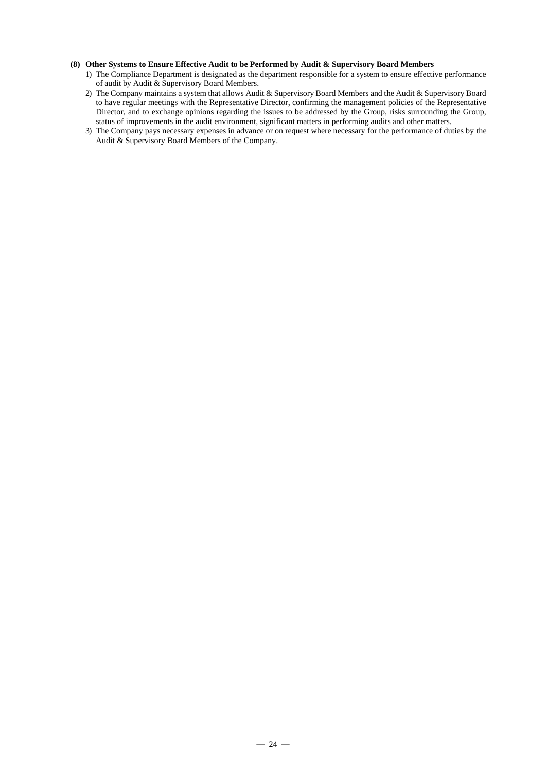### **(8) Other Systems to Ensure Effective Audit to be Performed by Audit & Supervisory Board Members**

- 1) The Compliance Department is designated as the department responsible for a system to ensure effective performance of audit by Audit & Supervisory Board Members.
- 2) The Company maintains a system that allows Audit & Supervisory Board Members and the Audit & Supervisory Board to have regular meetings with the Representative Director, confirming the management policies of the Representative Director, and to exchange opinions regarding the issues to be addressed by the Group, risks surrounding the Group, status of improvements in the audit environment, significant matters in performing audits and other matters.
- 3) The Company pays necessary expenses in advance or on request where necessary for the performance of duties by the Audit & Supervisory Board Members of the Company.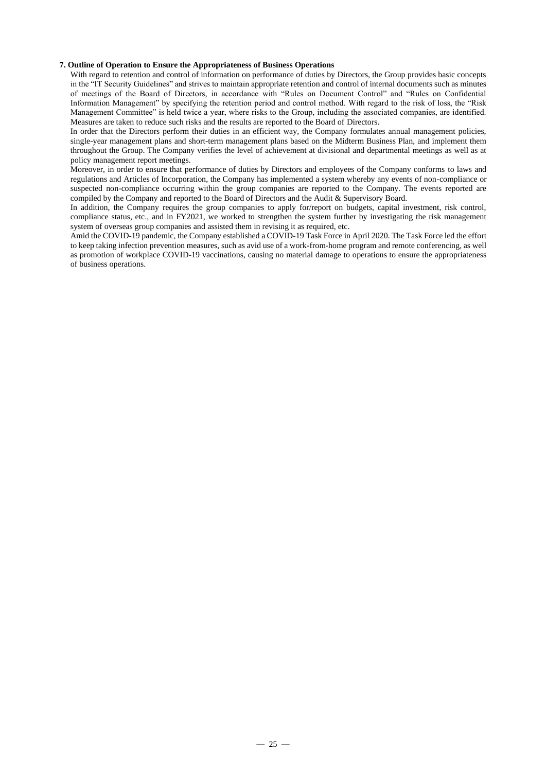### **7. Outline of Operation to Ensure the Appropriateness of Business Operations**

With regard to retention and control of information on performance of duties by Directors, the Group provides basic concepts in the "IT Security Guidelines" and strives to maintain appropriate retention and control of internal documents such as minutes of meetings of the Board of Directors, in accordance with "Rules on Document Control" and "Rules on Confidential Information Management" by specifying the retention period and control method. With regard to the risk of loss, the "Risk Management Committee" is held twice a year, where risks to the Group, including the associated companies, are identified. Measures are taken to reduce such risks and the results are reported to the Board of Directors.

In order that the Directors perform their duties in an efficient way, the Company formulates annual management policies, single-year management plans and short-term management plans based on the Midterm Business Plan, and implement them throughout the Group. The Company verifies the level of achievement at divisional and departmental meetings as well as at policy management report meetings.

Moreover, in order to ensure that performance of duties by Directors and employees of the Company conforms to laws and regulations and Articles of Incorporation, the Company has implemented a system whereby any events of non-compliance or suspected non-compliance occurring within the group companies are reported to the Company. The events reported are compiled by the Company and reported to the Board of Directors and the Audit & Supervisory Board.

In addition, the Company requires the group companies to apply for/report on budgets, capital investment, risk control, compliance status, etc., and in FY2021, we worked to strengthen the system further by investigating the risk management system of overseas group companies and assisted them in revising it as required, etc.

Amid the COVID-19 pandemic, the Company established a COVID-19 Task Force in April 2020. The Task Force led the effort to keep taking infection prevention measures, such as avid use of a work-from-home program and remote conferencing, as well as promotion of workplace COVID-19 vaccinations, causing no material damage to operations to ensure the appropriateness of business operations.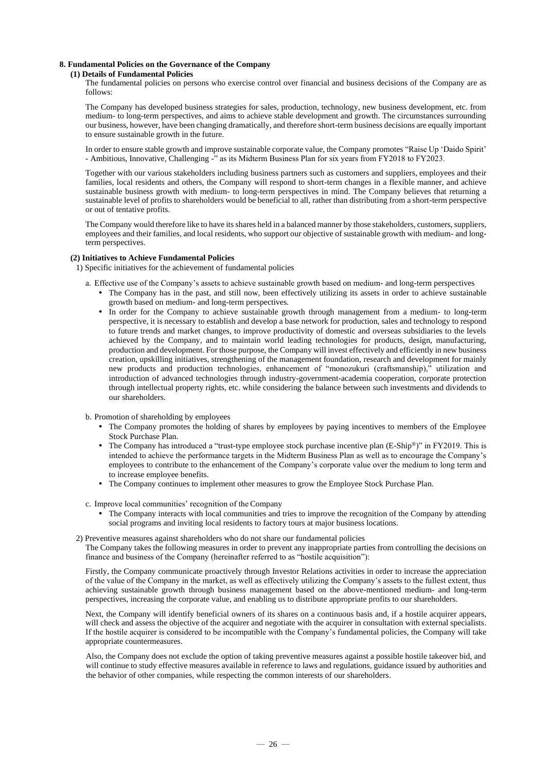### **8. Fundamental Policies on the Governance of the Company**

### **(1) Details of Fundamental Policies**

The fundamental policies on persons who exercise control over financial and business decisions of the Company are as follows:

The Company has developed business strategies for sales, production, technology, new business development, etc. from medium- to long-term perspectives, and aims to achieve stable development and growth. The circumstances surrounding our business, however, have been changing dramatically, and therefore short-term business decisions are equally important to ensure sustainable growth in the future.

In order to ensure stable growth and improve sustainable corporate value, the Company promotes "Raise Up 'Daido Spirit' - Ambitious, Innovative, Challenging -" as its Midterm Business Plan for six years from FY2018 to FY2023.

Together with our various stakeholders including business partners such as customers and suppliers, employees and their families, local residents and others, the Company will respond to short-term changes in a flexible manner, and achieve sustainable business growth with medium- to long-term perspectives in mind. The Company believes that returning a sustainable level of profits to shareholders would be beneficial to all, rather than distributing from a short-term perspective or out of tentative profits.

The Company would therefore like to have its shares held in a balanced manner by those stakeholders, customers, suppliers, employees and their families, and local residents, who support our objective of sustainable growth with medium- and longterm perspectives.

#### **(2) Initiatives to Achieve Fundamental Policies**

1) Specific initiatives for the achievement of fundamental policies

a. Effective use of the Company's assets to achieve sustainable growth based on medium- and long-term perspectives

- The Company has in the past, and still now, been effectively utilizing its assets in order to achieve sustainable growth based on medium- and long-term perspectives.
- In order for the Company to achieve sustainable growth through management from a medium- to long-term perspective, it is necessary to establish and develop a base network for production, sales and technology to respond to future trends and market changes, to improve productivity of domestic and overseas subsidiaries to the levels achieved by the Company, and to maintain world leading technologies for products, design, manufacturing, production and development. For those purpose, the Company will invest effectively and efficiently in new business creation, upskilling initiatives, strengthening of the management foundation, research and development for mainly new products and production technologies, enhancement of "monozukuri (craftsmanship)," utilization and introduction of advanced technologies through industry-government-academia cooperation, corporate protection through intellectual property rights, etc. while considering the balance between such investments and dividends to our shareholders.

b. Promotion of shareholding by employees

- The Company promotes the holding of shares by employees by paying incentives to members of the Employee Stock Purchase Plan.
- The Company has introduced a "trust-type employee stock purchase incentive plan (E-Ship®)" in FY2019. This is intended to achieve the performance targets in the Midterm Business Plan as well as to encourage the Company's employees to contribute to the enhancement of the Company's corporate value over the medium to long term and to increase employee benefits.
- The Company continues to implement other measures to grow the Employee Stock Purchase Plan.

c. Improve local communities' recognition of the Company

- The Company interacts with local communities and tries to improve the recognition of the Company by attending social programs and inviting local residents to factory tours at major business locations.
- 2) Preventive measures against shareholders who do not share our fundamental policies The Company takes the following measures in order to prevent any inappropriate parties from controlling the decisions on finance and business of the Company (hereinafter referred to as "hostile acquisition"):

Firstly, the Company communicate proactively through Investor Relations activities in order to increase the appreciation of the value of the Company in the market, as well as effectively utilizing the Company's assets to the fullest extent, thus achieving sustainable growth through business management based on the above-mentioned medium- and long-term perspectives, increasing the corporate value, and enabling us to distribute appropriate profits to our shareholders.

Next, the Company will identify beneficial owners of its shares on a continuous basis and, if a hostile acquirer appears, will check and assess the objective of the acquirer and negotiate with the acquirer in consultation with external specialists. If the hostile acquirer is considered to be incompatible with the Company's fundamental policies, the Company will take appropriate countermeasures.

Also, the Company does not exclude the option of taking preventive measures against a possible hostile takeover bid, and will continue to study effective measures available in reference to laws and regulations, guidance issued by authorities and the behavior of other companies, while respecting the common interests of our shareholders.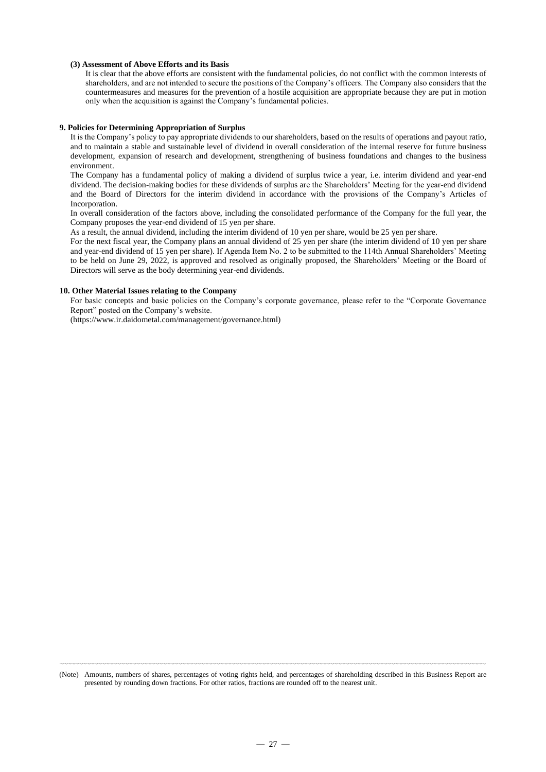#### **(3) Assessment of Above Efforts and its Basis**

It is clear that the above efforts are consistent with the fundamental policies, do not conflict with the common interests of shareholders, and are not intended to secure the positions of the Company's officers. The Company also considers that the countermeasures and measures for the prevention of a hostile acquisition are appropriate because they are put in motion only when the acquisition is against the Company's fundamental policies.

#### **9. Policies for Determining Appropriation of Surplus**

It is the Company's policy to pay appropriate dividends to our shareholders, based on the results of operations and payout ratio, and to maintain a stable and sustainable level of dividend in overall consideration of the internal reserve for future business development, expansion of research and development, strengthening of business foundations and changes to the business environment.

The Company has a fundamental policy of making a dividend of surplus twice a year, i.e. interim dividend and year-end dividend. The decision-making bodies for these dividends of surplus are the Shareholders' Meeting for the year-end dividend and the Board of Directors for the interim dividend in accordance with the provisions of the Company's Articles of Incorporation.

In overall consideration of the factors above, including the consolidated performance of the Company for the full year, the Company proposes the year-end dividend of 15 yen per share.

As a result, the annual dividend, including the interim dividend of 10 yen per share, would be 25 yen per share.

For the next fiscal year, the Company plans an annual dividend of 25 yen per share (the interim dividend of 10 yen per share and year-end dividend of 15 yen per share). If Agenda Item No. 2 to be submitted to the 114th Annual Shareholders' Meeting to be held on June 29, 2022, is approved and resolved as originally proposed, the Shareholders' Meeting or the Board of Directors will serve as the body determining year-end dividends.

#### **10. Other Material Issues relating to the Company**

For basic concepts and basic policies on the Company's corporate governance, please refer to the "Corporate Governance Report" posted on the Company's website.

(https://www.ir.daidometal.com/management/governance.html)

〰〰〰〰〰〰〰〰〰〰〰〰〰〰〰〰〰〰〰〰〰〰〰〰〰〰〰〰〰〰〰〰〰〰〰〰〰〰〰〰〰〰〰〰〰〰〰〰〰〰〰〰〰〰〰〰 (Note) Amounts, numbers of shares, percentages of voting rights held, and percentages of shareholding described in this Business Report are presented by rounding down fractions. For other ratios, fractions are rounded off to the nearest unit.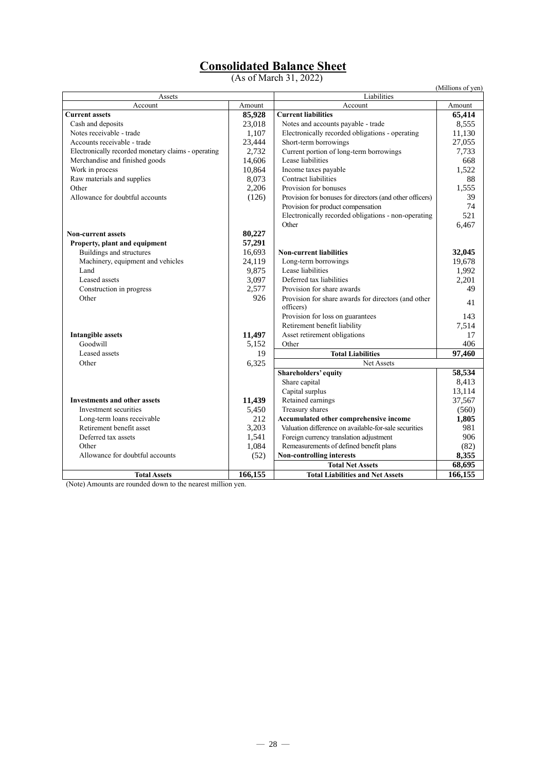### **Consolidated Balance Sheet**

(As of March 31, 2022)

|                                                     |         |                                                                  | (Millions of yen) |
|-----------------------------------------------------|---------|------------------------------------------------------------------|-------------------|
| Assets<br>Account                                   | Amount  | Liabilities<br>Account                                           | Amount            |
| <b>Current assets</b>                               | 85,928  | <b>Current liabilities</b>                                       | 65,414            |
| Cash and deposits                                   | 23,018  | Notes and accounts payable - trade                               | 8,555             |
| Notes receivable - trade                            | 1,107   | Electronically recorded obligations - operating                  | 11,130            |
| Accounts receivable - trade                         |         | Short-term borrowings                                            | 27,055            |
| Electronically recorded monetary claims - operating | 23,444  | Current portion of long-term borrowings                          |                   |
|                                                     | 2,732   | Lease liabilities                                                | 7,733             |
| Merchandise and finished goods                      | 14,606  |                                                                  | 668               |
| Work in process                                     | 10,864  | Income taxes payable                                             | 1,522             |
| Raw materials and supplies                          | 8,073   | Contract liabilities                                             | 88                |
| Other                                               | 2,206   | Provision for bonuses                                            | 1,555             |
| Allowance for doubtful accounts                     | (126)   | Provision for bonuses for directors (and other officers)         | 39                |
|                                                     |         | Provision for product compensation                               | 74                |
|                                                     |         | Electronically recorded obligations - non-operating              | 521               |
|                                                     |         | Other                                                            | 6,467             |
| Non-current assets                                  | 80,227  |                                                                  |                   |
| Property, plant and equipment                       | 57,291  |                                                                  |                   |
| Buildings and structures                            | 16,693  | <b>Non-current liabilities</b>                                   | 32,045            |
| Machinery, equipment and vehicles                   | 24,119  | Long-term borrowings                                             | 19,678            |
| Land                                                | 9,875   | Lease liabilities                                                | 1,992             |
| Leased assets                                       | 3,097   | Deferred tax liabilities                                         | 2,201             |
| Construction in progress                            | 2,577   | Provision for share awards                                       | 49                |
| Other                                               | 926     | Provision for share awards for directors (and other<br>officers) | 41                |
|                                                     |         | Provision for loss on guarantees                                 | 143               |
|                                                     |         | Retirement benefit liability                                     | 7,514             |
| <b>Intangible assets</b>                            | 11,497  | Asset retirement obligations                                     | 17                |
| Goodwill                                            | 5.152   | Other                                                            | 406               |
| Leased assets                                       | 19      | <b>Total Liabilities</b>                                         | 97,460            |
| Other                                               | 6,325   | <b>Net Assets</b>                                                |                   |
|                                                     |         | Shareholders' equity                                             | 58,534            |
|                                                     |         | Share capital                                                    | 8,413             |
|                                                     |         | Capital surplus                                                  | 13,114            |
| <b>Investments and other assets</b>                 | 11,439  | Retained earnings                                                | 37,567            |
| Investment securities                               | 5,450   | Treasury shares                                                  | (560)             |
| Long-term loans receivable                          | 212     | Accumulated other comprehensive income                           | 1,805             |
| Retirement benefit asset                            | 3,203   | Valuation difference on available-for-sale securities            | 981               |
| Deferred tax assets                                 | 1,541   | Foreign currency translation adjustment                          | 906               |
| Other                                               | 1,084   | Remeasurements of defined benefit plans                          | (82)              |
| Allowance for doubtful accounts                     | (52)    | Non-controlling interests                                        | 8,355             |
|                                                     |         | <b>Total Net Assets</b>                                          | 68,695            |
| <b>Total Assets</b>                                 | 166,155 | <b>Total Liabilities and Net Assets</b>                          | 166,155           |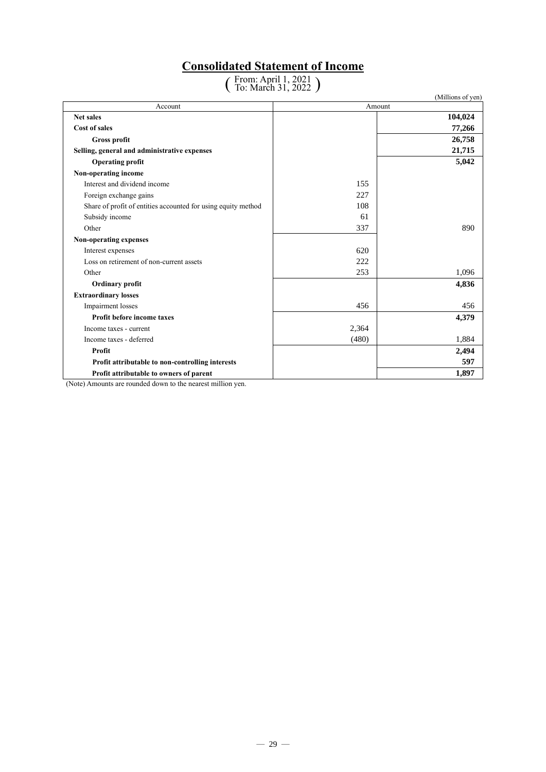### **Consolidated Statement of Income**

( From: April 1, 2021 To: March 31, 2022 )

|                                                               |        | (Millions of yen) |
|---------------------------------------------------------------|--------|-------------------|
| Account                                                       | Amount |                   |
| <b>Net sales</b>                                              |        | 104,024           |
| Cost of sales                                                 |        | 77,266            |
| <b>Gross profit</b>                                           |        | 26,758            |
| Selling, general and administrative expenses                  |        | 21,715            |
| <b>Operating profit</b>                                       |        | 5,042             |
| Non-operating income                                          |        |                   |
| Interest and dividend income                                  | 155    |                   |
| Foreign exchange gains                                        | 227    |                   |
| Share of profit of entities accounted for using equity method | 108    |                   |
| Subsidy income                                                | 61     |                   |
| Other                                                         | 337    | 890               |
| Non-operating expenses                                        |        |                   |
| Interest expenses                                             | 620    |                   |
| Loss on retirement of non-current assets                      | 222    |                   |
| Other                                                         | 253    | 1,096             |
| Ordinary profit                                               |        | 4,836             |
| <b>Extraordinary losses</b>                                   |        |                   |
| Impairment losses                                             | 456    | 456               |
| Profit before income taxes                                    |        | 4,379             |
| Income taxes - current                                        | 2,364  |                   |
| Income taxes - deferred                                       | (480)  | 1,884             |
| Profit                                                        |        | 2,494             |
| Profit attributable to non-controlling interests              |        | 597               |
| Profit attributable to owners of parent                       |        | 1,897             |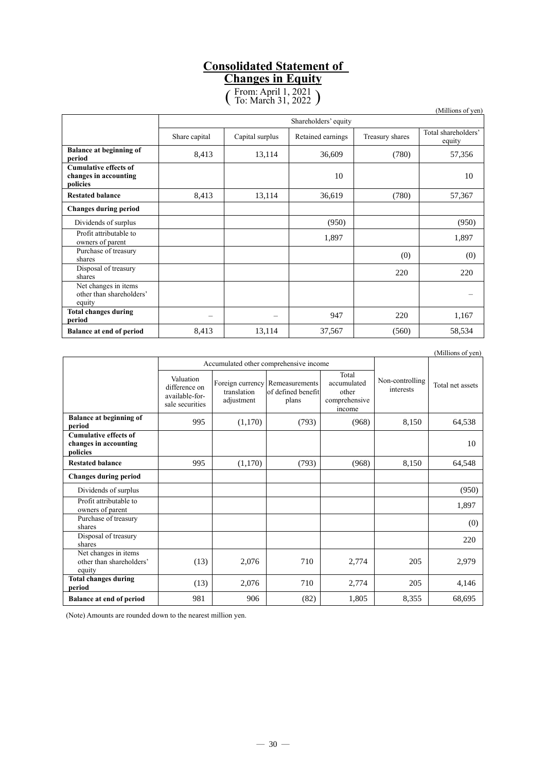## **Consolidated Statement of**

**Changes in Equity**

( From: April 1, 2021 To: March 31, 2022 )

|                                                                   |                      |                 |                   |                 | (Millions of yen)             |
|-------------------------------------------------------------------|----------------------|-----------------|-------------------|-----------------|-------------------------------|
|                                                                   | Shareholders' equity |                 |                   |                 |                               |
|                                                                   | Share capital        | Capital surplus | Retained earnings | Treasury shares | Total shareholders'<br>equity |
| <b>Balance at beginning of</b><br>period                          | 8,413                | 13,114          | 36,609            | (780)           | 57,356                        |
| <b>Cumulative effects of</b><br>changes in accounting<br>policies |                      |                 | 10                |                 | 10                            |
| <b>Restated balance</b>                                           | 8,413                | 13,114          | 36,619            | (780)           | 57,367                        |
| <b>Changes during period</b>                                      |                      |                 |                   |                 |                               |
| Dividends of surplus                                              |                      |                 | (950)             |                 | (950)                         |
| Profit attributable to<br>owners of parent                        |                      |                 | 1,897             |                 | 1,897                         |
| Purchase of treasury<br>shares                                    |                      |                 |                   | (0)             | (0)                           |
| Disposal of treasury<br>shares                                    |                      |                 |                   | 220             | 220                           |
| Net changes in items<br>other than shareholders'<br>equity        |                      |                 |                   |                 |                               |
| <b>Total changes during</b><br>period                             | -                    |                 | 947               | 220             | 1,167                         |
| <b>Balance at end of period</b>                                   | 8,413                | 13,114          | 37,567            | (560)           | 58,534                        |

(Millions of yen) Accumulated other comprehensive income Non-controlling Total net assets Valuation difference on available-forsale securities Foreign currency Remeasurements translation adjustment of defined benefit plans Total accumulated other comprehensive income **Balance at beginning of period** 8,150 **64,538**<br> **period** 8,150 64,538 **Cumulative effects of changes in accounting policies** 10 **Restated balance 1 995 (1,170)** (793) (968) 8,150 64,548 **Changes during period** Dividends of surplus (950) (950) (950) (950) (950) (950) (950) (950) (950) (950) (950) (950) (950) (950) (950) (950) (950) (950) (950) (950) (950) (950) (950) (950) (950) (950) (950) (950) (950) (950) (950) (950) (950) (95 Profit attributable to owners of parent the contract of the contract of the contract of the contract of the contract of the contract of the contract of the contract of the contract of the contract of the contract of the contract of the contract Purchase of treasury shares (0)<br>shares (0) Disposal of treasury  $\sum$ Shares 220 Net changes in items other than shareholders' equity  $(13)$  2,076 710 2,774 205 2,979 **Total changes during period** (13) 2,076 710 2,774 205 4,146 **Balance at end of period** 981 981 906 (82) 1,805 8,355 68,695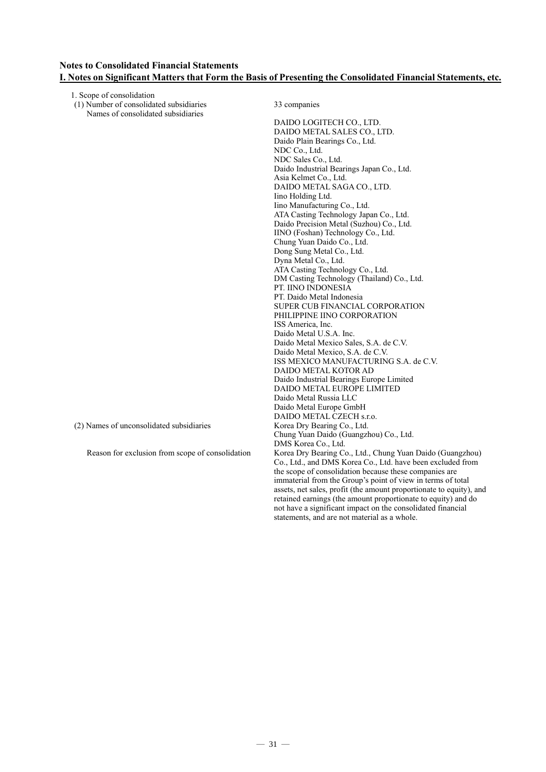### **Notes to Consolidated Financial Statements I. Notes on Significant Matters that Form the Basis of Presenting the Consolidated Financial Statements, etc.**

| 1. Scope of consolidation                        |                                                                     |
|--------------------------------------------------|---------------------------------------------------------------------|
| (1) Number of consolidated subsidiaries          | 33 companies                                                        |
| Names of consolidated subsidiaries               |                                                                     |
|                                                  | DAIDO LOGITECH CO., LTD.                                            |
|                                                  | DAIDO METAL SALES CO., LTD.                                         |
|                                                  | Daido Plain Bearings Co., Ltd.                                      |
|                                                  | NDC Co., Ltd.                                                       |
|                                                  | NDC Sales Co., Ltd.                                                 |
|                                                  | Daido Industrial Bearings Japan Co., Ltd.                           |
|                                                  | Asia Kelmet Co., Ltd.                                               |
|                                                  | DAIDO METAL SAGA CO., LTD.                                          |
|                                                  | Iino Holding Ltd.                                                   |
|                                                  | Iino Manufacturing Co., Ltd.                                        |
|                                                  | ATA Casting Technology Japan Co., Ltd.                              |
|                                                  | Daido Precision Metal (Suzhou) Co., Ltd.                            |
|                                                  | IINO (Foshan) Technology Co., Ltd.                                  |
|                                                  | Chung Yuan Daido Co., Ltd.                                          |
|                                                  | Dong Sung Metal Co., Ltd.                                           |
|                                                  | Dyna Metal Co., Ltd.                                                |
|                                                  | ATA Casting Technology Co., Ltd.                                    |
|                                                  | DM Casting Technology (Thailand) Co., Ltd.                          |
|                                                  | PT. IINO INDONESIA                                                  |
|                                                  | PT. Daido Metal Indonesia                                           |
|                                                  | SUPER CUB FINANCIAL CORPORATION                                     |
|                                                  | PHILIPPINE IINO CORPORATION                                         |
|                                                  | ISS America, Inc.                                                   |
|                                                  | Daido Metal U.S.A. Inc.                                             |
|                                                  | Daido Metal Mexico Sales, S.A. de C.V.                              |
|                                                  | Daido Metal Mexico, S.A. de C.V.                                    |
|                                                  | ISS MEXICO MANUFACTURING S.A. de C.V.                               |
|                                                  | DAIDO METAL KOTOR AD                                                |
|                                                  | Daido Industrial Bearings Europe Limited                            |
|                                                  | DAIDO METAL EUROPE LIMITED                                          |
|                                                  | Daido Metal Russia LLC                                              |
|                                                  | Daido Metal Europe GmbH                                             |
|                                                  | DAIDO METAL CZECH s.r.o.                                            |
| (2) Names of unconsolidated subsidiaries         | Korea Dry Bearing Co., Ltd.                                         |
|                                                  | Chung Yuan Daido (Guangzhou) Co., Ltd.                              |
|                                                  | DMS Korea Co., Ltd.                                                 |
| Reason for exclusion from scope of consolidation | Korea Dry Bearing Co., Ltd., Chung Yuan Daido (Guangzhou)           |
|                                                  | Co., Ltd., and DMS Korea Co., Ltd. have been excluded from          |
|                                                  | the scope of consolidation because these companies are              |
|                                                  | immaterial from the Group's point of view in terms of total         |
|                                                  | assets, net sales, profit (the amount proportionate to equity), and |
|                                                  | retained earnings (the amount proportionate to equity) and do       |
|                                                  | not have a significant impact on the consolidated financial         |
|                                                  | statements, and are not material as a whole.                        |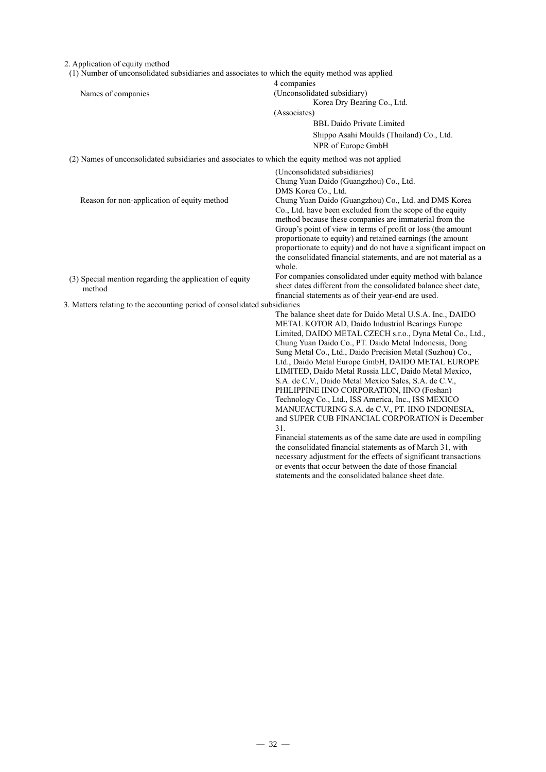| 2. Application of equity method<br>(1) Number of unconsolidated subsidiaries and associates to which the equity method was applied |                                                                                                                              |  |  |  |
|------------------------------------------------------------------------------------------------------------------------------------|------------------------------------------------------------------------------------------------------------------------------|--|--|--|
|                                                                                                                                    | 4 companies                                                                                                                  |  |  |  |
| Names of companies                                                                                                                 | (Unconsolidated subsidiary)                                                                                                  |  |  |  |
|                                                                                                                                    | Korea Dry Bearing Co., Ltd.                                                                                                  |  |  |  |
|                                                                                                                                    | (Associates)                                                                                                                 |  |  |  |
|                                                                                                                                    | <b>BBL Daido Private Limited</b>                                                                                             |  |  |  |
|                                                                                                                                    | Shippo Asahi Moulds (Thailand) Co., Ltd.                                                                                     |  |  |  |
|                                                                                                                                    | NPR of Europe GmbH                                                                                                           |  |  |  |
| (2) Names of unconsolidated subsidiaries and associates to which the equity method was not applied                                 |                                                                                                                              |  |  |  |
|                                                                                                                                    | (Unconsolidated subsidiaries)                                                                                                |  |  |  |
|                                                                                                                                    | Chung Yuan Daido (Guangzhou) Co., Ltd.<br>DMS Korea Co., Ltd.                                                                |  |  |  |
| Reason for non-application of equity method                                                                                        | Chung Yuan Daido (Guangzhou) Co., Ltd. and DMS Korea                                                                         |  |  |  |
|                                                                                                                                    | Co., Ltd. have been excluded from the scope of the equity                                                                    |  |  |  |
|                                                                                                                                    | method because these companies are immaterial from the                                                                       |  |  |  |
|                                                                                                                                    | Group's point of view in terms of profit or loss (the amount                                                                 |  |  |  |
|                                                                                                                                    | proportionate to equity) and retained earnings (the amount                                                                   |  |  |  |
|                                                                                                                                    | proportionate to equity) and do not have a significant impact on                                                             |  |  |  |
|                                                                                                                                    | the consolidated financial statements, and are not material as a                                                             |  |  |  |
|                                                                                                                                    | whole.                                                                                                                       |  |  |  |
| (3) Special mention regarding the application of equity                                                                            | For companies consolidated under equity method with balance                                                                  |  |  |  |
| method                                                                                                                             | sheet dates different from the consolidated balance sheet date,                                                              |  |  |  |
|                                                                                                                                    | financial statements as of their year-end are used.                                                                          |  |  |  |
| 3. Matters relating to the accounting period of consolidated subsidiaries                                                          |                                                                                                                              |  |  |  |
|                                                                                                                                    | The balance sheet date for Daido Metal U.S.A. Inc., DAIDO                                                                    |  |  |  |
|                                                                                                                                    | METAL KOTOR AD, Daido Industrial Bearings Europe                                                                             |  |  |  |
|                                                                                                                                    | Limited, DAIDO METAL CZECH s.r.o., Dyna Metal Co., Ltd.,                                                                     |  |  |  |
|                                                                                                                                    | Chung Yuan Daido Co., PT. Daido Metal Indonesia, Dong                                                                        |  |  |  |
|                                                                                                                                    | Sung Metal Co., Ltd., Daido Precision Metal (Suzhou) Co.,                                                                    |  |  |  |
|                                                                                                                                    | Ltd., Daido Metal Europe GmbH, DAIDO METAL EUROPE                                                                            |  |  |  |
|                                                                                                                                    | LIMITED, Daido Metal Russia LLC, Daido Metal Mexico,                                                                         |  |  |  |
|                                                                                                                                    | S.A. de C.V., Daido Metal Mexico Sales, S.A. de C.V.,                                                                        |  |  |  |
|                                                                                                                                    | PHILIPPINE IINO CORPORATION, IINO (Foshan)                                                                                   |  |  |  |
|                                                                                                                                    | Technology Co., Ltd., ISS America, Inc., ISS MEXICO                                                                          |  |  |  |
|                                                                                                                                    | MANUFACTURING S.A. de C.V., PT. IINO INDONESIA,                                                                              |  |  |  |
|                                                                                                                                    | and SUPER CUB FINANCIAL CORPORATION is December                                                                              |  |  |  |
|                                                                                                                                    | 31.                                                                                                                          |  |  |  |
|                                                                                                                                    | Financial statements as of the same date are used in compiling                                                               |  |  |  |
|                                                                                                                                    | the consolidated financial statements as of March 31, with                                                                   |  |  |  |
|                                                                                                                                    | necessary adjustment for the effects of significant transactions<br>or events that occur between the date of those financial |  |  |  |
|                                                                                                                                    |                                                                                                                              |  |  |  |

statements and the consolidated balance sheet date.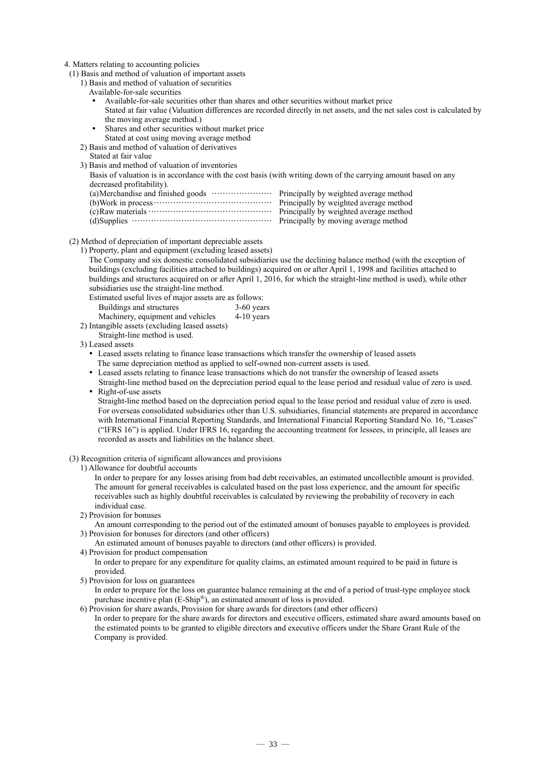#### 4. Matters relating to accounting policies

(1) Basis and method of valuation of important assets

- 1) Basis and method of valuation of securities
	- Available-for-sale securities
	- Available-for-sale securities other than shares and other securities without market price Stated at fair value (Valuation differences are recorded directly in net assets, and the net sales cost is calculated by the moving average method.)
	- Shares and other securities without market price Stated at cost using moving average method
- 2) Basis and method of valuation of derivatives
- Stated at fair value
- 3) Basis and method of valuation of inventories

Basis of valuation is in accordance with the cost basis (with writing down of the carrying amount based on any decreased profitability).

(2) Method of depreciation of important depreciable assets

1) Property, plant and equipment (excluding leased assets)

The Company and six domestic consolidated subsidiaries use the declining balance method (with the exception of buildings (excluding facilities attached to buildings) acquired on or after April 1, 1998 and facilities attached to buildings and structures acquired on or after April 1, 2016, for which the straight-line method is used), while other subsidiaries use the straight-line method.

Estimated useful lives of major assets are as follows:

| Buildings and structures                   | $3-60$ years |
|--------------------------------------------|--------------|
| Machinery, equipment and vehicles          | $4-10$ years |
| ntangihle accete (excluding leaced accete) |              |

2) Intangible assets (excluding leased assets) Straight-line method is used.

3) Leased assets

 Leased assets relating to finance lease transactions which transfer the ownership of leased assets The same depreciation method as applied to self-owned non-current assets is used.

- Leased assets relating to finance lease transactions which do not transfer the ownership of leased assets
- Straight-line method based on the depreciation period equal to the lease period and residual value of zero is used. Right-of-use assets

Straight-line method based on the depreciation period equal to the lease period and residual value of zero is used. For overseas consolidated subsidiaries other than U.S. subsidiaries, financial statements are prepared in accordance with International Financial Reporting Standards, and International Financial Reporting Standard No. 16, "Leases" ("IFRS 16") is applied. Under IFRS 16, regarding the accounting treatment for lessees, in principle, all leases are recorded as assets and liabilities on the balance sheet.

#### (3) Recognition criteria of significant allowances and provisions

1) Allowance for doubtful accounts

In order to prepare for any losses arising from bad debt receivables, an estimated uncollectible amount is provided. The amount for general receivables is calculated based on the past loss experience, and the amount for specific receivables such as highly doubtful receivables is calculated by reviewing the probability of recovery in each individual case.

- 2) Provision for bonuses
- An amount corresponding to the period out of the estimated amount of bonuses payable to employees is provided. 3) Provision for bonuses for directors (and other officers)
- An estimated amount of bonuses payable to directors (and other officers) is provided.

In order to prepare for any expenditure for quality claims, an estimated amount required to be paid in future is provided.

5) Provision for loss on guarantees

In order to prepare for the loss on guarantee balance remaining at the end of a period of trust-type employee stock purchase incentive plan (E-Ship®), an estimated amount of loss is provided.

6) Provision for share awards, Provision for share awards for directors (and other officers) In order to prepare for the share awards for directors and executive officers, estimated share award amounts based on the estimated points to be granted to eligible directors and executive officers under the Share Grant Rule of the Company is provided.

<sup>4)</sup> Provision for product compensation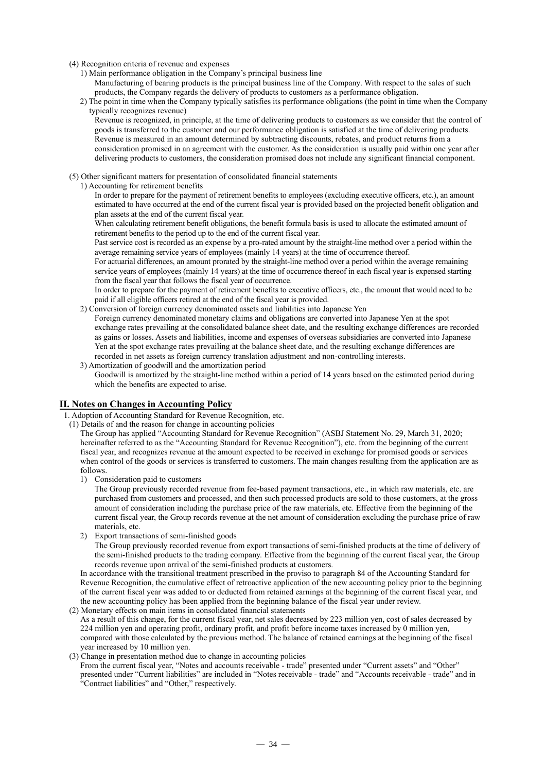### (4) Recognition criteria of revenue and expenses

- 1) Main performance obligation in the Company's principal business line
	- Manufacturing of bearing products is the principal business line of the Company. With respect to the sales of such products, the Company regards the delivery of products to customers as a performance obligation.
- 2) The point in time when the Company typically satisfies its performance obligations (the point in time when the Company typically recognizes revenue)

Revenue is recognized, in principle, at the time of delivering products to customers as we consider that the control of goods is transferred to the customer and our performance obligation is satisfied at the time of delivering products. Revenue is measured in an amount determined by subtracting discounts, rebates, and product returns from a consideration promised in an agreement with the customer. As the consideration is usually paid within one year after delivering products to customers, the consideration promised does not include any significant financial component.

- (5) Other significant matters for presentation of consolidated financial statements
- 1) Accounting for retirement benefits

In order to prepare for the payment of retirement benefits to employees (excluding executive officers, etc.), an amount estimated to have occurred at the end of the current fiscal year is provided based on the projected benefit obligation and plan assets at the end of the current fiscal year.

When calculating retirement benefit obligations, the benefit formula basis is used to allocate the estimated amount of retirement benefits to the period up to the end of the current fiscal year.

Past service cost is recorded as an expense by a pro-rated amount by the straight-line method over a period within the average remaining service years of employees (mainly 14 years) at the time of occurrence thereof.

For actuarial differences, an amount prorated by the straight-line method over a period within the average remaining service years of employees (mainly 14 years) at the time of occurrence thereof in each fiscal year is expensed starting from the fiscal year that follows the fiscal year of occurrence.

In order to prepare for the payment of retirement benefits to executive officers, etc., the amount that would need to be paid if all eligible officers retired at the end of the fiscal year is provided.

2) Conversion of foreign currency denominated assets and liabilities into Japanese Yen Foreign currency denominated monetary claims and obligations are converted into Japanese Yen at the spot exchange rates prevailing at the consolidated balance sheet date, and the resulting exchange differences are recorded as gains or losses. Assets and liabilities, income and expenses of overseas subsidiaries are converted into Japanese Yen at the spot exchange rates prevailing at the balance sheet date, and the resulting exchange differences are

recorded in net assets as foreign currency translation adjustment and non-controlling interests.

3) Amortization of goodwill and the amortization period Goodwill is amortized by the straight-line method within a period of 14 years based on the estimated period during which the benefits are expected to arise.

### **II. Notes on Changes in Accounting Policy**

- 1. Adoption of Accounting Standard for Revenue Recognition, etc.
- (1) Details of and the reason for change in accounting policies

The Group has applied "Accounting Standard for Revenue Recognition" (ASBJ Statement No. 29, March 31, 2020; hereinafter referred to as the "Accounting Standard for Revenue Recognition"), etc. from the beginning of the current fiscal year, and recognizes revenue at the amount expected to be received in exchange for promised goods or services when control of the goods or services is transferred to customers. The main changes resulting from the application are as follows.

1) Consideration paid to customers

The Group previously recorded revenue from fee-based payment transactions, etc., in which raw materials, etc. are purchased from customers and processed, and then such processed products are sold to those customers, at the gross amount of consideration including the purchase price of the raw materials, etc. Effective from the beginning of the current fiscal year, the Group records revenue at the net amount of consideration excluding the purchase price of raw materials, etc.

2) Export transactions of semi-finished goods

The Group previously recorded revenue from export transactions of semi-finished products at the time of delivery of the semi-finished products to the trading company. Effective from the beginning of the current fiscal year, the Group records revenue upon arrival of the semi-finished products at customers.

In accordance with the transitional treatment prescribed in the proviso to paragraph 84 of the Accounting Standard for Revenue Recognition, the cumulative effect of retroactive application of the new accounting policy prior to the beginning of the current fiscal year was added to or deducted from retained earnings at the beginning of the current fiscal year, and the new accounting policy has been applied from the beginning balance of the fiscal year under review. (2) Monetary effects on main items in consolidated financial statements

As a result of this change, for the current fiscal year, net sales decreased by 223 million yen, cost of sales decreased by 224 million yen and operating profit, ordinary profit, and profit before income taxes increased by 0 million yen, compared with those calculated by the previous method. The balance of retained earnings at the beginning of the fiscal year increased by 10 million yen.

### (3) Change in presentation method due to change in accounting policies

From the current fiscal year, "Notes and accounts receivable - trade" presented under "Current assets" and "Other" presented under "Current liabilities" are included in "Notes receivable - trade" and "Accounts receivable - trade" and in "Contract liabilities" and "Other," respectively.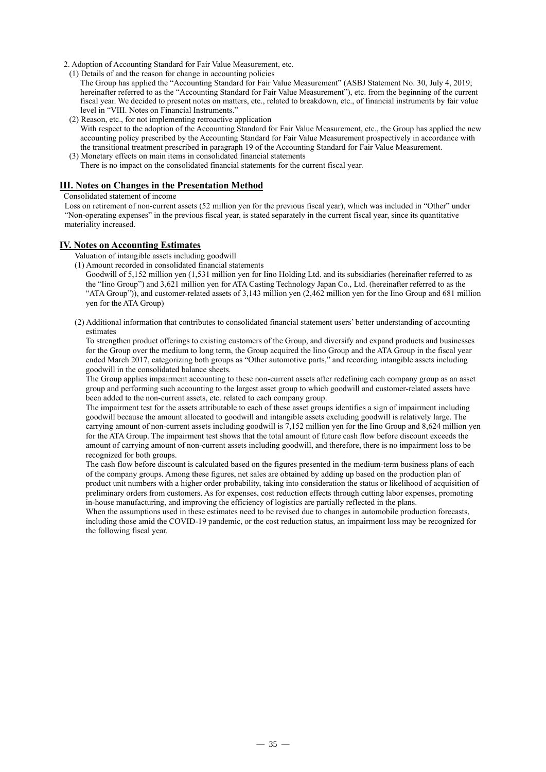- 2. Adoption of Accounting Standard for Fair Value Measurement, etc.
- (1) Details of and the reason for change in accounting policies
	- The Group has applied the "Accounting Standard for Fair Value Measurement" (ASBJ Statement No. 30, July 4, 2019; hereinafter referred to as the "Accounting Standard for Fair Value Measurement"), etc. from the beginning of the current fiscal year. We decided to present notes on matters, etc., related to breakdown, etc., of financial instruments by fair value level in "VIII. Notes on Financial Instruments."
- (2) Reason, etc., for not implementing retroactive application With respect to the adoption of the Accounting Standard for Fair Value Measurement, etc., the Group has applied the new accounting policy prescribed by the Accounting Standard for Fair Value Measurement prospectively in accordance with the transitional treatment prescribed in paragraph 19 of the Accounting Standard for Fair Value Measurement.
- (3) Monetary effects on main items in consolidated financial statements

There is no impact on the consolidated financial statements for the current fiscal year.

### **III. Notes on Changes in the Presentation Method**

Consolidated statement of income

Loss on retirement of non-current assets (52 million yen for the previous fiscal year), which was included in "Other" under "Non-operating expenses" in the previous fiscal year, is stated separately in the current fiscal year, since its quantitative materiality increased.

### **IV. Notes on Accounting Estimates**

Valuation of intangible assets including goodwill

- (1) Amount recorded in consolidated financial statements
	- Goodwill of 5,152 million yen (1,531 million yen for Iino Holding Ltd. and its subsidiaries (hereinafter referred to as the "Iino Group") and 3,621 million yen for ATA Casting Technology Japan Co., Ltd. (hereinafter referred to as the "ATA Group")), and customer-related assets of 3,143 million yen (2,462 million yen for the Iino Group and 681 million yen for the ATA Group)
- (2) Additional information that contributes to consolidated financial statement users' better understanding of accounting estimates

To strengthen product offerings to existing customers of the Group, and diversify and expand products and businesses for the Group over the medium to long term, the Group acquired the Iino Group and the ATA Group in the fiscal year ended March 2017, categorizing both groups as "Other automotive parts," and recording intangible assets including goodwill in the consolidated balance sheets.

The Group applies impairment accounting to these non-current assets after redefining each company group as an asset group and performing such accounting to the largest asset group to which goodwill and customer-related assets have been added to the non-current assets, etc. related to each company group.

The impairment test for the assets attributable to each of these asset groups identifies a sign of impairment including goodwill because the amount allocated to goodwill and intangible assets excluding goodwill is relatively large. The carrying amount of non-current assets including goodwill is  $\tilde{7}$ ,152 million yen for the Iino Group and 8,624 million yen for the ATA Group. The impairment test shows that the total amount of future cash flow before discount exceeds the amount of carrying amount of non-current assets including goodwill, and therefore, there is no impairment loss to be recognized for both groups.

The cash flow before discount is calculated based on the figures presented in the medium-term business plans of each of the company groups. Among these figures, net sales are obtained by adding up based on the production plan of product unit numbers with a higher order probability, taking into consideration the status or likelihood of acquisition of preliminary orders from customers. As for expenses, cost reduction effects through cutting labor expenses, promoting in-house manufacturing, and improving the efficiency of logistics are partially reflected in the plans.

When the assumptions used in these estimates need to be revised due to changes in automobile production forecasts, including those amid the COVID-19 pandemic, or the cost reduction status, an impairment loss may be recognized for the following fiscal year.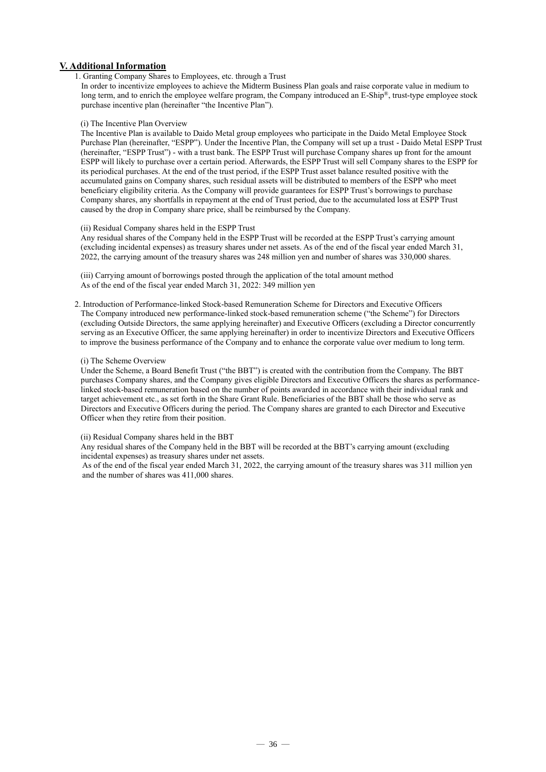### **V. Additional Information**

### 1. Granting Company Shares to Employees, etc. through a Trust

In order to incentivize employees to achieve the Midterm Business Plan goals and raise corporate value in medium to long term, and to enrich the employee welfare program, the Company introduced an E-Ship<sup>®</sup>, trust-type employee stock purchase incentive plan (hereinafter "the Incentive Plan").

### (i) The Incentive Plan Overview

The Incentive Plan is available to Daido Metal group employees who participate in the Daido Metal Employee Stock Purchase Plan (hereinafter, "ESPP"). Under the Incentive Plan, the Company will set up a trust - Daido Metal ESPP Trust (hereinafter, "ESPP Trust") - with a trust bank. The ESPP Trust will purchase Company shares up front for the amount ESPP will likely to purchase over a certain period. Afterwards, the ESPP Trust will sell Company shares to the ESPP for its periodical purchases. At the end of the trust period, if the ESPP Trust asset balance resulted positive with the accumulated gains on Company shares, such residual assets will be distributed to members of the ESPP who meet beneficiary eligibility criteria. As the Company will provide guarantees for ESPP Trust's borrowings to purchase Company shares, any shortfalls in repayment at the end of Trust period, due to the accumulated loss at ESPP Trust caused by the drop in Company share price, shall be reimbursed by the Company.

### (ii) Residual Company shares held in the ESPP Trust

Any residual shares of the Company held in the ESPP Trust will be recorded at the ESPP Trust's carrying amount (excluding incidental expenses) as treasury shares under net assets. As of the end of the fiscal year ended March 31, 2022, the carrying amount of the treasury shares was 248 million yen and number of shares was 330,000 shares.

(iii) Carrying amount of borrowings posted through the application of the total amount method As of the end of the fiscal year ended March 31, 2022: 349 million yen

2. Introduction of Performance-linked Stock-based Remuneration Scheme for Directors and Executive Officers The Company introduced new performance-linked stock-based remuneration scheme ("the Scheme") for Directors (excluding Outside Directors, the same applying hereinafter) and Executive Officers (excluding a Director concurrently serving as an Executive Officer, the same applying hereinafter) in order to incentivize Directors and Executive Officers to improve the business performance of the Company and to enhance the corporate value over medium to long term.

### (i) The Scheme Overview

Under the Scheme, a Board Benefit Trust ("the BBT") is created with the contribution from the Company. The BBT purchases Company shares, and the Company gives eligible Directors and Executive Officers the shares as performancelinked stock-based remuneration based on the number of points awarded in accordance with their individual rank and target achievement etc., as set forth in the Share Grant Rule. Beneficiaries of the BBT shall be those who serve as Directors and Executive Officers during the period. The Company shares are granted to each Director and Executive Officer when they retire from their position.

#### (ii) Residual Company shares held in the BBT

Any residual shares of the Company held in the BBT will be recorded at the BBT's carrying amount (excluding incidental expenses) as treasury shares under net assets.

As of the end of the fiscal year ended March 31, 2022, the carrying amount of the treasury shares was 311 million yen and the number of shares was 411,000 shares.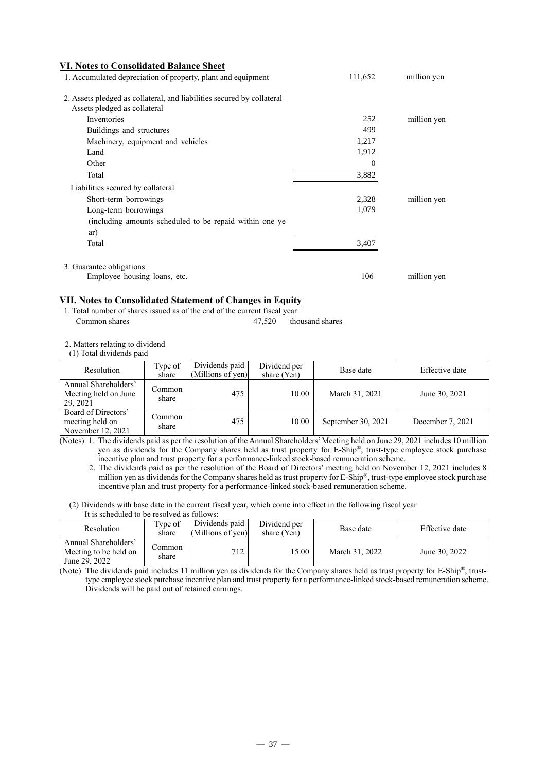| <b>VI. Notes to Consolidated Balance Sheet</b>                         |          |             |
|------------------------------------------------------------------------|----------|-------------|
| 1. Accumulated depreciation of property, plant and equipment           | 111,652  | million yen |
| 2. Assets pledged as collateral, and liabilities secured by collateral |          |             |
| Assets pledged as collateral                                           |          |             |
| Inventories                                                            | 252      | million yen |
| Buildings and structures                                               | 499      |             |
| Machinery, equipment and vehicles                                      | 1,217    |             |
| Land                                                                   | 1,912    |             |
| Other                                                                  | $\theta$ |             |
| Total                                                                  | 3,882    |             |
| Liabilities secured by collateral                                      |          |             |
| Short-term borrowings                                                  | 2,328    | million yen |
| Long-term borrowings                                                   | 1,079    |             |
| (including amounts scheduled to be repaid within one ye                |          |             |
| ar)                                                                    |          |             |
| Total                                                                  | 3,407    |             |
| 3. Guarantee obligations                                               |          |             |
| Employee housing loans, etc.                                           | 106      | million yen |

### **VII. Notes to Consolidated Statement of Changes in Equity**

1. Total number of shares issued as of the end of the current fiscal year Common shares 47,520 thousand shares

2. Matters relating to dividend

(1) Total dividends paid

| Resolution                                                  | Type of<br>share | Dividends paid<br>(Millions of yen) | Dividend per<br>share (Yen) | Base date          | Effective date   |
|-------------------------------------------------------------|------------------|-------------------------------------|-----------------------------|--------------------|------------------|
| Annual Shareholders'<br>Meeting held on June<br>29.2021     | Common<br>share  | 475                                 | 10.00                       | March 31, 2021     | June 30, 2021    |
| Board of Directors'<br>meeting held on<br>November 12, 2021 | share            | 475                                 | 10.00                       | September 30, 2021 | December 7, 2021 |

(Notes) 1. The dividends paid as per the resolution of the Annual Shareholders'Meeting held on June 29, 2021 includes 10 million yen as dividends for the Company shares held as trust property for E-Ship®, trust-type employee stock purchase incentive plan and trust property for a performance-linked stock-based remuneration scheme.

2. The dividends paid as per the resolution of the Board of Directors' meeting held on November 12, 2021 includes 8 million yen as dividends for the Company shares held as trust property for E-Ship®, trust-type employee stock purchase incentive plan and trust property for a performance-linked stock-based remuneration scheme.

<sup>(2)</sup> Dividends with base date in the current fiscal year, which come into effect in the following fiscal year It is scheduled to be resolved as follows:

| <b>Resolution</b>                                              | Type of<br>share | Dividends paid<br>(Millions of yen) | Dividend per<br>share (Yen) | Base date      | Effective date |
|----------------------------------------------------------------|------------------|-------------------------------------|-----------------------------|----------------|----------------|
| Annual Shareholders'<br>Meeting to be held on<br>June 29, 2022 | Common<br>share  | 712                                 | 5.00                        | March 31, 2022 | June 30, 2022  |

(Note) The dividends paid includes 11 million yen as dividends for the Company shares held as trust property for E-Ship®, trusttype employee stock purchase incentive plan and trust property for a performance-linked stock-based remuneration scheme. Dividends will be paid out of retained earnings.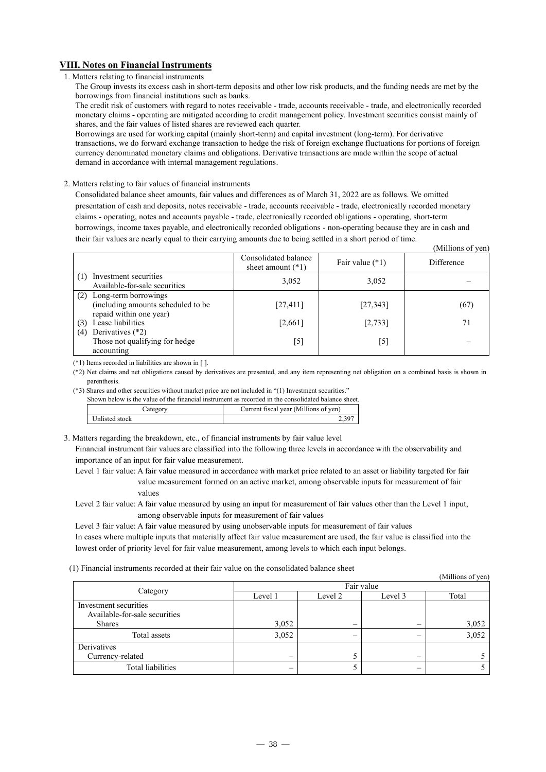### **VIII. Notes on Financial Instruments**

### 1. Matters relating to financial instruments

The Group invests its excess cash in short-term deposits and other low risk products, and the funding needs are met by the borrowings from financial institutions such as banks.

The credit risk of customers with regard to notes receivable - trade, accounts receivable - trade, and electronically recorded monetary claims - operating are mitigated according to credit management policy. Investment securities consist mainly of shares, and the fair values of listed shares are reviewed each quarter.

Borrowings are used for working capital (mainly short-term) and capital investment (long-term). For derivative transactions, we do forward exchange transaction to hedge the risk of foreign exchange fluctuations for portions of foreign currency denominated monetary claims and obligations. Derivative transactions are made within the scope of actual demand in accordance with internal management regulations.

### 2. Matters relating to fair values of financial instruments

Consolidated balance sheet amounts, fair values and differences as of March 31, 2022 are as follows. We omitted presentation of cash and deposits, notes receivable - trade, accounts receivable - trade, electronically recorded monetary claims - operating, notes and accounts payable - trade, electronically recorded obligations - operating, short-term borrowings, income taxes payable, and electronically recorded obligations - non-operating because they are in cash and their fair values are nearly equal to their carrying amounts due to being settled in a short period of time. (Millions of yen)

|                                                                                           |                                             |                   | (TATHITOITS OF ACIT) |
|-------------------------------------------------------------------------------------------|---------------------------------------------|-------------------|----------------------|
|                                                                                           | Consolidated balance<br>sheet amount $(*1)$ | Fair value $(*1)$ | Difference           |
| Investment securities<br>(1)<br>Available-for-sale securities                             | 3,052                                       | 3,052             |                      |
| (2) Long-term borrowings<br>(including amounts scheduled to be<br>repaid within one year) | [27, 411]                                   | [27, 343]         | (67)                 |
| Lease liabilities<br>(3)                                                                  | [2,661]                                     | [2, 733]          | 71                   |
| Derivatives (*2)<br>(4)                                                                   |                                             |                   |                      |
| Those not qualifying for hedge                                                            | [5]                                         | $[5]$             |                      |
| accounting                                                                                |                                             |                   |                      |

(\*1) Items recorded in liabilities are shown in [ ].

(\*2) Net claims and net obligations caused by derivatives are presented, and any item representing net obligation on a combined basis is shown in parenthesis.

(\*3) Shares and other securities without market price are not included in "(1) Investment securities."

| Shown below is the value of the financial instrument as recorded in the consolidated balance sheet. |                                       |  |  |
|-----------------------------------------------------------------------------------------------------|---------------------------------------|--|--|
| Category                                                                                            | Current fiscal vear (Millions of ven) |  |  |
| Unlisted stock                                                                                      | 2.397                                 |  |  |

3. Matters regarding the breakdown, etc., of financial instruments by fair value level

Financial instrument fair values are classified into the following three levels in accordance with the observability and importance of an input for fair value measurement.

Level 1 fair value: A fair value measured in accordance with market price related to an asset or liability targeted for fair value measurement formed on an active market, among observable inputs for measurement of fair values

Level 2 fair value: A fair value measured by using an input for measurement of fair values other than the Level 1 input, among observable inputs for measurement of fair values

Level 3 fair value: A fair value measured by using unobservable inputs for measurement of fair values

In cases where multiple inputs that materially affect fair value measurement are used, the fair value is classified into the lowest order of priority level for fair value measurement, among levels to which each input belongs.

(1) Financial instruments recorded at their fair value on the consolidated balance sheet

|                                                        | <br>Fair value |                          |                          |       |  |  |
|--------------------------------------------------------|----------------|--------------------------|--------------------------|-------|--|--|
| Category                                               | Level 1        | Level 2                  | Level 3                  | Total |  |  |
| Investment securities<br>Available-for-sale securities |                |                          |                          |       |  |  |
| <b>Shares</b>                                          | 3,052          | $\overline{\phantom{0}}$ |                          | 3,052 |  |  |
| Total assets                                           | 3,052          | –                        |                          | 3,052 |  |  |
| Derivatives                                            |                |                          |                          |       |  |  |
| Currency-related                                       |                |                          | $\overline{\phantom{0}}$ |       |  |  |
| Total liabilities                                      |                |                          |                          |       |  |  |

(Millions of yen)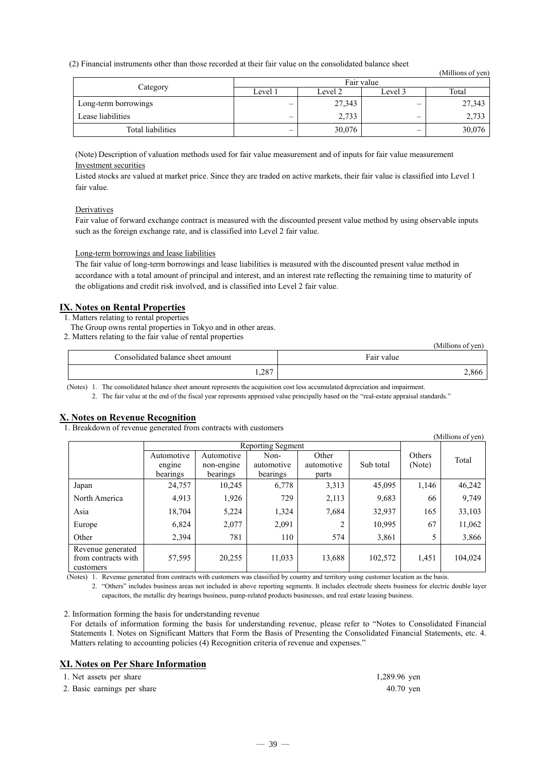### (2) Financial instruments other than those recorded at their fair value on the consolidated balance sheet

|                      |            |         |                          | (Millions of yen) |  |  |
|----------------------|------------|---------|--------------------------|-------------------|--|--|
|                      | Fair value |         |                          |                   |  |  |
| Category             | Level 1    | Level 2 | Level 3                  | Total             |  |  |
| Long-term borrowings | _          | 27,343  | –                        | 27,343            |  |  |
| Lease liabilities    | _          | 2,733   | —                        | 2,733             |  |  |
| Total liabilities    | –          | 30,076  | $\overline{\phantom{0}}$ | 30,076            |  |  |

(Note) Description of valuation methods used for fair value measurement and of inputs for fair value measurement Investment securities

Listed stocks are valued at market price. Since they are traded on active markets, their fair value is classified into Level 1 fair value.

### **Derivatives**

Fair value of forward exchange contract is measured with the discounted present value method by using observable inputs such as the foreign exchange rate, and is classified into Level 2 fair value.

#### Long-term borrowings and lease liabilities

The fair value of long-term borrowings and lease liabilities is measured with the discounted present value method in accordance with a total amount of principal and interest, and an interest rate reflecting the remaining time to maturity of the obligations and credit risk involved, and is classified into Level 2 fair value.

### **IX. Notes on Rental Properties**

1. Matters relating to rental properties

- The Group owns rental properties in Tokyo and in other areas.
- 2. Matters relating to the fair value of rental properties

|                                   | (Millions of yen) |
|-----------------------------------|-------------------|
| Consolidated balance sheet amount | Fair value        |
| 1,287                             | 2.866             |

(Notes) 1. The consolidated balance sheet amount represents the acquisition cost less accumulated depreciation and impairment.

2. The fair value at the end of the fiscal year represents appraised value principally based on the "real-estate appraisal standards."

### **X. Notes on Revenue Recognition**

1. Breakdown of revenue generated from contracts with customers

|                                                       |                                  |                                      |                                |                              |           |                  | (Millions of yen) |
|-------------------------------------------------------|----------------------------------|--------------------------------------|--------------------------------|------------------------------|-----------|------------------|-------------------|
|                                                       | Reporting Segment                |                                      |                                |                              |           |                  |                   |
|                                                       | Automotive<br>engine<br>bearings | Automotive<br>non-engine<br>bearings | Non-<br>automotive<br>bearings | Other<br>automotive<br>parts | Sub total | Others<br>(Note) | Total             |
| Japan                                                 | 24,757                           | 10.245                               | 6,778                          | 3,313                        | 45,095    | 1,146            | 46,242            |
| North America                                         | 4,913                            | 1,926                                | 729                            | 2,113                        | 9,683     | 66               | 9,749             |
| Asia                                                  | 18,704                           | 5,224                                | 1,324                          | 7,684                        | 32,937    | 165              | 33,103            |
| Europe                                                | 6,824                            | 2,077                                | 2,091                          | 2                            | 10,995    | 67               | 11,062            |
| Other                                                 | 2,394                            | 781                                  | 110                            | 574                          | 3,861     | 5                | 3,866             |
| Revenue generated<br>from contracts with<br>customers | 57,595                           | 20,255                               | 11,033                         | 13,688                       | 102,572   | 1,451            | 104,024           |

(Notes) 1. Revenue generated from contracts with customers was classified by country and territory using customer location as the basis.

2. "Others" includes business areas not included in above reporting segments. It includes electrode sheets business for electric double layer capacitors, the metallic dry bearings business, pump-related products businesses, and real estate leasing business.

#### 2. Information forming the basis for understanding revenue

For details of information forming the basis for understanding revenue, please refer to "Notes to Consolidated Financial Statements I. Notes on Significant Matters that Form the Basis of Presenting the Consolidated Financial Statements, etc. 4. Matters relating to accounting policies (4) Recognition criteria of revenue and expenses."

### **XI. Notes on Per Share Information**

| 1. Net assets per share     | 1,289.96 yen |
|-----------------------------|--------------|
| 2. Basic earnings per share | $40.70$ yen  |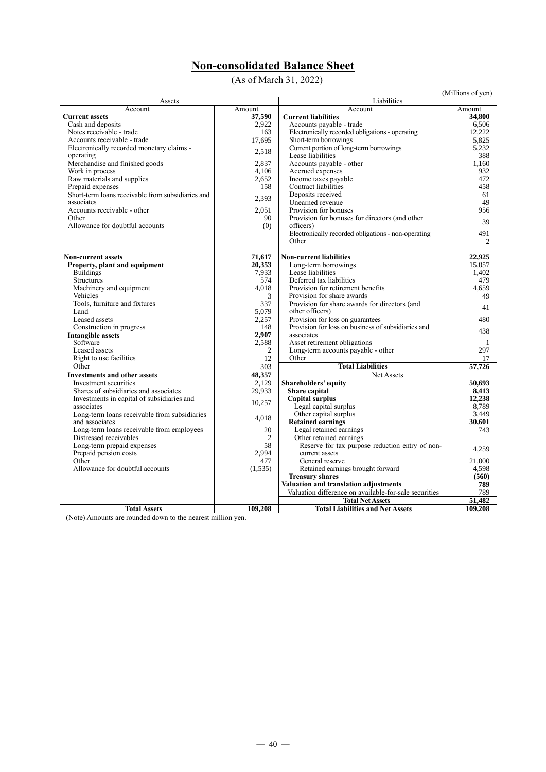## **Non-consolidated Balance Sheet**

(As of March 31, 2022)

|                                                                |                  |                                                       | (Millions of yen) |
|----------------------------------------------------------------|------------------|-------------------------------------------------------|-------------------|
| Assets                                                         |                  | Liabilities<br>Account                                |                   |
| Account<br><b>Current assets</b>                               | Amount<br>37.590 | <b>Current liabilities</b>                            | Amount<br>34.800  |
| Cash and deposits                                              | 2,922            | Accounts payable - trade                              | 6,506             |
| Notes receivable - trade                                       | 163              | Electronically recorded obligations - operating       | 12.222            |
| Accounts receivable - trade                                    | 17,695           | Short-term borrowings                                 | 5,825             |
| Electronically recorded monetary claims -                      |                  | Current portion of long-term borrowings               | 5.232             |
| operating                                                      | 2,518            | Lease liabilities                                     | 388               |
| Merchandise and finished goods                                 | 2,837            | Accounts payable - other                              | 1,160             |
| Work in process                                                | 4,106            | Accrued expenses                                      | 932               |
| Raw materials and supplies                                     | 2,652            | Income taxes payable                                  | 472               |
| Prepaid expenses                                               | 158              | Contract liabilities                                  | 458               |
| Short-term loans receivable from subsidiaries and              | 2,393            | Deposits received                                     | 61                |
| associates                                                     |                  | Unearned revenue                                      | 49                |
| Accounts receivable - other                                    | 2.051            | Provision for bonuses                                 | 956               |
| Other                                                          | 90               | Provision for bonuses for directors (and other        | 39                |
| Allowance for doubtful accounts                                | (0)              | officers)                                             |                   |
|                                                                |                  | Electronically recorded obligations - non-operating   | 491               |
|                                                                |                  | Other                                                 | 2                 |
| <b>Non-current assets</b>                                      | 71,617           | <b>Non-current liabilities</b>                        | 22,925            |
| Property, plant and equipment                                  | 20,353           | Long-term borrowings                                  | 15.057            |
| <b>Buildings</b>                                               | 7.933            | Lease liabilities                                     | 1.402             |
| <b>Structures</b>                                              | 574              | Deferred tax liabilities                              | 479               |
| Machinery and equipment                                        | 4.018            | Provision for retirement benefits                     | 4.659             |
| Vehicles                                                       | 3                | Provision for share awards                            | 49                |
| Tools, furniture and fixtures                                  | 337              | Provision for share awards for directors (and         |                   |
| Land                                                           | 5.079            | other officers)                                       | 41                |
| Leased assets                                                  | 2.257            | Provision for loss on guarantees                      | 480               |
| Construction in progress                                       | 148              | Provision for loss on business of subsidiaries and    | 438               |
| <b>Intangible assets</b>                                       | 2,907            | associates                                            |                   |
| Software                                                       | 2,588            | Asset retirement obligations                          | 1                 |
| Leased assets                                                  | 2                | Long-term accounts payable - other                    | 297               |
| Right to use facilities                                        | 12               | Other                                                 | 17                |
| Other                                                          | 303              | <b>Total Liabilities</b>                              | 57,726            |
| <b>Investments and other assets</b>                            | 48,357           | Net Assets                                            |                   |
| Investment securities                                          | 2.129            | <b>Shareholders' equity</b>                           | 50.693            |
| Shares of subsidiaries and associates                          | 29,933           | Share capital                                         | 8.413             |
| Investments in capital of subsidiaries and                     | 10,257           | <b>Capital surplus</b>                                | 12.238            |
| associates                                                     |                  | Legal capital surplus                                 | 8.789             |
| Long-term loans receivable from subsidiaries<br>and associates | 4.018            | Other capital surplus<br><b>Retained earnings</b>     | 3.449<br>30,601   |
| Long-term loans receivable from employees                      | 20               | Legal retained earnings                               | 743               |
| Distressed receivables                                         | 2                | Other retained earnings                               |                   |
| Long-term prepaid expenses                                     | 58               | Reserve for tax purpose reduction entry of non-       |                   |
| Prepaid pension costs                                          | 2,994            | current assets                                        | 4.259             |
| Other                                                          | 477              | General reserve                                       | 21.000            |
| Allowance for doubtful accounts                                | (1,535)          | Retained earnings brought forward                     | 4,598             |
|                                                                |                  | <b>Treasury shares</b>                                | (560)             |
|                                                                |                  | Valuation and translation adjustments                 | 789               |
|                                                                |                  | Valuation difference on available-for-sale securities | 789               |
|                                                                |                  | <b>Total Net Assets</b>                               | 51.482            |
| <b>Total Assets</b>                                            | 109,208          | <b>Total Liabilities and Net Assets</b>               | 109.208           |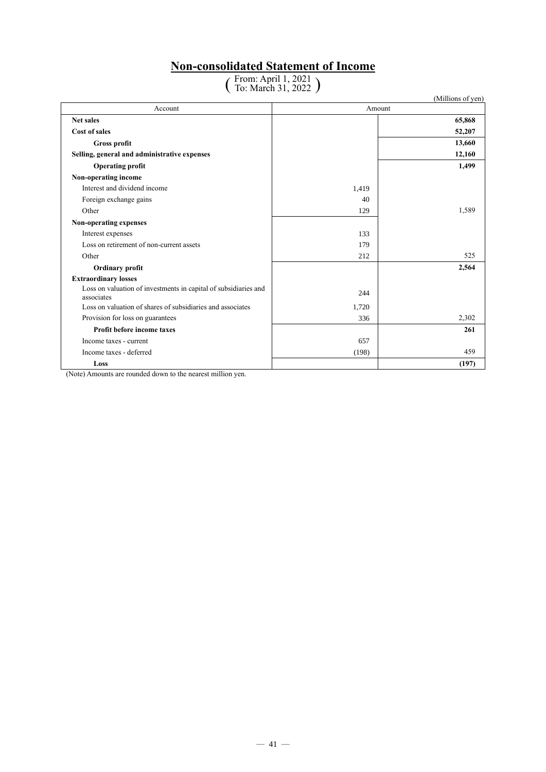### **Non-consolidated Statement of Income**

# ( From: April 1, 2021 To: March 31, 2022 )

|                                                                               |       | (Millions of yen) |
|-------------------------------------------------------------------------------|-------|-------------------|
| Account                                                                       |       | Amount            |
| <b>Net sales</b>                                                              |       | 65,868            |
| Cost of sales                                                                 |       | 52,207            |
| Gross profit                                                                  |       | 13,660            |
| Selling, general and administrative expenses                                  |       | 12,160            |
| <b>Operating profit</b>                                                       |       | 1,499             |
| Non-operating income                                                          |       |                   |
| Interest and dividend income                                                  | 1,419 |                   |
| Foreign exchange gains                                                        | 40    |                   |
| Other                                                                         | 129   | 1,589             |
| Non-operating expenses                                                        |       |                   |
| Interest expenses                                                             | 133   |                   |
| Loss on retirement of non-current assets                                      | 179   |                   |
| Other                                                                         | 212   | 525               |
| <b>Ordinary profit</b>                                                        |       | 2,564             |
| <b>Extraordinary losses</b>                                                   |       |                   |
| Loss on valuation of investments in capital of subsidiaries and<br>associates | 244   |                   |
| Loss on valuation of shares of subsidiaries and associates                    | 1,720 |                   |
| Provision for loss on guarantees                                              | 336   | 2,302             |
| Profit before income taxes                                                    |       | 261               |
| Income taxes - current                                                        | 657   |                   |
| Income taxes - deferred                                                       | (198) | 459               |
| Loss                                                                          |       | (197)             |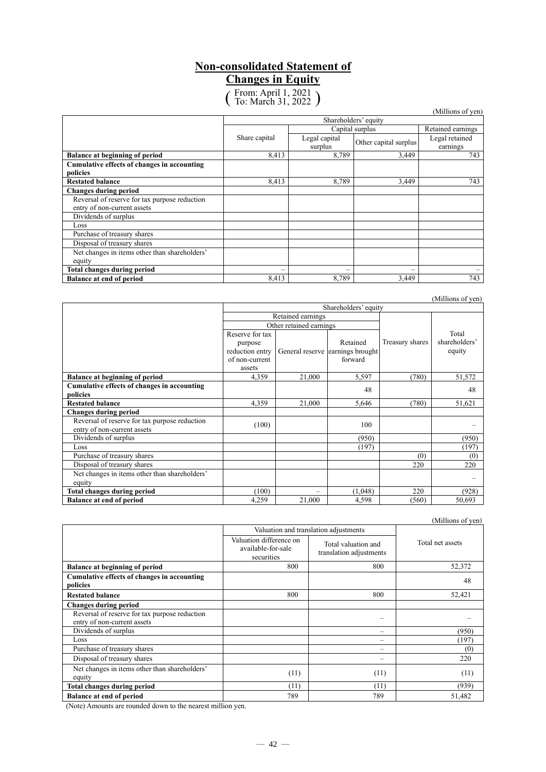### **Non-consolidated Statement of Changes in Equity**

( From: April 1, 2021 To: March 31, 2022 )

|                                               |                      |                          |                       | (Millions of yen)          |
|-----------------------------------------------|----------------------|--------------------------|-----------------------|----------------------------|
|                                               | Shareholders' equity |                          |                       |                            |
|                                               |                      |                          | Capital surplus       | Retained earnings          |
|                                               | Share capital        | Legal capital<br>surplus | Other capital surplus | Legal retained<br>earnings |
| <b>Balance at beginning of period</b>         | 8,413                | 8,789                    | 3,449                 | 743                        |
| Cumulative effects of changes in accounting   |                      |                          |                       |                            |
| policies                                      |                      |                          |                       |                            |
| <b>Restated balance</b>                       | 8.413                | 8,789                    | 3.449                 | 743                        |
| <b>Changes during period</b>                  |                      |                          |                       |                            |
| Reversal of reserve for tax purpose reduction |                      |                          |                       |                            |
| entry of non-current assets                   |                      |                          |                       |                            |
| Dividends of surplus                          |                      |                          |                       |                            |
| Loss                                          |                      |                          |                       |                            |
| Purchase of treasury shares                   |                      |                          |                       |                            |
| Disposal of treasury shares                   |                      |                          |                       |                            |
| Net changes in items other than shareholders' |                      |                          |                       |                            |
| equity                                        |                      |                          |                       |                            |
| <b>Total changes during period</b>            |                      | $\overline{\phantom{0}}$ |                       |                            |
| <b>Balance at end of period</b>               | 8,413                | 8.789                    | 3.449                 | 743                        |

| Shareholders' equity                                                         |                                                                           |                         |                                                         |                 | (TAHIHOIIS OF YEIL)              |
|------------------------------------------------------------------------------|---------------------------------------------------------------------------|-------------------------|---------------------------------------------------------|-----------------|----------------------------------|
|                                                                              |                                                                           | Retained earnings       |                                                         |                 |                                  |
|                                                                              |                                                                           | Other retained earnings |                                                         |                 |                                  |
|                                                                              | Reserve for tax<br>purpose<br>reduction entry<br>of non-current<br>assets |                         | Retained<br>General reserve earnings brought<br>forward | Treasury shares | Total<br>shareholders'<br>equity |
| <b>Balance at beginning of period</b>                                        | 4,359                                                                     | 21,000                  | 5,597                                                   | (780)           | 51,572                           |
| Cumulative effects of changes in accounting<br>policies                      |                                                                           |                         | 48                                                      |                 | 48                               |
| <b>Restated balance</b>                                                      | 4,359                                                                     | 21,000                  | 5,646                                                   | (780)           | 51,621                           |
| <b>Changes during period</b>                                                 |                                                                           |                         |                                                         |                 |                                  |
| Reversal of reserve for tax purpose reduction<br>entry of non-current assets | (100)                                                                     |                         | 100                                                     |                 |                                  |
| Dividends of surplus                                                         |                                                                           |                         | (950)                                                   |                 | (950)                            |
| Loss                                                                         |                                                                           |                         | (197)                                                   |                 | (197)                            |
| Purchase of treasury shares                                                  |                                                                           |                         |                                                         | (0)             | (0)                              |
| Disposal of treasury shares                                                  |                                                                           |                         |                                                         | 220             | 220                              |
| Net changes in items other than shareholders'<br>equity                      |                                                                           |                         |                                                         |                 |                                  |
| <b>Total changes during period</b>                                           | (100)<br>220<br>(1,048)<br>(928)                                          |                         |                                                         |                 |                                  |
| <b>Balance at end of period</b>                                              | 4,259                                                                     | 21,000                  | 4,598                                                   | (560)           | 50,693                           |

(Millions of yen)

|                                                                              | Valuation and translation adjustments                       |                                                |                  |
|------------------------------------------------------------------------------|-------------------------------------------------------------|------------------------------------------------|------------------|
|                                                                              | Valuation difference on<br>available-for-sale<br>securities | Total valuation and<br>translation adjustments | Total net assets |
| <b>Balance at beginning of period</b>                                        | 800                                                         | 800                                            | 52,372           |
| Cumulative effects of changes in accounting<br>policies                      |                                                             |                                                | 48               |
| <b>Restated balance</b>                                                      | 800                                                         | 800                                            | 52,421           |
| <b>Changes during period</b>                                                 |                                                             |                                                |                  |
| Reversal of reserve for tax purpose reduction<br>entry of non-current assets |                                                             |                                                |                  |
| Dividends of surplus                                                         |                                                             |                                                | (950)            |
| Loss                                                                         |                                                             |                                                | (197)            |
| Purchase of treasury shares                                                  |                                                             |                                                | (0)              |
| Disposal of treasury shares                                                  |                                                             |                                                | 220              |
| Net changes in items other than shareholders'<br>equity                      | (11)                                                        | (11)                                           | (11)             |
| <b>Total changes during period</b>                                           | (11)                                                        | (11)                                           | (939)            |
| <b>Balance at end of period</b>                                              | 789                                                         | 789                                            | 51,482           |

(Note) Amounts are rounded down to the nearest million yen.

(Millions of yen)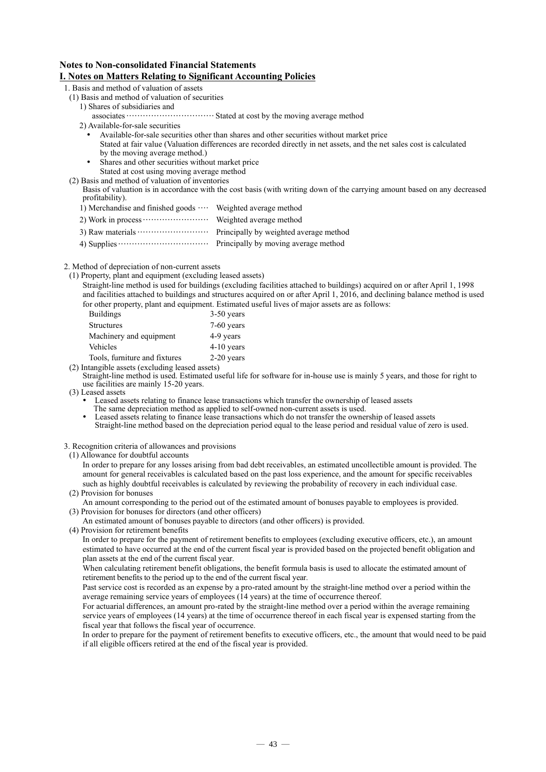### **Notes to Non-consolidated Financial Statements I. Notes on Matters Relating to Significant Accounting Policies**

- 1. Basis and method of valuation of assets
	- (1) Basis and method of valuation of securities
		- 1) Shares of subsidiaries and
			- associates································Stated at cost by the moving average method
		- 2) Available-for-sale securities
			- Available-for-sale securities other than shares and other securities without market price
			- Stated at fair value (Valuation differences are recorded directly in net assets, and the net sales cost is calculated by the moving average method.)
			- Shares and other securities without market price Stated at cost using moving average method
	- (2) Basis and method of valuation of inventories

Basis of valuation is in accordance with the cost basis (with writing down of the carrying amount based on any decreased profitability).

- 1) Merchandise and finished goods ···· Weighted average method
- 2) Work in process························ Weighted average method
- 3) Raw materials  $\dots\dots\dots\dots\dots\dots\dots$  Principally by weighted average method
- 4) Supplies  $\cdots$   $\cdots$   $\cdots$   $\cdots$   $\cdots$   $\cdots$  Principally by moving average method

2. Method of depreciation of non-current assets

- (1) Property, plant and equipment (excluding leased assets)
	- Straight-line method is used for buildings (excluding facilities attached to buildings) acquired on or after April 1, 1998 and facilities attached to buildings and structures acquired on or after April 1, 2016, and declining balance method is used for other property, plant and equipment. Estimated useful lives of major assets are as follows:

| <b>Buildings</b>              | $3-50$ years |
|-------------------------------|--------------|
| <b>Structures</b>             | $7-60$ years |
| Machinery and equipment       | 4-9 years    |
| Vehicles                      | $4-10$ years |
| Tools, furniture and fixtures | $2-20$ years |

(2) Intangible assets (excluding leased assets)

Straight-line method is used. Estimated useful life for software for in-house use is mainly 5 years, and those for right to use facilities are mainly 15-20 years.

- (3) Leased assets
	- Leased assets relating to finance lease transactions which transfer the ownership of leased assets

The same depreciation method as applied to self-owned non-current assets is used.

- Leased assets relating to finance lease transactions which do not transfer the ownership of leased assets Straight-line method based on the depreciation period equal to the lease period and residual value of zero is used.
- 3. Recognition criteria of allowances and provisions
- (1) Allowance for doubtful accounts
	- In order to prepare for any losses arising from bad debt receivables, an estimated uncollectible amount is provided. The amount for general receivables is calculated based on the past loss experience, and the amount for specific receivables such as highly doubtful receivables is calculated by reviewing the probability of recovery in each individual case.
- (2) Provision for bonuses

An amount corresponding to the period out of the estimated amount of bonuses payable to employees is provided. (3) Provision for bonuses for directors (and other officers)

- An estimated amount of bonuses payable to directors (and other officers) is provided.
- (4) Provision for retirement benefits

In order to prepare for the payment of retirement benefits to employees (excluding executive officers, etc.), an amount estimated to have occurred at the end of the current fiscal year is provided based on the projected benefit obligation and plan assets at the end of the current fiscal year.

When calculating retirement benefit obligations, the benefit formula basis is used to allocate the estimated amount of retirement benefits to the period up to the end of the current fiscal year.

Past service cost is recorded as an expense by a pro-rated amount by the straight-line method over a period within the average remaining service years of employees (14 years) at the time of occurrence thereof.

For actuarial differences, an amount pro-rated by the straight-line method over a period within the average remaining service years of employees (14 years) at the time of occurrence thereof in each fiscal year is expensed starting from the fiscal year that follows the fiscal year of occurrence.

In order to prepare for the payment of retirement benefits to executive officers, etc., the amount that would need to be paid if all eligible officers retired at the end of the fiscal year is provided.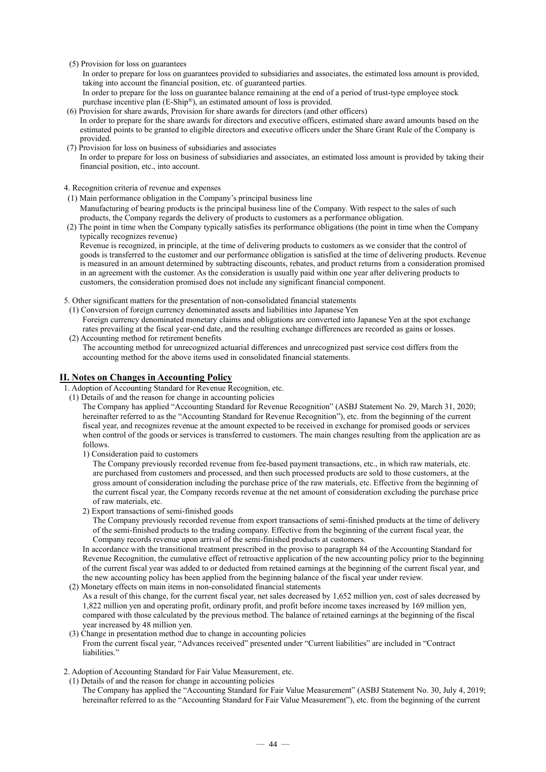(5) Provision for loss on guarantees

In order to prepare for loss on guarantees provided to subsidiaries and associates, the estimated loss amount is provided, taking into account the financial position, etc. of guaranteed parties.

- In order to prepare for the loss on guarantee balance remaining at the end of a period of trust-type employee stock purchase incentive plan (E-Ship®), an estimated amount of loss is provided.
- (6) Provision for share awards, Provision for share awards for directors (and other officers) In order to prepare for the share awards for directors and executive officers, estimated share award amounts based on the estimated points to be granted to eligible directors and executive officers under the Share Grant Rule of the Company is provided.
- (7) Provision for loss on business of subsidiaries and associates

In order to prepare for loss on business of subsidiaries and associates, an estimated loss amount is provided by taking their financial position, etc., into account.

4. Recognition criteria of revenue and expenses

(1) Main performance obligation in the Company's principal business line

Manufacturing of bearing products is the principal business line of the Company. With respect to the sales of such products, the Company regards the delivery of products to customers as a performance obligation.

(2) The point in time when the Company typically satisfies its performance obligations (the point in time when the Company typically recognizes revenue)

Revenue is recognized, in principle, at the time of delivering products to customers as we consider that the control of goods is transferred to the customer and our performance obligation is satisfied at the time of delivering products. Revenue is measured in an amount determined by subtracting discounts, rebates, and product returns from a consideration promised in an agreement with the customer. As the consideration is usually paid within one year after delivering products to customers, the consideration promised does not include any significant financial component.

- 5. Other significant matters for the presentation of non-consolidated financial statements
- (1) Conversion of foreign currency denominated assets and liabilities into Japanese Yen
- Foreign currency denominated monetary claims and obligations are converted into Japanese Yen at the spot exchange rates prevailing at the fiscal year-end date, and the resulting exchange differences are recorded as gains or losses. (2) Accounting method for retirement benefits

The accounting method for unrecognized actuarial differences and unrecognized past service cost differs from the accounting method for the above items used in consolidated financial statements.

### **II. Notes on Changes in Accounting Policy**

- 1. Adoption of Accounting Standard for Revenue Recognition, etc.
- (1) Details of and the reason for change in accounting policies

The Company has applied "Accounting Standard for Revenue Recognition" (ASBJ Statement No. 29, March 31, 2020; hereinafter referred to as the "Accounting Standard for Revenue Recognition"), etc. from the beginning of the current fiscal year, and recognizes revenue at the amount expected to be received in exchange for promised goods or services when control of the goods or services is transferred to customers. The main changes resulting from the application are as follows.

1) Consideration paid to customers

The Company previously recorded revenue from fee-based payment transactions, etc., in which raw materials, etc. are purchased from customers and processed, and then such processed products are sold to those customers, at the gross amount of consideration including the purchase price of the raw materials, etc. Effective from the beginning of the current fiscal year, the Company records revenue at the net amount of consideration excluding the purchase price of raw materials, etc.

2) Export transactions of semi-finished goods

The Company previously recorded revenue from export transactions of semi-finished products at the time of delivery of the semi-finished products to the trading company. Effective from the beginning of the current fiscal year, the Company records revenue upon arrival of the semi-finished products at customers.

In accordance with the transitional treatment prescribed in the proviso to paragraph 84 of the Accounting Standard for Revenue Recognition, the cumulative effect of retroactive application of the new accounting policy prior to the beginning of the current fiscal year was added to or deducted from retained earnings at the beginning of the current fiscal year, and the new accounting policy has been applied from the beginning balance of the fiscal year under review.

- (2) Monetary effects on main items in non-consolidated financial statements As a result of this change, for the current fiscal year, net sales decreased by 1,652 million yen, cost of sales decreased by 1,822 million yen and operating profit, ordinary profit, and profit before income taxes increased by 169 million yen, compared with those calculated by the previous method. The balance of retained earnings at the beginning of the fiscal year increased by 48 million yen.
- (3) Change in presentation method due to change in accounting policies From the current fiscal year, "Advances received" presented under "Current liabilities" are included in "Contract liabilities."

2. Adoption of Accounting Standard for Fair Value Measurement, etc.

(1) Details of and the reason for change in accounting policies The Company has applied the "Accounting Standard for Fair Value Measurement" (ASBJ Statement No. 30, July 4, 2019; hereinafter referred to as the "Accounting Standard for Fair Value Measurement"), etc. from the beginning of the current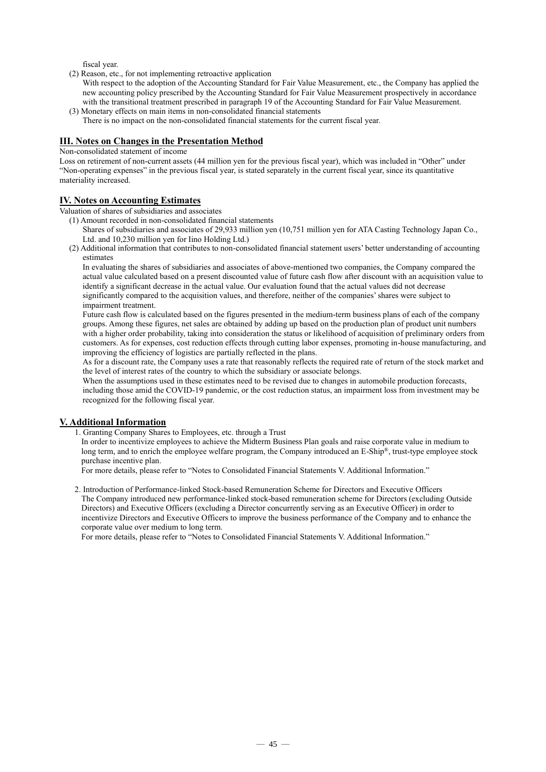fiscal year.

- (2) Reason, etc., for not implementing retroactive application
- With respect to the adoption of the Accounting Standard for Fair Value Measurement, etc., the Company has applied the new accounting policy prescribed by the Accounting Standard for Fair Value Measurement prospectively in accordance with the transitional treatment prescribed in paragraph 19 of the Accounting Standard for Fair Value Measurement.
- (3) Monetary effects on main items in non-consolidated financial statements There is no impact on the non-consolidated financial statements for the current fiscal year.

### **III. Notes on Changes in the Presentation Method**

Non-consolidated statement of income

Loss on retirement of non-current assets (44 million yen for the previous fiscal year), which was included in "Other" under "Non-operating expenses" in the previous fiscal year, is stated separately in the current fiscal year, since its quantitative materiality increased.

### **IV. Notes on Accounting Estimates**

Valuation of shares of subsidiaries and associates

- (1) Amount recorded in non-consolidated financial statements
	- Shares of subsidiaries and associates of 29,933 million yen (10,751 million yen for ATA Casting Technology Japan Co., Ltd. and 10,230 million yen for Iino Holding Ltd.)
- (2) Additional information that contributes to non-consolidated financial statement users' better understanding of accounting estimates

In evaluating the shares of subsidiaries and associates of above-mentioned two companies, the Company compared the actual value calculated based on a present discounted value of future cash flow after discount with an acquisition value to identify a significant decrease in the actual value. Our evaluation found that the actual values did not decrease significantly compared to the acquisition values, and therefore, neither of the companies' shares were subject to impairment treatment.

Future cash flow is calculated based on the figures presented in the medium-term business plans of each of the company groups. Among these figures, net sales are obtained by adding up based on the production plan of product unit numbers with a higher order probability, taking into consideration the status or likelihood of acquisition of preliminary orders from customers. As for expenses, cost reduction effects through cutting labor expenses, promoting in-house manufacturing, and improving the efficiency of logistics are partially reflected in the plans.

As for a discount rate, the Company uses a rate that reasonably reflects the required rate of return of the stock market and the level of interest rates of the country to which the subsidiary or associate belongs.

When the assumptions used in these estimates need to be revised due to changes in automobile production forecasts, including those amid the COVID-19 pandemic, or the cost reduction status, an impairment loss from investment may be recognized for the following fiscal year.

### **V. Additional Information**

1. Granting Company Shares to Employees, etc. through a Trust

In order to incentivize employees to achieve the Midterm Business Plan goals and raise corporate value in medium to long term, and to enrich the employee welfare program, the Company introduced an E-Ship®, trust-type employee stock purchase incentive plan.

For more details, please refer to "Notes to Consolidated Financial Statements V. Additional Information."

2. Introduction of Performance-linked Stock-based Remuneration Scheme for Directors and Executive Officers The Company introduced new performance-linked stock-based remuneration scheme for Directors (excluding Outside Directors) and Executive Officers (excluding a Director concurrently serving as an Executive Officer) in order to incentivize Directors and Executive Officers to improve the business performance of the Company and to enhance the corporate value over medium to long term.

For more details, please refer to "Notes to Consolidated Financial Statements V. Additional Information."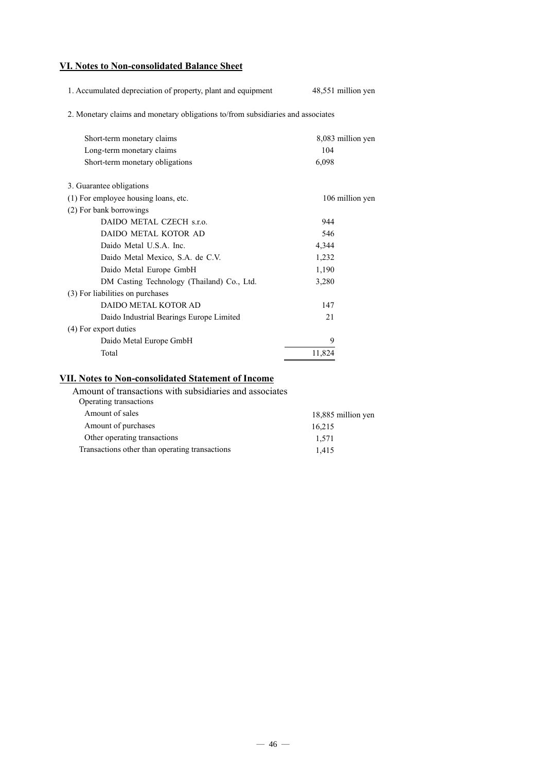### **VI. Notes to Non-consolidated Balance Sheet**

| 1. Accumulated depreciation of property, plant and equipment                    | 48,551 million yen |
|---------------------------------------------------------------------------------|--------------------|
| 2. Monetary claims and monetary obligations to/from subsidiaries and associates |                    |
| Short-term monetary claims                                                      | 8,083 million yen  |
| Long-term monetary claims                                                       | 104                |
| Short-term monetary obligations                                                 | 6,098              |
| 3. Guarantee obligations                                                        |                    |
| (1) For employee housing loans, etc.                                            | 106 million yen    |
| (2) For bank borrowings                                                         |                    |
| DAIDO METAL CZECH s.r.o.                                                        | 944                |
| DAIDO METAL KOTOR AD                                                            | 546                |
| Daido Metal U.S.A. Inc.                                                         | 4,344              |
| Daido Metal Mexico, S.A. de C.V.                                                | 1,232              |
| Daido Metal Europe GmbH                                                         | 1,190              |
| DM Casting Technology (Thailand) Co., Ltd.                                      | 3,280              |
| (3) For liabilities on purchases                                                |                    |
| DAIDO METAL KOTOR AD                                                            | 147                |
| Daido Industrial Bearings Europe Limited                                        | 2.1                |
| (4) For export duties                                                           |                    |
| Daido Metal Europe GmbH                                                         | 9                  |
| Total                                                                           | 11,824             |
|                                                                                 |                    |

## **VII. Notes to Non-consolidated Statement of Income**

| Amount of transactions with subsidiaries and associates |                    |
|---------------------------------------------------------|--------------------|
| Operating transactions                                  |                    |
| Amount of sales                                         | 18,885 million yen |
| Amount of purchases                                     | 16,215             |
| Other operating transactions                            | 1,571              |
| Transactions other than operating transactions          | 1.415              |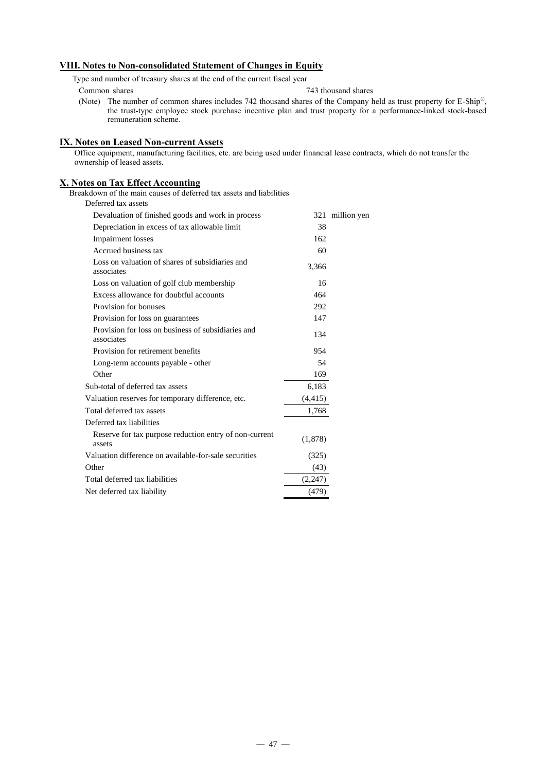### **VIII. Notes to Non-consolidated Statement of Changes in Equity**

Type and number of treasury shares at the end of the current fiscal year

- 
- Common shares 743 thousand shares
- (Note) The number of common shares includes 742 thousand shares of the Company held as trust property for E-Ship®, the trust-type employee stock purchase incentive plan and trust property for a performance-linked stock-based remuneration scheme.

### **IX. Notes on Leased Non-current Assets**

Office equipment, manufacturing facilities, etc. are being used under financial lease contracts, which do not transfer the ownership of leased assets.

### **X. Notes on Tax Effect Accounting**

Breakdown of the main causes of deferred tax assets and liabilities

Deferred tax assets

| Devaluation of finished goods and work in process                |          | 321 million yen |
|------------------------------------------------------------------|----------|-----------------|
| Depreciation in excess of tax allowable limit                    | 38       |                 |
| <b>Impairment</b> losses                                         | 162      |                 |
| Accrued business tax                                             | 60       |                 |
| Loss on valuation of shares of subsidiaries and<br>associates    | 3,366    |                 |
| Loss on valuation of golf club membership                        | 16       |                 |
| Excess allowance for doubtful accounts                           | 464      |                 |
| Provision for bonuses                                            | 292      |                 |
| Provision for loss on guarantees                                 | 147      |                 |
| Provision for loss on business of subsidiaries and<br>associates | 134      |                 |
| Provision for retirement benefits                                | 954      |                 |
| Long-term accounts payable - other                               | 54       |                 |
| Other                                                            | 169      |                 |
| Sub-total of deferred tax assets                                 | 6,183    |                 |
| Valuation reserves for temporary difference, etc.                | (4, 415) |                 |
| Total deferred tax assets                                        | 1,768    |                 |
| Deferred tax liabilities                                         |          |                 |
| Reserve for tax purpose reduction entry of non-current<br>assets | (1,878)  |                 |
| Valuation difference on available-for-sale securities            | (325)    |                 |
| Other                                                            | (43)     |                 |
| Total deferred tax liabilities                                   | (2,247)  |                 |
| Net deferred tax liability                                       | (479)    |                 |
|                                                                  |          |                 |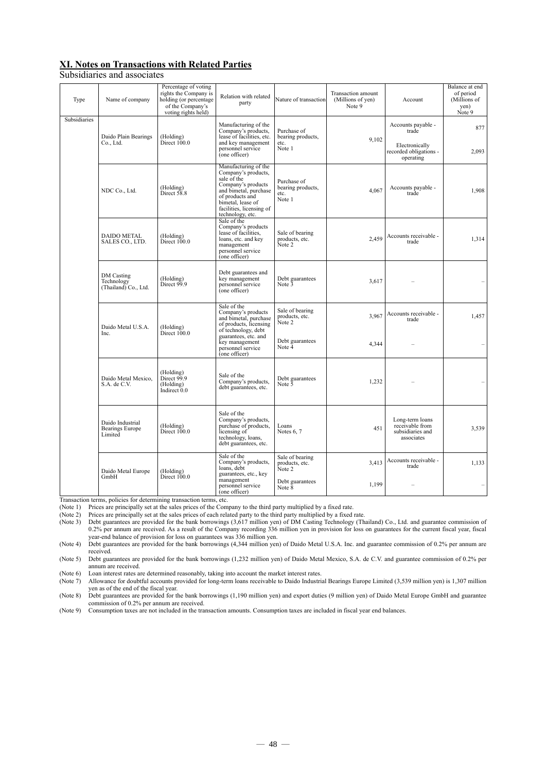### **XI. Notes on Transactions with Related Parties**

Subsidiaries and associates

| Type         | Name of company                                       | Percentage of voting<br>rights the Company is<br>holding (or percentage<br>of the Company's<br>voting rights held) | Relation with related<br>party                                                                                                                                                                    | Nature of transaction                              | Transaction amount<br>(Millions of yen)<br>Note 9 | Account                                                              | Balance at end<br>of period<br>(Millions of<br>yen)<br>Note 9 |
|--------------|-------------------------------------------------------|--------------------------------------------------------------------------------------------------------------------|---------------------------------------------------------------------------------------------------------------------------------------------------------------------------------------------------|----------------------------------------------------|---------------------------------------------------|----------------------------------------------------------------------|---------------------------------------------------------------|
| Subsidiaries | Daido Plain Bearings                                  | (Holding)                                                                                                          | Manufacturing of the<br>Company's products,<br>lease of facilities, etc.                                                                                                                          | Purchase of<br>bearing products,                   | 9,102                                             | Accounts payable -<br>trade                                          | 877                                                           |
|              | Co., Ltd.                                             | Direct 100.0                                                                                                       | and key management<br>personnel service<br>(one officer)                                                                                                                                          | etc.<br>Note 1                                     |                                                   | Electronically<br>recorded obligations -<br>operating                | 2,093                                                         |
|              | NDC Co., Ltd.                                         | (Holding)<br>Direct 58.8                                                                                           | Manufacturing of the<br>Company's products,<br>sale of the<br>Company's products<br>and bimetal, purchase<br>of products and<br>bimetal, lease of<br>facilities, licensing of<br>technology, etc. | Purchase of<br>bearing products,<br>etc.<br>Note 1 | 4.067                                             | Accounts payable -<br>trade                                          | 1,908                                                         |
|              | <b>DAIDO METAL</b><br>SALES CO., LTD.                 | (Holding)<br>Direct 100.0                                                                                          | Sale of the<br>Company's products<br>lease of facilities.<br>loans, etc. and key<br>management<br>personnel service<br>(one officer)                                                              | Sale of bearing<br>products, etc.<br>Note 2        | 2.459                                             | Accounts receivable -<br>trade                                       | 1,314                                                         |
|              | DM Casting<br>Technology<br>(Thailand) Co., Ltd.      | (Holding)<br>Direct 99.9                                                                                           | Debt guarantees and<br>key management<br>personnel service<br>(one officer)                                                                                                                       | Debt guarantees<br>Note 3                          | 3,617                                             |                                                                      |                                                               |
|              | Daido Metal U.S.A.<br>Inc.                            | (Holding)                                                                                                          | Sale of the<br>Company's products<br>and bimetal, purchase<br>of products, licensing<br>of technology, debt                                                                                       | Sale of bearing<br>products, etc.<br>Note 2        | 3.967                                             | Accounts receivable -<br>trade                                       | 1,457                                                         |
|              |                                                       | Direct 100.0                                                                                                       | guarantees, etc. and<br>key management<br>personnel service<br>(one officer)                                                                                                                      | Debt guarantees<br>Note $\bar{4}$                  | 4.344                                             |                                                                      |                                                               |
|              | Daido Metal Mexico,<br>S.A. de C.V.                   | (Holding)<br>Direct 99.9<br>(Holding)<br>Indirect 0.0                                                              | Sale of the<br>Company's products,<br>debt guarantees, etc.                                                                                                                                       | Debt guarantees<br>Note 5                          | 1,232                                             |                                                                      |                                                               |
|              | Daido Industrial<br><b>Bearings Europe</b><br>Limited | (Holding)<br>Direct 100.0                                                                                          | Sale of the<br>Company's products,<br>purchase of products,<br>licensing of<br>technology, loans,<br>debt guarantees, etc.                                                                        | Loans<br>Notes 6, 7                                | 451                                               | Long-term loans<br>receivable from<br>subsidiaries and<br>associates | 3,539                                                         |
|              | Daido Metal Europe                                    | (Holding)                                                                                                          | Sale of the<br>Company's products,<br>loans, debt<br>guarantees, etc., key                                                                                                                        | Sale of bearing<br>products, etc.<br>Note 2        | 3.413                                             | Accounts receivable -<br>trade                                       | 1,133                                                         |
|              | GmbH                                                  | Direct 100.0                                                                                                       | management<br>personnel service<br>(one officer)                                                                                                                                                  | Debt guarantees<br>Note $\bar{8}$                  | 1,199                                             |                                                                      |                                                               |

Transaction terms, policies for determining transaction terms, etc.

(Note 1) Prices are principally set at the sales prices of the Company to the third party multiplied by a fixed rate.<br>(Note 2) Prices are principally set at the sales prices of each related party to the third party multipl

(Note 2) Prices are principally set at the sales prices of each related party to the third party multiplied by a fixed rate.

(Note 3) Debt guarantees are provided for the bank borrowings (3,617 million yen) of DM Casting Technology (Thailand) Co., Ltd. and guarantee commission of 0.2% per annum are received. As a result of the Company recording 336 million yen in provision for loss on guarantees for the current fiscal year, fiscal year-end balance of provision for loss on guarantees was 336 million yen.

(Note 4) Debt guarantees are provided for the bank borrowings (4,344 million yen) of Daido Metal U.S.A. Inc. and guarantee commission of 0.2% per annum are received.

(Note 5) Debt guarantees are provided for the bank borrowings (1,232 million yen) of Daido Metal Mexico, S.A. de C.V. and guarantee commission of 0.2% per annum are received.

(Note 6) Loan interest rates are determined reasonably, taking into account the market interest rates.<br>(Note 7) Allowance for doubtful accounts provided for long-term loans receivable to Daido Industri

Allowance for doubtful accounts provided for long-term loans receivable to Daido Industrial Bearings Europe Limited (3,539 million yen) is 1,307 million yen as of the end of the fiscal year.

(Note 8) Debt guarantees are provided for the bank borrowings (1,190 million yen) and export duties (9 million yen) of Daido Metal Europe GmbH and guarantee commission of 0.2% per annum are received.

(Note 9) Consumption taxes are not included in the transaction amounts. Consumption taxes are included in fiscal year end balances.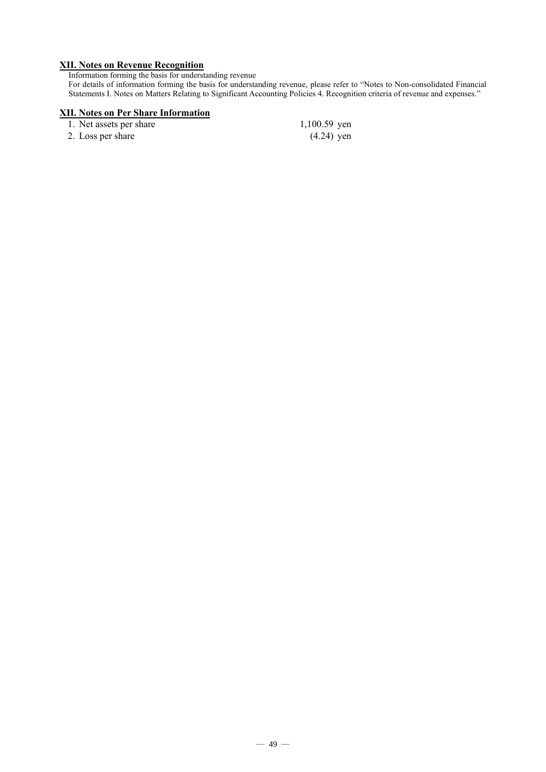### **XII. Notes on Revenue Recognition**

Information forming the basis for understanding revenue

For details of information forming the basis for understanding revenue, please refer to "Notes to Non-consolidated Financial Statements I. Notes on Matters Relating to Significant Accounting Policies 4. Recognition criteria of revenue and expenses."

### **XII. Notes on Per Share Information**

| 1. Net assets per share | $1,100.59$ yen |
|-------------------------|----------------|
| 2. Loss per share       | $(4.24)$ yen   |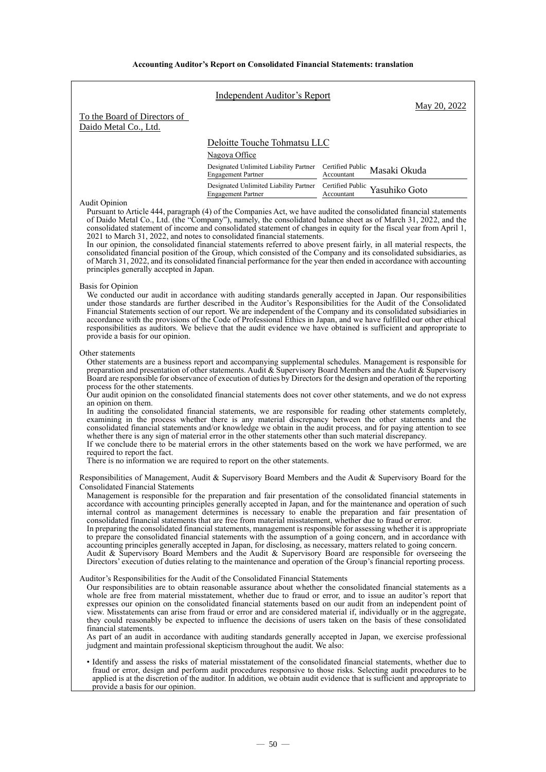**Accounting Auditor's Report on Consolidated Financial Statements: translation**

|                                                                                                                               | <b>Independent Auditor's Report</b>                                                                                                                                                     | May 20, 2022                                                                                                                                                                                                                                                                                                                                                                                                                                                                                                                                                                                                                                                                                                                                                                                                                                                                                                                                                                                                                                                                                                                                                                                                                                                                                                                                                                                                                                                                                                                                        |
|-------------------------------------------------------------------------------------------------------------------------------|-----------------------------------------------------------------------------------------------------------------------------------------------------------------------------------------|-----------------------------------------------------------------------------------------------------------------------------------------------------------------------------------------------------------------------------------------------------------------------------------------------------------------------------------------------------------------------------------------------------------------------------------------------------------------------------------------------------------------------------------------------------------------------------------------------------------------------------------------------------------------------------------------------------------------------------------------------------------------------------------------------------------------------------------------------------------------------------------------------------------------------------------------------------------------------------------------------------------------------------------------------------------------------------------------------------------------------------------------------------------------------------------------------------------------------------------------------------------------------------------------------------------------------------------------------------------------------------------------------------------------------------------------------------------------------------------------------------------------------------------------------------|
| To the Board of Directors of<br>Daido Metal Co., Ltd.                                                                         |                                                                                                                                                                                         |                                                                                                                                                                                                                                                                                                                                                                                                                                                                                                                                                                                                                                                                                                                                                                                                                                                                                                                                                                                                                                                                                                                                                                                                                                                                                                                                                                                                                                                                                                                                                     |
|                                                                                                                               | Deloitte Touche Tohmatsu LLC                                                                                                                                                            |                                                                                                                                                                                                                                                                                                                                                                                                                                                                                                                                                                                                                                                                                                                                                                                                                                                                                                                                                                                                                                                                                                                                                                                                                                                                                                                                                                                                                                                                                                                                                     |
|                                                                                                                               | Nagoya Office                                                                                                                                                                           |                                                                                                                                                                                                                                                                                                                                                                                                                                                                                                                                                                                                                                                                                                                                                                                                                                                                                                                                                                                                                                                                                                                                                                                                                                                                                                                                                                                                                                                                                                                                                     |
|                                                                                                                               | Designated Unlimited Liability Partner Certified Public Masaki Okuda<br><b>Engagement Partner</b>                                                                                       | Accountant                                                                                                                                                                                                                                                                                                                                                                                                                                                                                                                                                                                                                                                                                                                                                                                                                                                                                                                                                                                                                                                                                                                                                                                                                                                                                                                                                                                                                                                                                                                                          |
|                                                                                                                               | Designated Unlimited Liability Partner Certified Public Yasuhiko Goto<br><b>Engagement Partner</b>                                                                                      | Accountant                                                                                                                                                                                                                                                                                                                                                                                                                                                                                                                                                                                                                                                                                                                                                                                                                                                                                                                                                                                                                                                                                                                                                                                                                                                                                                                                                                                                                                                                                                                                          |
| <b>Audit Opinion</b><br>principles generally accepted in Japan.                                                               | 2021 to March 31, 2022, and notes to consolidated financial statements.                                                                                                                 | Pursuant to Article 444, paragraph (4) of the Companies Act, we have audited the consolidated financial statements<br>of Daido Metal Co., Ltd. (the "Company"), namely, the consolidated balance sheet as of March 31, 2022, and the<br>consolidated statement of income and consolidated statement of changes in equity for the fiscal year from April 1,<br>In our opinion, the consolidated financial statements referred to above present fairly, in all material respects, the<br>consolidated financial position of the Group, which consisted of the Company and its consolidated subsidiaries, as<br>of March 31, 2022, and its consolidated financial performance for the year then ended in accordance with accounting                                                                                                                                                                                                                                                                                                                                                                                                                                                                                                                                                                                                                                                                                                                                                                                                                    |
| Basis for Opinion<br>provide a basis for our opinion.                                                                         |                                                                                                                                                                                         | We conducted our audit in accordance with auditing standards generally accepted in Japan. Our responsibilities<br>under those standards are further described in the Auditor's Responsibilities for the Audit of the Consolidated<br>Financial Statements section of our report. We are independent of the Company and its consolidated subsidiaries in<br>accordance with the provisions of the Code of Professional Ethics in Japan, and we have fulfilled our other ethical<br>responsibilities as auditors. We believe that the audit evidence we have obtained is sufficient and appropriate to                                                                                                                                                                                                                                                                                                                                                                                                                                                                                                                                                                                                                                                                                                                                                                                                                                                                                                                                                |
| Other statements<br>process for the other statements.<br>an opinion on them.<br>required to report the fact.                  | whether there is any sign of material error in the other statements other than such material discrepancy.<br>There is no information we are required to report on the other statements. | Other statements are a business report and accompanying supplemental schedules. Management is responsible for<br>preparation and presentation of other statements. Audit & Supervisory Board Members and the Audit & Supervisory<br>Board are responsible for observance of execution of duties by Directors for the design and operation of the reporting<br>Our audit opinion on the consolidated financial statements does not cover other statements, and we do not express<br>In auditing the consolidated financial statements, we are responsible for reading other statements completely,<br>examining in the process whether there is any material discrepancy between the other statements and the<br>consolidated financial statements and/or knowledge we obtain in the audit process, and for paying attention to see<br>If we conclude there to be material errors in the other statements based on the work we have performed, we are                                                                                                                                                                                                                                                                                                                                                                                                                                                                                                                                                                                                |
| <b>Consolidated Financial Statements</b><br>Auditor's Responsibilities for the Audit of the Consolidated Financial Statements | consolidated financial statements that are free from material misstatement, whether due to fraud or error.                                                                              | Responsibilities of Management, Audit & Supervisory Board Members and the Audit & Supervisory Board for the<br>Management is responsible for the preparation and fair presentation of the consolidated financial statements in<br>accordance with accounting principles generally accepted in Japan, and for the maintenance and operation of such<br>internal control as management determines is necessary to enable the preparation and fair presentation of<br>In preparing the consolidated financial statements, management is responsible for assessing whether it is appropriate<br>to prepare the consolidated financial statements with the assumption of a going concern, and in accordance with<br>accounting principles generally accepted in Japan, for disclosing, as necessary, matters related to going concern.<br>Audit & Supervisory Board Members and the Audit & Supervisory Board are responsible for overseeing the<br>Directors' execution of duties relating to the maintenance and operation of the Group's financial reporting process.<br>Our responsibilities are to obtain reasonable assurance about whether the consolidated financial statements as a<br>whole are free from material misstatement, whether due to fraud or error, and to issue an auditor's report that<br>expresses our opinion on the consolidated financial statements based on our audit from an independent point of<br>view. Misstatements can arise from fraud or error and are considered material if, individually or in the aggregate, |
| financial statements.                                                                                                         | judgment and maintain professional skepticism throughout the audit. We also:                                                                                                            | they could reasonably be expected to influence the decisions of users taken on the basis of these consolidated<br>As part of an audit in accordance with auditing standards generally accepted in Japan, we exercise professional                                                                                                                                                                                                                                                                                                                                                                                                                                                                                                                                                                                                                                                                                                                                                                                                                                                                                                                                                                                                                                                                                                                                                                                                                                                                                                                   |
| provide a basis for our opinion.                                                                                              |                                                                                                                                                                                         | • Identify and assess the risks of material misstatement of the consolidated financial statements, whether due to<br>fraud or error, design and perform audit procedures responsive to those risks. Selecting audit procedures to be<br>applied is at the discretion of the auditor. In addition, we obtain audit evidence that is sufficient and appropriate to                                                                                                                                                                                                                                                                                                                                                                                                                                                                                                                                                                                                                                                                                                                                                                                                                                                                                                                                                                                                                                                                                                                                                                                    |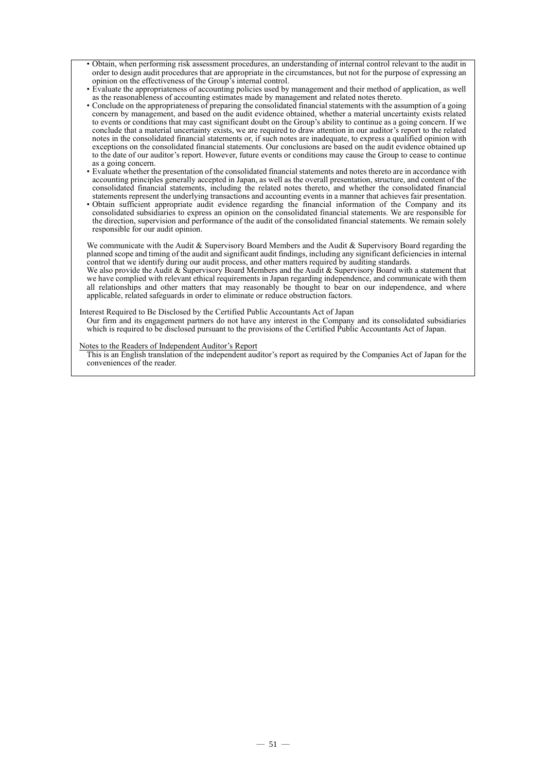- Obtain, when performing risk assessment procedures, an understanding of internal control relevant to the audit in order to design audit procedures that are appropriate in the circumstances, but not for the purpose of expressing an opinion on the effectiveness of the Group's internal control.
- Evaluate the appropriateness of accounting policies used by management and their method of application, as well as the reasonableness of accounting estimates made by management and related notes thereto.
- Conclude on the appropriateness of preparing the consolidated financial statements with the assumption of a going concern by management, and based on the audit evidence obtained, whether a material uncertainty exists related to events or conditions that may cast significant doubt on the Group's ability to continue as a going concern. If we conclude that a material uncertainty exists, we are required to draw attention in our auditor's report to the related notes in the consolidated financial statements or, if such notes are inadequate, to express a qualified opinion with exceptions on the consolidated financial statements. Our conclusions are based on the audit evidence obtained up to the date of our auditor's report. However, future events or conditions may cause the Group to cease to continue as a going concern.
- Evaluate whether the presentation of the consolidated financial statements and notes thereto are in accordance with accounting principles generally accepted in Japan, as well as the overall presentation, structure, and content of the consolidated financial statements, including the related notes thereto, and whether the consolidated financial statements represent the underlying transactions and accounting events in a manner that achieves fair presentation.
- Obtain sufficient appropriate audit evidence regarding the financial information of the Company and its consolidated subsidiaries to express an opinion on the consolidated financial statements. We are responsible for the direction, supervision and performance of the audit of the consolidated financial statements. We remain solely responsible for our audit opinion.

We communicate with the Audit & Supervisory Board Members and the Audit & Supervisory Board regarding the planned scope and timing of the audit and significant audit findings, including any significant deficiencies in internal control that we identify during our audit process, and other matters required by auditing standards.

We also provide the Audit & Supervisory Board Members and the Audit & Supervisory Board with a statement that we have complied with relevant ethical requirements in Japan regarding independence, and communicate with them all relationships and other matters that may reasonably be thought to bear on our independence, and where applicable, related safeguards in order to eliminate or reduce obstruction factors.

### Interest Required to Be Disclosed by the Certified Public Accountants Act of Japan

Our firm and its engagement partners do not have any interest in the Company and its consolidated subsidiaries which is required to be disclosed pursuant to the provisions of the Certified Public Accountants Act of Japan.

### Notes to the Readers of Independent Auditor's Report

This is an English translation of the independent auditor's report as required by the Companies Act of Japan for the conveniences of the reader.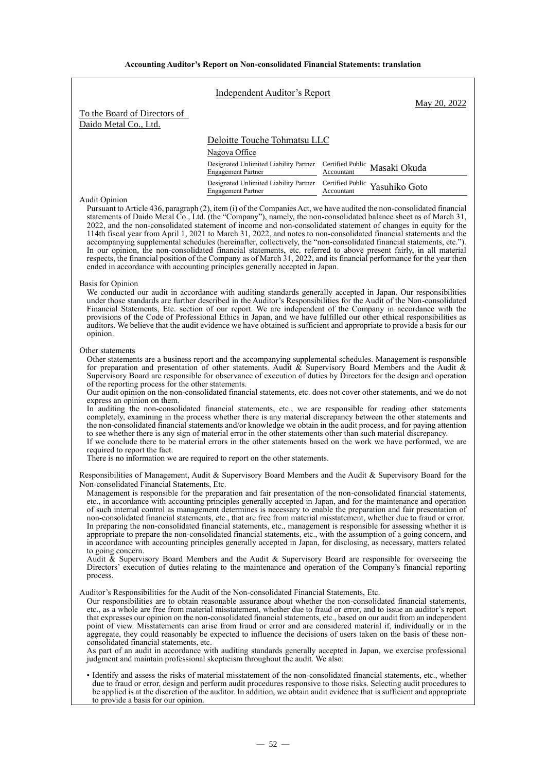|                                                                                                                                        | Independent Auditor's Report                                                                       | May 20, 2022                                                                                                                                                                                                                                                                                                                                                                                                                                                                                                                                                                                                                                                                                                                                                                                                                                                                                                                                                                                                                                                                                                                                                                                        |  |
|----------------------------------------------------------------------------------------------------------------------------------------|----------------------------------------------------------------------------------------------------|-----------------------------------------------------------------------------------------------------------------------------------------------------------------------------------------------------------------------------------------------------------------------------------------------------------------------------------------------------------------------------------------------------------------------------------------------------------------------------------------------------------------------------------------------------------------------------------------------------------------------------------------------------------------------------------------------------------------------------------------------------------------------------------------------------------------------------------------------------------------------------------------------------------------------------------------------------------------------------------------------------------------------------------------------------------------------------------------------------------------------------------------------------------------------------------------------------|--|
| To the Board of Directors of<br>Daido Metal Co., Ltd.                                                                                  |                                                                                                    |                                                                                                                                                                                                                                                                                                                                                                                                                                                                                                                                                                                                                                                                                                                                                                                                                                                                                                                                                                                                                                                                                                                                                                                                     |  |
|                                                                                                                                        | Deloitte Touche Tohmatsu LLC<br>Nagoya Office                                                      |                                                                                                                                                                                                                                                                                                                                                                                                                                                                                                                                                                                                                                                                                                                                                                                                                                                                                                                                                                                                                                                                                                                                                                                                     |  |
|                                                                                                                                        | Designated Unlimited Liability Partner<br><b>Engagement Partner</b>                                | Certified Public Masaki Okuda<br>Accountant                                                                                                                                                                                                                                                                                                                                                                                                                                                                                                                                                                                                                                                                                                                                                                                                                                                                                                                                                                                                                                                                                                                                                         |  |
|                                                                                                                                        | Designated Unlimited Liability Partner Certified Public Yasuhiko Goto<br><b>Engagement Partner</b> | Accountant                                                                                                                                                                                                                                                                                                                                                                                                                                                                                                                                                                                                                                                                                                                                                                                                                                                                                                                                                                                                                                                                                                                                                                                          |  |
| <b>Audit Opinion</b>                                                                                                                   | ended in accordance with accounting principles generally accepted in Japan.                        | Pursuant to Article 436, paragraph (2), item (i) of the Companies Act, we have audited the non-consolidated financial<br>statements of Daido Metal Co., Ltd. (the "Company"), namely, the non-consolidated balance sheet as of March 31,<br>2022, and the non-consolidated statement of income and non-consolidated statement of changes in equity for the<br>114th fiscal year from April 1, 2021 to March 31, 2022, and notes to non-consolidated financial statements and the<br>accompanying supplemental schedules (hereinafter, collectively, the "non-consolidated financial statements, etc.").<br>In our opinion, the non-consolidated financial statements, etc. referred to above present fairly, in all material<br>respects, the financial position of the Company as of March 31, 2022, and its financial performance for the year then                                                                                                                                                                                                                                                                                                                                               |  |
| Basis for Opinion<br>opinion.                                                                                                          |                                                                                                    | We conducted our audit in accordance with auditing standards generally accepted in Japan. Our responsibilities<br>under those standards are further described in the Auditor's Responsibilities for the Audit of the Non-consolidated<br>Financial Statements, Etc. section of our report. We are independent of the Company in accordance with the<br>provisions of the Code of Professional Ethics in Japan, and we have fulfilled our other ethical responsibilities as<br>auditors. We believe that the audit evidence we have obtained is sufficient and appropriate to provide a basis for our                                                                                                                                                                                                                                                                                                                                                                                                                                                                                                                                                                                                |  |
| Other statements<br>of the reporting process for the other statements.<br>express an opinion on them.<br>required to report the fact.  | There is no information we are required to report on the other statements.                         | Other statements are a business report and the accompanying supplemental schedules. Management is responsible<br>for preparation and presentation of other statements. Audit & Supervisory Board Members and the Audit &<br>Supervisory Board are responsible for observance of execution of duties by Directors for the design and operation<br>Our audit opinion on the non-consolidated financial statements, etc. does not cover other statements, and we do not<br>In auditing the non-consolidated financial statements, etc., we are responsible for reading other statements<br>completely, examining in the process whether there is any material discrepancy between the other statements and<br>the non-consolidated financial statements and/or knowledge we obtain in the audit process, and for paying attention<br>to see whether there is any sign of material error in the other statements other than such material discrepancy.<br>If we conclude there to be material errors in the other statements based on the work we have performed, we are                                                                                                                                |  |
| Non-consolidated Financial Statements, Etc.<br>to going concern.<br>process.                                                           |                                                                                                    | Responsibilities of Management, Audit & Supervisory Board Members and the Audit & Supervisory Board for the<br>Management is responsible for the preparation and fair presentation of the non-consolidated financial statements,<br>etc., in accordance with accounting principles generally accepted in Japan, and for the maintenance and operation<br>of such internal control as management determines is necessary to enable the preparation and fair presentation of<br>non-consolidated financial statements, etc., that are free from material misstatement, whether due to fraud or error.<br>In preparing the non-consolidated financial statements, etc., management is responsible for assessing whether it is<br>appropriate to prepare the non-consolidated financial statements, etc., with the assumption of a going concern, and<br>in accordance with accounting principles generally accepted in Japan, for disclosing, as necessary, matters related<br>Audit & Supervisory Board Members and the Audit & Supervisory Board are responsible for overseeing the<br>Directors' execution of duties relating to the maintenance and operation of the Company's financial reporting |  |
| Auditor's Responsibilities for the Audit of the Non-consolidated Financial Statements, Etc.<br>consolidated financial statements, etc. | judgment and maintain professional skepticism throughout the audit. We also:                       | Our responsibilities are to obtain reasonable assurance about whether the non-consolidated financial statements,<br>etc., as a whole are free from material misstatement, whether due to fraud or error, and to issue an auditor's report<br>that expresses our opinion on the non-consolidated financial statements, etc., based on our audit from an independent<br>point of view. Misstatements can arise from fraud or error and are considered material if, individually or in the<br>aggregate, they could reasonably be expected to influence the decisions of users taken on the basis of these non-<br>As part of an audit in accordance with auditing standards generally accepted in Japan, we exercise professional                                                                                                                                                                                                                                                                                                                                                                                                                                                                     |  |
| to provide a basis for our opinion.                                                                                                    |                                                                                                    | • Identify and assess the risks of material misstatement of the non-consolidated financial statements, etc., whether<br>due to fraud or error, design and perform audit procedures responsive to those risks. Selecting audit procedures to<br>be applied is at the discretion of the auditor. In addition, we obtain audit evidence that is sufficient and appropriate                                                                                                                                                                                                                                                                                                                                                                                                                                                                                                                                                                                                                                                                                                                                                                                                                             |  |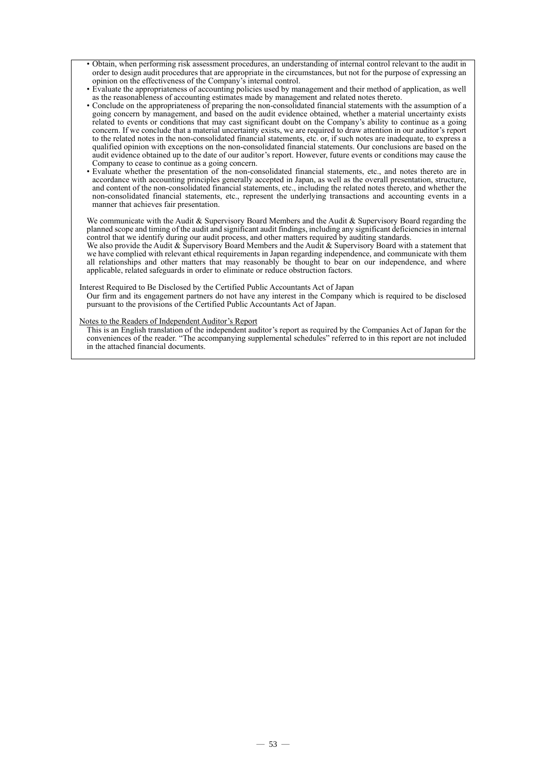- Obtain, when performing risk assessment procedures, an understanding of internal control relevant to the audit in order to design audit procedures that are appropriate in the circumstances, but not for the purpose of expressing an opinion on the effectiveness of the Company's internal control.
- Evaluate the appropriateness of accounting policies used by management and their method of application, as well as the reasonableness of accounting estimates made by management and related notes thereto.
- Conclude on the appropriateness of preparing the non-consolidated financial statements with the assumption of a going concern by management, and based on the audit evidence obtained, whether a material uncertainty exists related to events or conditions that may cast significant doubt on the Company's ability to continue as a going concern. If we conclude that a material uncertainty exists, we are required to draw attention in our auditor's report to the related notes in the non-consolidated financial statements, etc. or, if such notes are inadequate, to express a qualified opinion with exceptions on the non-consolidated financial statements. Our conclusions are based on the audit evidence obtained up to the date of our auditor's report. However, future events or conditions may cause the Company to cease to continue as a going concern.
- Evaluate whether the presentation of the non-consolidated financial statements, etc., and notes thereto are in accordance with accounting principles generally accepted in Japan, as well as the overall presentation, structure, and content of the non-consolidated financial statements, etc., including the related notes thereto, and whether the non-consolidated financial statements, etc., represent the underlying transactions and accounting events in a non-consolidated financial statements, etc., represent the underlying transactions and accounting events in a manner that achieves fair presentation.

We communicate with the Audit & Supervisory Board Members and the Audit & Supervisory Board regarding the planned scope and timing of the audit and significant audit findings, including any significant deficiencies in internal control that we identify during our audit process, and other matters required by auditing standards.

We also provide the Audit & Supervisory Board Members and the Audit & Supervisory Board with a statement that we have complied with relevant ethical requirements in Japan regarding independence, and communicate with them all relationships and other matters that may reasonably be thought to bear on our independence, and where applicable, related safeguards in order to eliminate or reduce obstruction factors.

### Interest Required to Be Disclosed by the Certified Public Accountants Act of Japan

Our firm and its engagement partners do not have any interest in the Company which is required to be disclosed pursuant to the provisions of the Certified Public Accountants Act of Japan.

Notes to the Readers of Independent Auditor's Report

This is an English translation of the independent auditor's report as required by the Companies Act of Japan for the conveniences of the reader. "The accompanying supplemental schedules" referred to in this report are not included in the attached financial documents.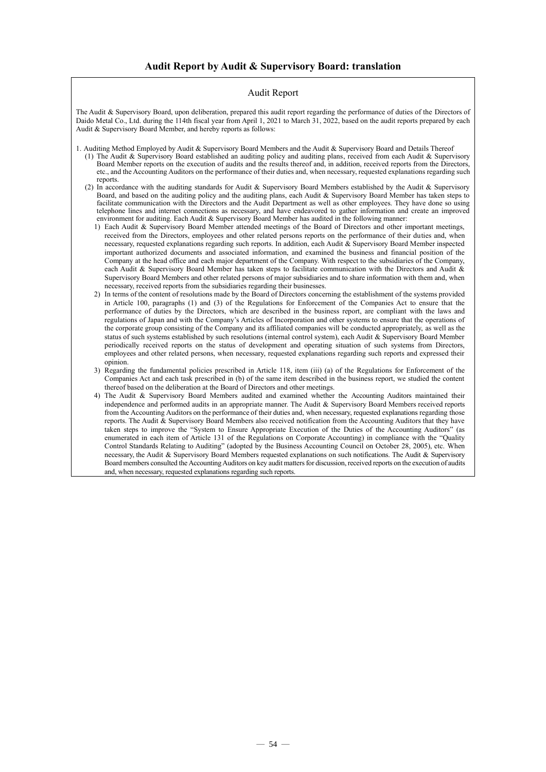### Audit Report

The Audit & Supervisory Board, upon deliberation, prepared this audit report regarding the performance of duties of the Directors of Daido Metal Co., Ltd. during the 114th fiscal year from April 1, 2021 to March 31, 2022, based on the audit reports prepared by each Audit & Supervisory Board Member, and hereby reports as follows:

1. Auditing Method Employed by Audit & Supervisory Board Members and the Audit & Supervisory Board and Details Thereof

- (1) The Audit & Supervisory Board established an auditing policy and auditing plans, received from each Audit & Supervisory Board Member reports on the execution of audits and the results thereof and, in addition, received reports from the Directors, etc., and the Accounting Auditors on the performance of their duties and, when necessary, requested explanations regarding such reports.
- (2) In accordance with the auditing standards for Audit & Supervisory Board Members established by the Audit & Supervisory Board, and based on the auditing policy and the auditing plans, each Audit & Supervisory Board Member has taken steps to facilitate communication with the Directors and the Audit Department as well as other employees. They have done so using telephone lines and internet connections as necessary, and have endeavored to gather information and create an improved environment for auditing. Each Audit & Supervisory Board Member has audited in the following manner:
	- 1) Each Audit & Supervisory Board Member attended meetings of the Board of Directors and other important meetings, received from the Directors, employees and other related persons reports on the performance of their duties and, when necessary, requested explanations regarding such reports. In addition, each Audit & Supervisory Board Member inspected important authorized documents and associated information, and examined the business and financial position of the Company at the head office and each major department of the Company. With respect to the subsidiaries of the Company, each Audit & Supervisory Board Member has taken steps to facilitate communication with the Directors and Audit & Supervisory Board Members and other related persons of major subsidiaries and to share information with them and, when necessary, received reports from the subsidiaries regarding their businesses.
	- 2) In terms of the content of resolutions made by the Board of Directors concerning the establishment of the systems provided in Article 100, paragraphs (1) and (3) of the Regulations for Enforcement of the Companies Act to ensure that the performance of duties by the Directors, which are described in the business report, are compliant with the laws and regulations of Japan and with the Company's Articles of Incorporation and other systems to ensure that the operations of the corporate group consisting of the Company and its affiliated companies will be conducted appropriately, as well as the status of such systems established by such resolutions (internal control system), each Audit & Supervisory Board Member periodically received reports on the status of development and operating situation of such systems from Directors, employees and other related persons, when necessary, requested explanations regarding such reports and expressed their opinion.
	- 3) Regarding the fundamental policies prescribed in Article 118, item (iii) (a) of the Regulations for Enforcement of the Companies Act and each task prescribed in (b) of the same item described in the business report, we studied the content thereof based on the deliberation at the Board of Directors and other meetings.
	- 4) The Audit & Supervisory Board Members audited and examined whether the Accounting Auditors maintained their independence and performed audits in an appropriate manner. The Audit & Supervisory Board Members received reports from the Accounting Auditors on the performance of their duties and, when necessary, requested explanations regarding those reports. The Audit & Supervisory Board Members also received notification from the Accounting Auditors that they have taken steps to improve the "System to Ensure Appropriate Execution of the Duties of the Accounting Auditors" (as enumerated in each item of Article 131 of the Regulations on Corporate Accounting) in compliance with the "Quality Control Standards Relating to Auditing" (adopted by the Business Accounting Council on October 28, 2005), etc. When necessary, the Audit & Supervisory Board Members requested explanations on such notifications. The Audit & Supervisory Board members consulted the Accounting Auditors on key audit matters for discussion, received reports on the execution of audits and, when necessary, requested explanations regarding such reports.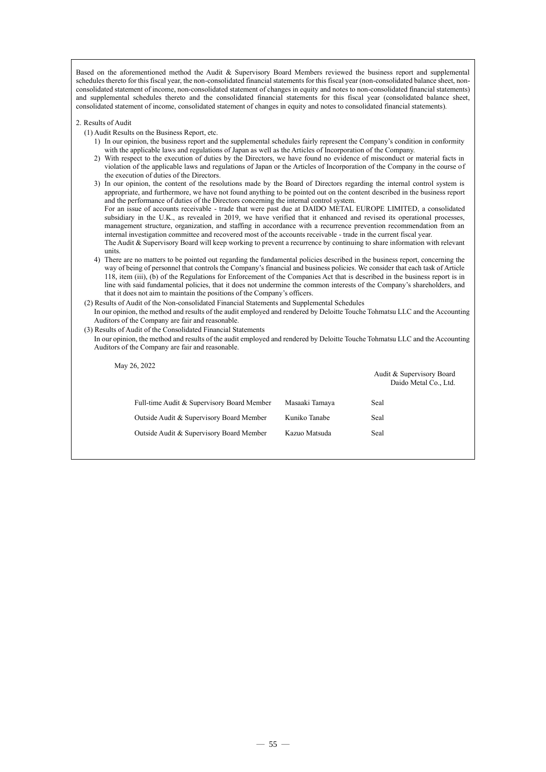Based on the aforementioned method the Audit & Supervisory Board Members reviewed the business report and supplemental schedules thereto for this fiscal year, the non-consolidated financial statements for this fiscal year (non-consolidated balance sheet, nonconsolidated statement of income, non-consolidated statement of changes in equity and notes to non-consolidated financial statements) and supplemental schedules thereto and the consolidated financial statements for this fiscal year (consolidated balance sheet, consolidated statement of income, consolidated statement of changes in equity and notes to consolidated financial statements).

- 2. Results of Audit
	- (1) Audit Results on the Business Report, etc.
		- 1) In our opinion, the business report and the supplemental schedules fairly represent the Company's condition in conformity with the applicable laws and regulations of Japan as well as the Articles of Incorporation of the Company.
		- 2) With respect to the execution of duties by the Directors, we have found no evidence of misconduct or material facts in violation of the applicable laws and regulations of Japan or the Articles of Incorporation of the Company in the course of the execution of duties of the Directors.
		- 3) In our opinion, the content of the resolutions made by the Board of Directors regarding the internal control system is appropriate, and furthermore, we have not found anything to be pointed out on the content described in the business report and the performance of duties of the Directors concerning the internal control system. For an issue of accounts receivable - trade that were past due at DAIDO METAL EUROPE LIMITED, a consolidated subsidiary in the U.K., as revealed in 2019, we have verified that it enhanced and revised its operational processes, management structure, organization, and staffing in accordance with a recurrence prevention recommendation from an internal investigation committee and recovered most of the accounts receivable - trade in the current fiscal year. The Audit & Supervisory Board will keep working to prevent a recurrence by continuing to share information with relevant units.
		- 4) There are no matters to be pointed out regarding the fundamental policies described in the business report, concerning the way of being of personnel that controls the Company's financial and business policies. We consider that each task of Article 118, item (iii), (b) of the Regulations for Enforcement of the Companies Act that is described in the business report is in line with said fundamental policies, that it does not undermine the common interests of the Company's shareholders, and that it does not aim to maintain the positions of the Company's officers.
	- (2) Results of Audit of the Non-consolidated Financial Statements and Supplemental Schedules
	- In our opinion, the method and results of the audit employed and rendered by Deloitte Touche Tohmatsu LLC and the Accounting Auditors of the Company are fair and reasonable.
	- (3) Results of Audit of the Consolidated Financial Statements
	- In our opinion, the method and results of the audit employed and rendered by Deloitte Touche Tohmatsu LLC and the Accounting Auditors of the Company are fair and reasonable.

May 26, 2022

|                                            |                | Audit & Supervisory Board<br>Daido Metal Co., Ltd. |
|--------------------------------------------|----------------|----------------------------------------------------|
| Full-time Audit & Supervisory Board Member | Masaaki Tamaya | Seal                                               |
| Outside Audit & Supervisory Board Member   | Kuniko Tanabe  | Seal                                               |
| Outside Audit & Supervisory Board Member   | Kazuo Matsuda  | Seal                                               |
|                                            |                |                                                    |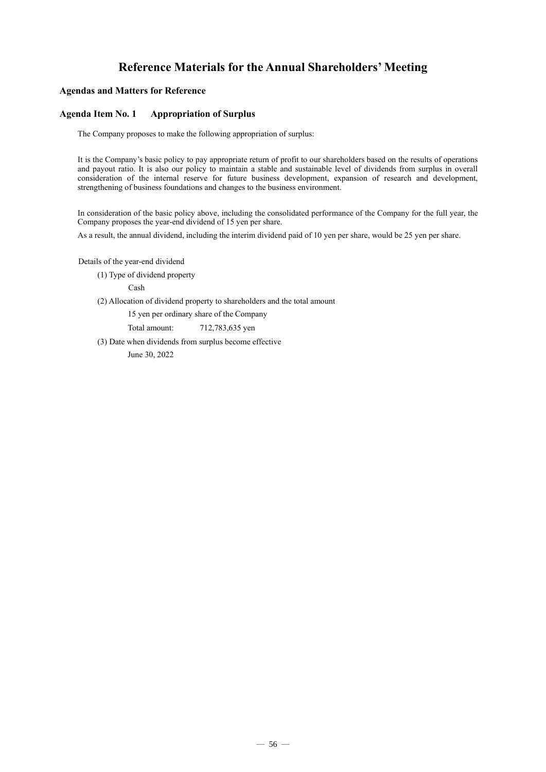### **Reference Materials for the Annual Shareholders' Meeting**

### **Agendas and Matters for Reference**

### **Agenda Item No. 1 Appropriation of Surplus**

The Company proposes to make the following appropriation of surplus:

It is the Company's basic policy to pay appropriate return of profit to our shareholders based on the results of operations and payout ratio. It is also our policy to maintain a stable and sustainable level of dividends from surplus in overall consideration of the internal reserve for future business development, expansion of research and development, strengthening of business foundations and changes to the business environment.

In consideration of the basic policy above, including the consolidated performance of the Company for the full year, the Company proposes the year-end dividend of 15 yen per share.

As a result, the annual dividend, including the interim dividend paid of 10 yen per share, would be 25 yen per share.

Details of the year-end dividend

(1) Type of dividend property

Cash

(2) Allocation of dividend property to shareholders and the total amount

15 yen per ordinary share of the Company

Total amount: 712,783,635 yen

(3) Date when dividends from surplus become effective

June 30, 2022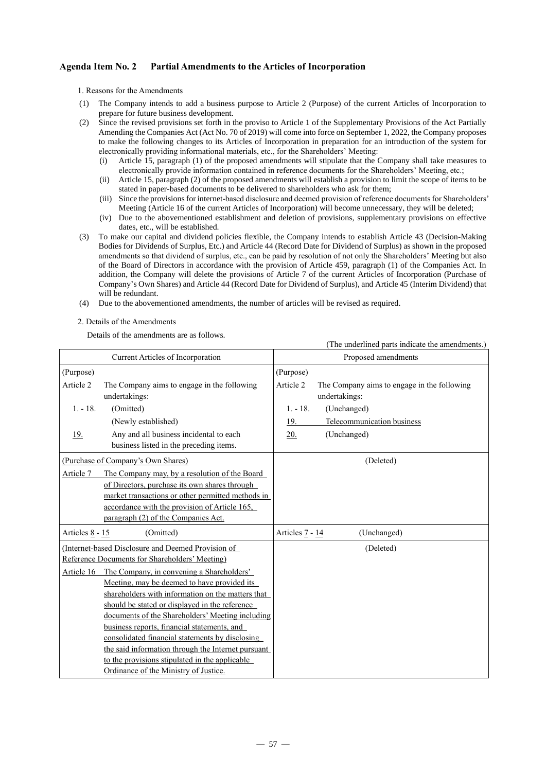### **Agenda Item No. 2 Partial Amendments to the Articles of Incorporation**

1. Reasons for the Amendments

- (1) The Company intends to add a business purpose to Article 2 (Purpose) of the current Articles of Incorporation to prepare for future business development.
- (2) Since the revised provisions set forth in the proviso to Article 1 of the Supplementary Provisions of the Act Partially Amending the Companies Act (Act No. 70 of 2019) will come into force on September 1, 2022, the Company proposes to make the following changes to its Articles of Incorporation in preparation for an introduction of the system for electronically providing informational materials, etc., for the Shareholders' Meeting:
	- (i) Article 15, paragraph (1) of the proposed amendments will stipulate that the Company shall take measures to electronically provide information contained in reference documents for the Shareholders' Meeting, etc.;
	- (ii) Article 15, paragraph (2) of the proposed amendments will establish a provision to limit the scope of items to be stated in paper-based documents to be delivered to shareholders who ask for them;
	- (iii) Since the provisions for internet-based disclosure and deemed provision of reference documents for Shareholders' Meeting (Article 16 of the current Articles of Incorporation) will become unnecessary, they will be deleted;
	- (iv) Due to the abovementioned establishment and deletion of provisions, supplementary provisions on effective dates, etc., will be established.
- (3) To make our capital and dividend policies flexible, the Company intends to establish Article 43 (Decision-Making Bodies for Dividends of Surplus, Etc.) and Article 44 (Record Date for Dividend of Surplus) as shown in the proposed amendments so that dividend of surplus, etc., can be paid by resolution of not only the Shareholders' Meeting but also of the Board of Directors in accordance with the provision of Article 459, paragraph (1) of the Companies Act. In addition, the Company will delete the provisions of Article 7 of the current Articles of Incorporation (Purchase of Company's Own Shares) and Article 44 (Record Date for Dividend of Surplus), and Article 45 (Interim Dividend) that will be redundant.
- (4) Due to the abovementioned amendments, the number of articles will be revised as required.
- 2. Details of the Amendments

Details of the amendments are as follows.

|                                                                                                                                                                                                                                                                                                                                                                                                                                                                                                                      | (The underlined parts indicate the amendments.)                           |
|----------------------------------------------------------------------------------------------------------------------------------------------------------------------------------------------------------------------------------------------------------------------------------------------------------------------------------------------------------------------------------------------------------------------------------------------------------------------------------------------------------------------|---------------------------------------------------------------------------|
| Current Articles of Incorporation                                                                                                                                                                                                                                                                                                                                                                                                                                                                                    | Proposed amendments                                                       |
| (Purpose)                                                                                                                                                                                                                                                                                                                                                                                                                                                                                                            | (Purpose)                                                                 |
| Article 2<br>The Company aims to engage in the following<br>undertakings:                                                                                                                                                                                                                                                                                                                                                                                                                                            | Article 2<br>The Company aims to engage in the following<br>undertakings: |
| $1. - 18.$<br>(Omitted)                                                                                                                                                                                                                                                                                                                                                                                                                                                                                              | $1. - 18.$<br>(Unchanged)                                                 |
| (Newly established)                                                                                                                                                                                                                                                                                                                                                                                                                                                                                                  | 19.<br>Telecommunication business                                         |
| Any and all business incidental to each<br><u>19.</u><br>business listed in the preceding items.                                                                                                                                                                                                                                                                                                                                                                                                                     | (Unchanged)<br>20.                                                        |
| (Purchase of Company's Own Shares)                                                                                                                                                                                                                                                                                                                                                                                                                                                                                   | (Deleted)                                                                 |
| The Company may, by a resolution of the Board<br>Article 7<br>of Directors, purchase its own shares through<br>market transactions or other permitted methods in<br>accordance with the provision of Article 165,<br>paragraph (2) of the Companies Act.                                                                                                                                                                                                                                                             |                                                                           |
| Articles 8 - 15<br>(Omitted)                                                                                                                                                                                                                                                                                                                                                                                                                                                                                         | Articles 7 - 14<br>(Unchanged)                                            |
| (Internet-based Disclosure and Deemed Provision of<br>Reference Documents for Shareholders' Meeting)                                                                                                                                                                                                                                                                                                                                                                                                                 | (Deleted)                                                                 |
| The Company, in convening a Shareholders'<br>Article 16<br>Meeting, may be deemed to have provided its<br>shareholders with information on the matters that<br>should be stated or displayed in the reference<br>documents of the Shareholders' Meeting including<br>business reports, financial statements, and<br>consolidated financial statements by disclosing<br>the said information through the Internet pursuant<br>to the provisions stipulated in the applicable<br>Ordinance of the Ministry of Justice. |                                                                           |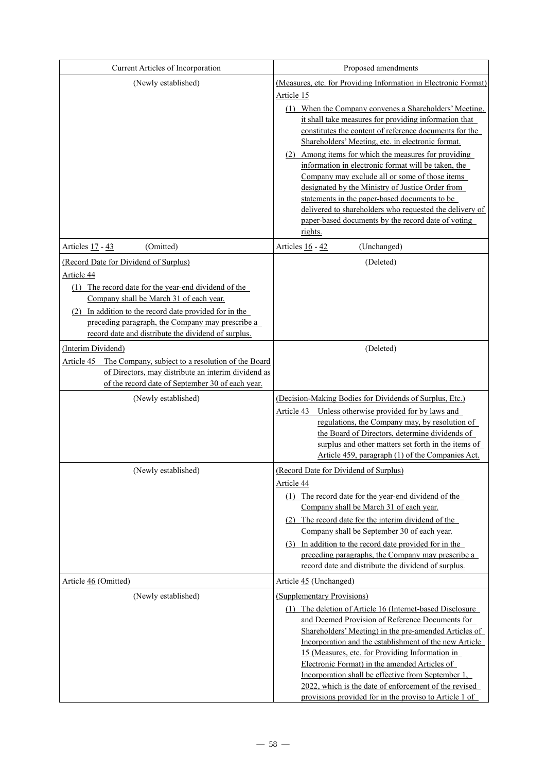| Current Articles of Incorporation                                                                       | Proposed amendments                                                                                             |
|---------------------------------------------------------------------------------------------------------|-----------------------------------------------------------------------------------------------------------------|
| (Newly established)                                                                                     | (Measures, etc. for Providing Information in Electronic Format)                                                 |
|                                                                                                         | Article 15                                                                                                      |
|                                                                                                         | (1) When the Company convenes a Shareholders' Meeting,                                                          |
|                                                                                                         | it shall take measures for providing information that                                                           |
|                                                                                                         | constitutes the content of reference documents for the<br>Shareholders' Meeting, etc. in electronic format.     |
|                                                                                                         | Among items for which the measures for providing<br>(2)                                                         |
|                                                                                                         | information in electronic format will be taken, the                                                             |
|                                                                                                         | Company may exclude all or some of those items                                                                  |
|                                                                                                         | designated by the Ministry of Justice Order from<br>statements in the paper-based documents to be               |
|                                                                                                         | delivered to shareholders who requested the delivery of                                                         |
|                                                                                                         | paper-based documents by the record date of voting                                                              |
|                                                                                                         | rights.                                                                                                         |
| Articles 17 - 43<br>(Omitted)                                                                           | Articles 16 - 42<br>(Unchanged)                                                                                 |
| (Record Date for Dividend of Surplus)<br>Article 44                                                     | (Deleted)                                                                                                       |
| (1) The record date for the year-end dividend of the                                                    |                                                                                                                 |
| Company shall be March 31 of each year.                                                                 |                                                                                                                 |
| (2) In addition to the record date provided for in the                                                  |                                                                                                                 |
| preceding paragraph, the Company may prescribe a<br>record date and distribute the dividend of surplus. |                                                                                                                 |
| (Interim Dividend)                                                                                      | (Deleted)                                                                                                       |
| Article 45 The Company, subject to a resolution of the Board                                            |                                                                                                                 |
| of Directors, may distribute an interim dividend as                                                     |                                                                                                                 |
| of the record date of September 30 of each year.                                                        |                                                                                                                 |
| (Newly established)                                                                                     | (Decision-Making Bodies for Dividends of Surplus, Etc.)                                                         |
|                                                                                                         | Unless otherwise provided for by laws and<br>Article 43<br>regulations, the Company may, by resolution of       |
|                                                                                                         | the Board of Directors, determine dividends of                                                                  |
|                                                                                                         | surplus and other matters set forth in the items of                                                             |
|                                                                                                         | Article 459, paragraph (1) of the Companies Act.                                                                |
| (Newly established)                                                                                     | (Record Date for Dividend of Surplus)                                                                           |
|                                                                                                         | Article 44<br>(1) The record date for the year-end dividend of the                                              |
|                                                                                                         | Company shall be March 31 of each year.                                                                         |
|                                                                                                         | (2) The record date for the interim dividend of the                                                             |
|                                                                                                         | Company shall be September 30 of each year.                                                                     |
|                                                                                                         | (3) In addition to the record date provided for in the<br>preceding paragraphs, the Company may prescribe a     |
|                                                                                                         | record date and distribute the dividend of surplus.                                                             |
| Article 46 (Omitted)                                                                                    | Article 45 (Unchanged)                                                                                          |
| (Newly established)                                                                                     | (Supplementary Provisions)                                                                                      |
|                                                                                                         | (1) The deletion of Article 16 (Internet-based Disclosure                                                       |
|                                                                                                         | and Deemed Provision of Reference Documents for                                                                 |
|                                                                                                         | Shareholders' Meeting) in the pre-amended Articles of                                                           |
|                                                                                                         | Incorporation and the establishment of the new Article<br>15 (Measures, etc. for Providing Information in       |
|                                                                                                         | Electronic Format) in the amended Articles of                                                                   |
|                                                                                                         | Incorporation shall be effective from September 1,                                                              |
|                                                                                                         | 2022, which is the date of enforcement of the revised<br>provisions provided for in the proviso to Article 1 of |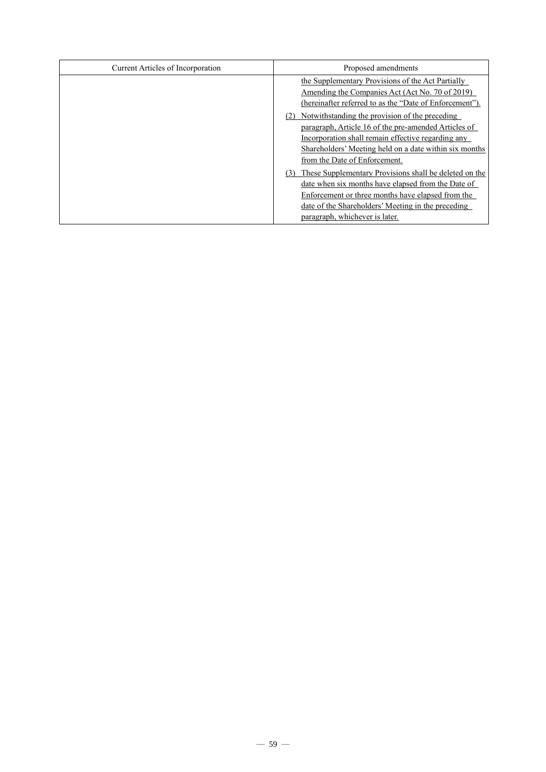| Current Articles of Incorporation | Proposed amendments                                                                                                                                                                                                                                       |
|-----------------------------------|-----------------------------------------------------------------------------------------------------------------------------------------------------------------------------------------------------------------------------------------------------------|
|                                   | the Supplementary Provisions of the Act Partially<br>Amending the Companies Act (Act No. 70 of 2019)<br>(hereinafter referred to as the "Date of Enforcement").                                                                                           |
|                                   | Notwithstanding the provision of the preceding<br>paragraph, Article 16 of the pre-amended Articles of<br>Incorporation shall remain effective regarding any<br>Shareholders' Meeting held on a date within six months<br>from the Date of Enforcement.   |
|                                   | These Supplementary Provisions shall be deleted on the<br>date when six months have elapsed from the Date of<br>Enforcement or three months have elapsed from the<br>date of the Shareholders' Meeting in the preceding<br>paragraph, whichever is later. |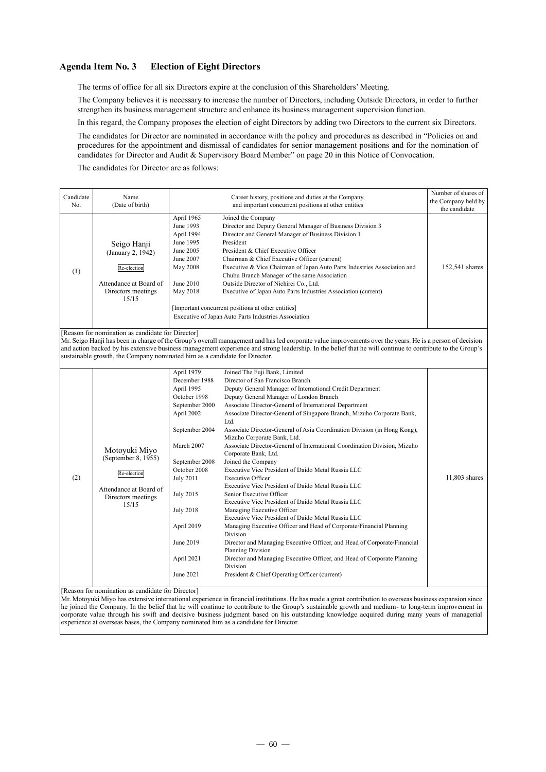### **Agenda Item No. 3 Election of Eight Directors**

The terms of office for all six Directors expire at the conclusion of this Shareholders' Meeting.

The Company believes it is necessary to increase the number of Directors, including Outside Directors, in order to further strengthen its business management structure and enhance its business management supervision function.

In this regard, the Company proposes the election of eight Directors by adding two Directors to the current six Directors.

The candidates for Director are nominated in accordance with the policy and procedures as described in "Policies on and procedures for the appointment and dismissal of candidates for senior management positions and for the nomination of candidates for Director and Audit & Supervisory Board Member" on page 20 in this Notice of Convocation.

The candidates for Director are as follows:

| Candidate | Name                                                                                                                            |                                                                                                                                                                                                                                                                               | Career history, positions and duties at the Company,                                                                                                                                                                                                                                                                                                                                                                                                                                                                                                                                                                                                                                                                                                                                                                                                                                                                                                                                                                                                                                                                                                                                                                | Number of shares of |
|-----------|---------------------------------------------------------------------------------------------------------------------------------|-------------------------------------------------------------------------------------------------------------------------------------------------------------------------------------------------------------------------------------------------------------------------------|---------------------------------------------------------------------------------------------------------------------------------------------------------------------------------------------------------------------------------------------------------------------------------------------------------------------------------------------------------------------------------------------------------------------------------------------------------------------------------------------------------------------------------------------------------------------------------------------------------------------------------------------------------------------------------------------------------------------------------------------------------------------------------------------------------------------------------------------------------------------------------------------------------------------------------------------------------------------------------------------------------------------------------------------------------------------------------------------------------------------------------------------------------------------------------------------------------------------|---------------------|
| No.       | (Date of birth)                                                                                                                 |                                                                                                                                                                                                                                                                               | and important concurrent positions at other entities                                                                                                                                                                                                                                                                                                                                                                                                                                                                                                                                                                                                                                                                                                                                                                                                                                                                                                                                                                                                                                                                                                                                                                | the Company held by |
|           |                                                                                                                                 |                                                                                                                                                                                                                                                                               |                                                                                                                                                                                                                                                                                                                                                                                                                                                                                                                                                                                                                                                                                                                                                                                                                                                                                                                                                                                                                                                                                                                                                                                                                     | the candidate       |
| (1)       | Seigo Hanji<br>(January 2, 1942)<br>Re-election<br>Attendance at Board of<br>Directors meetings<br>15/15                        | April 1965<br>June 1993<br>April 1994<br>June 1995<br>June 2005<br>June 2007<br><b>May 2008</b><br>June 2010<br>May 2018                                                                                                                                                      | Joined the Company<br>Director and Deputy General Manager of Business Division 3<br>Director and General Manager of Business Division 1<br>President<br>President & Chief Executive Officer<br>Chairman & Chief Executive Officer (current)<br>Executive & Vice Chairman of Japan Auto Parts Industries Association and<br>Chubu Branch Manager of the same Association<br>Outside Director of Nichirei Co., Ltd.<br>Executive of Japan Auto Parts Industries Association (current)<br>[Important concurrent positions at other entities]<br>Executive of Japan Auto Parts Industries Association                                                                                                                                                                                                                                                                                                                                                                                                                                                                                                                                                                                                                   | 152,541 shares      |
|           |                                                                                                                                 |                                                                                                                                                                                                                                                                               |                                                                                                                                                                                                                                                                                                                                                                                                                                                                                                                                                                                                                                                                                                                                                                                                                                                                                                                                                                                                                                                                                                                                                                                                                     |                     |
|           | [Reason for nomination as candidate for Director]<br>sustainable growth, the Company nominated him as a candidate for Director. |                                                                                                                                                                                                                                                                               | Mr. Seigo Hanji has been in charge of the Group's overall management and has led corporate value improvements over the years. He is a person of decision<br>and action backed by his extensive business management experience and strong leadership. In the belief that he will continue to contribute to the Group's                                                                                                                                                                                                                                                                                                                                                                                                                                                                                                                                                                                                                                                                                                                                                                                                                                                                                               |                     |
| (2)       | Motoyuki Miyo<br>(September 8, 1955)<br>Re-election<br>Attendance at Board of<br>Directors meetings<br>15/15                    | April 1979<br>December 1988<br>April 1995<br>October 1998<br>September 2000<br>April 2002<br>September 2004<br>March 2007<br>September 2008<br>October 2008<br><b>July 2011</b><br><b>July 2015</b><br><b>July 2018</b><br>April 2019<br>June 2019<br>April 2021<br>June 2021 | Joined The Fuji Bank, Limited<br>Director of San Francisco Branch<br>Deputy General Manager of International Credit Department<br>Deputy General Manager of London Branch<br>Associate Director-General of International Department<br>Associate Director-General of Singapore Branch, Mizuho Corporate Bank,<br>Ltd.<br>Associate Director-General of Asia Coordination Division (in Hong Kong),<br>Mizuho Corporate Bank, Ltd.<br>Associate Director-General of International Coordination Division, Mizuho<br>Corporate Bank, Ltd.<br>Joined the Company<br>Executive Vice President of Daido Metal Russia LLC<br><b>Executive Officer</b><br>Executive Vice President of Daido Metal Russia LLC<br>Senior Executive Officer<br>Executive Vice President of Daido Metal Russia LLC<br>Managing Executive Officer<br>Executive Vice President of Daido Metal Russia LLC<br>Managing Executive Officer and Head of Corporate/Financial Planning<br>Division<br>Director and Managing Executive Officer, and Head of Corporate/Financial<br><b>Planning Division</b><br>Director and Managing Executive Officer, and Head of Corporate Planning<br><b>Division</b><br>President & Chief Operating Officer (current) | 11,803 shares       |

[Reason for nomination as candidate for Director]

Mr. Motoyuki Miyo has extensive international experience in financial institutions. He has made a great contribution to overseas business expansion since he joined the Company. In the belief that he will continue to contribute to the Group's sustainable growth and medium- to long-term improvement in corporate value through his swift and decisive business judgment based on his outstanding knowledge acquired during many years of managerial experience at overseas bases, the Company nominated him as a candidate for Director.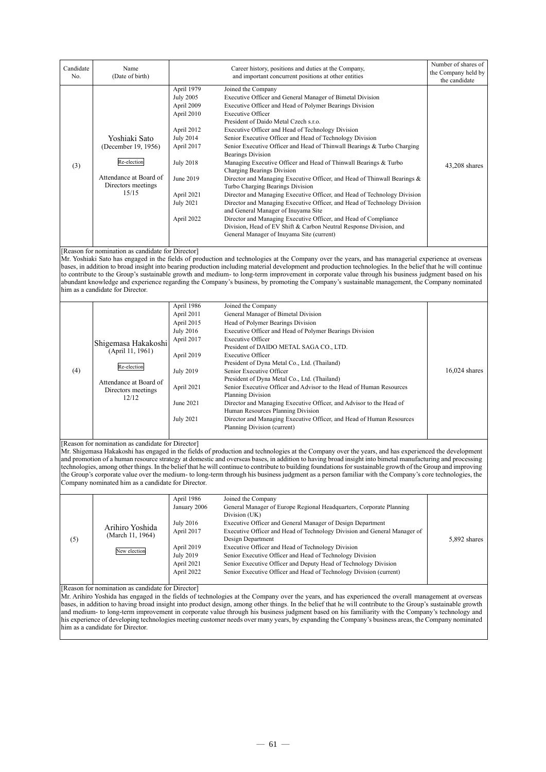| Candidate | Name                                               |                  | Career history, positions and duties at the Company,                                                                                                          | Number of shares of                  |
|-----------|----------------------------------------------------|------------------|---------------------------------------------------------------------------------------------------------------------------------------------------------------|--------------------------------------|
| No.       | (Date of birth)                                    |                  | and important concurrent positions at other entities                                                                                                          | the Company held by<br>the candidate |
|           |                                                    | April 1979       | Joined the Company                                                                                                                                            |                                      |
|           |                                                    | <b>July 2005</b> | Executive Officer and General Manager of Bimetal Division                                                                                                     |                                      |
|           |                                                    | April 2009       | Executive Officer and Head of Polymer Bearings Division                                                                                                       |                                      |
|           |                                                    | April 2010       | <b>Executive Officer</b>                                                                                                                                      |                                      |
|           |                                                    |                  | President of Daido Metal Czech s.r.o.                                                                                                                         |                                      |
|           |                                                    | April 2012       | Executive Officer and Head of Technology Division                                                                                                             |                                      |
|           | Yoshiaki Sato                                      | <b>July 2014</b> | Senior Executive Officer and Head of Technology Division                                                                                                      |                                      |
|           | (December 19, 1956)                                | April 2017       | Senior Executive Officer and Head of Thinwall Bearings & Turbo Charging<br><b>Bearings Division</b>                                                           |                                      |
| (3)       | Re-election                                        | <b>July 2018</b> | Managing Executive Officer and Head of Thinwall Bearings & Turbo<br>Charging Bearings Division                                                                | $43,208$ shares                      |
|           | Attendance at Board of<br>Directors meetings       | June 2019        | Director and Managing Executive Officer, and Head of Thinwall Bearings &                                                                                      |                                      |
|           | 15/15                                              |                  | Turbo Charging Bearings Division                                                                                                                              |                                      |
|           |                                                    | April 2021       | Director and Managing Executive Officer, and Head of Technology Division                                                                                      |                                      |
|           |                                                    | <b>July 2021</b> | Director and Managing Executive Officer, and Head of Technology Division<br>and General Manager of Inuyama Site                                               |                                      |
|           |                                                    | April 2022       | Director and Managing Executive Officer, and Head of Compliance                                                                                               |                                      |
|           |                                                    |                  | Division, Head of EV Shift & Carbon Neutral Response Division, and                                                                                            |                                      |
|           |                                                    |                  | General Manager of Inuyama Site (current)                                                                                                                     |                                      |
|           |                                                    |                  |                                                                                                                                                               |                                      |
|           | [Reason for nomination as candidate for Director]  |                  |                                                                                                                                                               |                                      |
|           |                                                    |                  | Mr. Yoshiaki Sato has engaged in the fields of production and technologies at the Company over the years, and has managerial experience at overseas           |                                      |
|           |                                                    |                  | bases, in addition to broad insight into bearing production including material development and production technologies. In the belief that he will continue   |                                      |
|           |                                                    |                  | to contribute to the Group's sustainable growth and medium- to long-term improvement in corporate value through his business judgment based on his            |                                      |
|           | him as a candidate for Director.                   |                  | abundant knowledge and experience regarding the Company's business, by promoting the Company's sustainable management, the Company nominated                  |                                      |
|           |                                                    |                  |                                                                                                                                                               |                                      |
|           |                                                    | April 1986       | Joined the Company                                                                                                                                            |                                      |
|           |                                                    | April 2011       | General Manager of Bimetal Division                                                                                                                           |                                      |
|           |                                                    | April 2015       | Head of Polymer Bearings Division                                                                                                                             |                                      |
|           |                                                    | <b>July 2016</b> | Executive Officer and Head of Polymer Bearings Division                                                                                                       |                                      |
|           |                                                    | April 2017       | <b>Executive Officer</b>                                                                                                                                      |                                      |
|           | Shigemasa Hakakoshi                                |                  | President of DAIDO METAL SAGA CO., LTD.                                                                                                                       |                                      |
|           | (April 11, 1961)                                   | April 2019       | <b>Executive Officer</b>                                                                                                                                      |                                      |
|           | Re-election                                        |                  | President of Dyna Metal Co., Ltd. (Thailand)                                                                                                                  |                                      |
| (4)       |                                                    | <b>July 2019</b> | Senior Executive Officer                                                                                                                                      | $16,024$ shares                      |
|           | Attendance at Board of                             |                  | President of Dyna Metal Co., Ltd. (Thailand)                                                                                                                  |                                      |
|           | Directors meetings                                 | April 2021       | Senior Executive Officer and Advisor to the Head of Human Resources                                                                                           |                                      |
|           | 12/12                                              | June 2021        | <b>Planning Division</b><br>Director and Managing Executive Officer, and Advisor to the Head of                                                               |                                      |
|           |                                                    |                  | Human Resources Planning Division                                                                                                                             |                                      |
|           |                                                    | <b>July 2021</b> | Director and Managing Executive Officer, and Head of Human Resources                                                                                          |                                      |
|           |                                                    |                  | Planning Division (current)                                                                                                                                   |                                      |
|           |                                                    |                  |                                                                                                                                                               |                                      |
|           | [Reason for nomination as candidate for Director]  |                  | Mr. Shigemasa Hakakoshi has engaged in the fields of production and technologies at the Company over the years, and has experienced the development           |                                      |
|           |                                                    |                  | and promotion of a human resource strategy at domestic and overseas bases, in addition to having broad insight into bimetal manufacturing and processing      |                                      |
|           |                                                    |                  | technologies, among other things. In the belief that he will continue to contribute to building foundations for sustainable growth of the Group and improving |                                      |
|           |                                                    |                  | the Group's corporate value over the medium- to long-term through his business judgment as a person familiar with the Company's core technologies, the        |                                      |
|           | Company nominated him as a candidate for Director. |                  |                                                                                                                                                               |                                      |
|           |                                                    |                  |                                                                                                                                                               |                                      |
|           |                                                    | April 1986       | Joined the Company                                                                                                                                            |                                      |
|           |                                                    | January 2006     | General Manager of Europe Regional Headquarters, Corporate Planning<br>Division (UK)                                                                          |                                      |
|           |                                                    | July 2016        | Executive Officer and General Manager of Design Department                                                                                                    |                                      |
|           | Arihiro Yoshida                                    | April 2017       | Executive Officer and Head of Technology Division and General Manager of                                                                                      |                                      |
| (5)       | (March 11, 1964)                                   |                  | Design Department                                                                                                                                             | 5,892 shares                         |
|           | New election                                       | April 2019       | Executive Officer and Head of Technology Division                                                                                                             |                                      |
|           |                                                    | July 2019        | Senior Executive Officer and Head of Technology Division                                                                                                      |                                      |
|           |                                                    | April 2021       | Senior Executive Officer and Deputy Head of Technology Division                                                                                               |                                      |

[Reason for nomination as candidate for Director]

Mr. Arihiro Yoshida has engaged in the fields of technologies at the Company over the years, and has experienced the overall management at overseas bases, in addition to having broad insight into product design, among other things. In the belief that he will contribute to the Group's sustainable growth and medium- to long-term improvement in corporate value through his business judgment based on his familiarity with the Company's technology and his experience of developing technologies meeting customer needs over many years, by expanding the Company's business areas, the Company nominated him as a candidate for Director.

April 2021 Senior Executive Officer and Deputy Head of Technology Division<br>April 2022 Senior Executive Officer and Head of Technology Division (current

Senior Executive Officer and Head of Technology Division (current)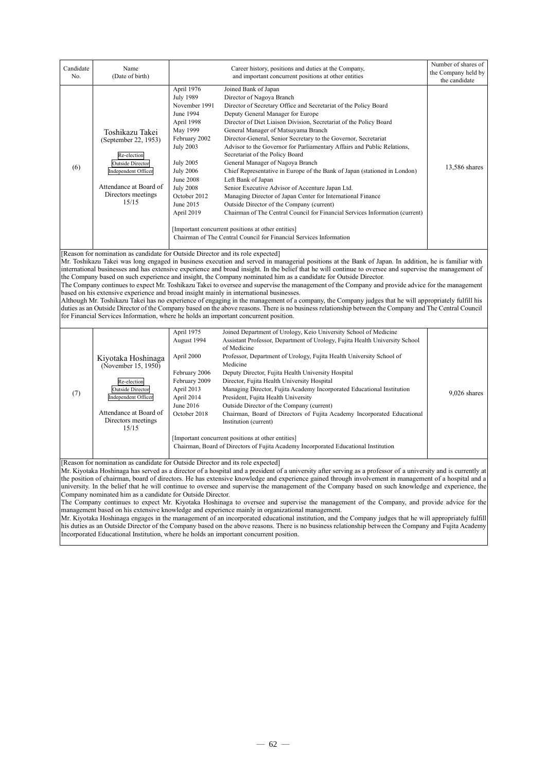| Candidate<br>No.                                                                                                                                                                                                                                                                                                                                                                                                                                                                                                                                                                                                                                                                                                                                                                                                                                                                                                                                                                                                                                                                                           | Name<br>(Date of birth)                                                                                                                                           | Career history, positions and duties at the Company,<br>and important concurrent positions at other entities                                                                                                                                                                                                                                                                                                                                                                                                                                                                                                                                                                                                                                                                                                                                                                                                                                                                                                                                                                                                                                                                                                                          | Number of shares of<br>the Company held by<br>the candidate |  |  |
|------------------------------------------------------------------------------------------------------------------------------------------------------------------------------------------------------------------------------------------------------------------------------------------------------------------------------------------------------------------------------------------------------------------------------------------------------------------------------------------------------------------------------------------------------------------------------------------------------------------------------------------------------------------------------------------------------------------------------------------------------------------------------------------------------------------------------------------------------------------------------------------------------------------------------------------------------------------------------------------------------------------------------------------------------------------------------------------------------------|-------------------------------------------------------------------------------------------------------------------------------------------------------------------|---------------------------------------------------------------------------------------------------------------------------------------------------------------------------------------------------------------------------------------------------------------------------------------------------------------------------------------------------------------------------------------------------------------------------------------------------------------------------------------------------------------------------------------------------------------------------------------------------------------------------------------------------------------------------------------------------------------------------------------------------------------------------------------------------------------------------------------------------------------------------------------------------------------------------------------------------------------------------------------------------------------------------------------------------------------------------------------------------------------------------------------------------------------------------------------------------------------------------------------|-------------------------------------------------------------|--|--|
| (6)                                                                                                                                                                                                                                                                                                                                                                                                                                                                                                                                                                                                                                                                                                                                                                                                                                                                                                                                                                                                                                                                                                        | Toshikazu Takei<br>(September 22, 1953)<br>Re-election<br><b>Outside Director</b><br>Independent Officer<br>Attendance at Board of<br>Directors meetings<br>15/15 | April 1976<br>Joined Bank of Japan<br><b>July 1989</b><br>Director of Nagoya Branch<br>November 1991<br>Director of Secretary Office and Secretariat of the Policy Board<br>June 1994<br>Deputy General Manager for Europe<br>April 1998<br>Director of Diet Liaison Division, Secretariat of the Policy Board<br>May 1999<br>General Manager of Matsuyama Branch<br>February 2002<br>Director-General, Senior Secretary to the Governor, Secretariat<br><b>July 2003</b><br>Advisor to the Governor for Parliamentary Affairs and Public Relations,<br>Secretariat of the Policy Board<br><b>July 2005</b><br>General Manager of Nagoya Branch<br><b>July 2006</b><br>Chief Representative in Europe of the Bank of Japan (stationed in London)<br><b>June 2008</b><br>Left Bank of Japan<br><b>July 2008</b><br>Senior Executive Advisor of Accenture Japan Ltd.<br>October 2012<br>Managing Director of Japan Center for International Finance<br>June 2015<br>Outside Director of the Company (current)<br>April 2019<br>Chairman of The Central Council for Financial Services Information (current)<br>[Important concurrent positions at other entities]<br>Chairman of The Central Council for Financial Services Information | 13,586 shares                                               |  |  |
|                                                                                                                                                                                                                                                                                                                                                                                                                                                                                                                                                                                                                                                                                                                                                                                                                                                                                                                                                                                                                                                                                                            |                                                                                                                                                                   | [Reason for nomination as candidate for Outside Director and its role expected]<br>Mr. Toshikazu Takei was long engaged in business execution and served in managerial positions at the Bank of Japan. In addition, he is familiar with<br>international businesses and has extensive experience and broad insight. In the belief that he will continue to oversee and supervise the management of<br>the Company based on such experience and insight, the Company nominated him as a candidate for Outside Director.<br>The Company continues to expect Mr. Toshikazu Takei to oversee and supervise the management of the Company and provide advice for the management<br>based on his extensive experience and broad insight mainly in international businesses.<br>Although Mr. Toshikazu Takei has no experience of engaging in the management of a company, the Company judges that he will appropriately fulfill his<br>duties as an Outside Director of the Company based on the above reasons. There is no business relationship between the Company and The Central Council<br>for Financial Services Information, where he holds an important concurrent position.                                                       |                                                             |  |  |
| April 1975<br>Joined Department of Urology, Keio University School of Medicine<br>August 1994<br>Assistant Professor, Department of Urology, Fujita Health University School<br>of Medicine<br>April 2000<br>Professor, Department of Urology, Fujita Health University School of<br>Kiyotaka Hoshinaga<br>Medicine<br>(November 15, 1950)<br>February 2006<br>Deputy Director, Fujita Health University Hospital<br>February 2009<br>Director, Fujita Health University Hospital<br>Re-election<br><b>Outside Director</b><br>April 2013<br>Managing Director, Fujita Academy Incorporated Educational Institution<br>(7)<br>9,026 shares<br>Independent Officer<br>April 2014<br>President, Fujita Health University<br>June 2016<br>Outside Director of the Company (current)<br>Attendance at Board of<br>October 2018<br>Chairman, Board of Directors of Fujita Academy Incorporated Educational<br>Directors meetings<br>Institution (current)<br>15/15<br>[Important concurrent positions at other entities]<br>Chairman, Board of Directors of Fujita Academy Incorporated Educational Institution |                                                                                                                                                                   |                                                                                                                                                                                                                                                                                                                                                                                                                                                                                                                                                                                                                                                                                                                                                                                                                                                                                                                                                                                                                                                                                                                                                                                                                                       |                                                             |  |  |
|                                                                                                                                                                                                                                                                                                                                                                                                                                                                                                                                                                                                                                                                                                                                                                                                                                                                                                                                                                                                                                                                                                            | Company nominated him as a candidate for Outside Director.                                                                                                        | [Reason for nomination as candidate for Outside Director and its role expected]<br>Mr. Kiyotaka Hoshinaga has served as a director of a hospital and a president of a university after serving as a professor of a university and is currently at<br>the position of chairman, board of directors. He has extensive knowledge and experience gained through involvement in management of a hospital and a<br>university. In the belief that he will continue to oversee and supervise the management of the Company based on such knowledge and experience, the<br>The Company continues to expect Mr. Kiyotaka Hoshinaga to oversee and supervise the management of the Company, and provide advice for the<br>management based on his extensive knowledge and experience mainly in organizational management.<br>Mr. Kiyotaka Hoshinaga engages in the management of an incorporated educational institution, and the Company judges that he will appropriately fulfill<br>his duties as an Outside Director of the Company based on the above reasons. There is no business relationship between the Company and Fujita Academy                                                                                                    |                                                             |  |  |

 $- 62 -$ 

Incorporated Educational Institution, where he holds an important concurrent position.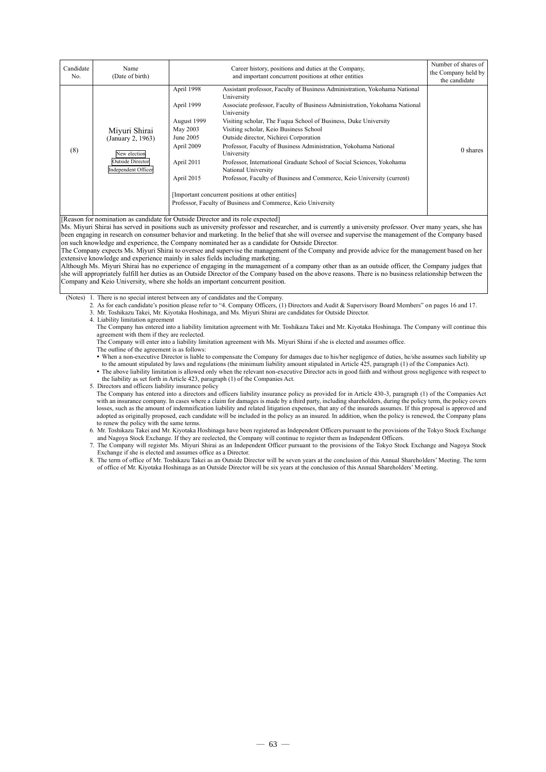| Candidate<br>No. | Name<br>(Date of birth)                                                                       |                                                                                                            | Career history, positions and duties at the Company,<br>and important concurrent positions at other entities                                                                                                                                                                                                                                                                                                                                                                                                                                                                                                                                                                                                                  | Number of shares of<br>the Company held by<br>the candidate |
|------------------|-----------------------------------------------------------------------------------------------|------------------------------------------------------------------------------------------------------------|-------------------------------------------------------------------------------------------------------------------------------------------------------------------------------------------------------------------------------------------------------------------------------------------------------------------------------------------------------------------------------------------------------------------------------------------------------------------------------------------------------------------------------------------------------------------------------------------------------------------------------------------------------------------------------------------------------------------------------|-------------------------------------------------------------|
| (8)              | Miyuri Shirai<br>(January 2, 1963)<br>New election<br>Outside Director<br>Independent Officer | April 1998<br>April 1999<br>August 1999<br>May 2003<br>June 2005<br>April 2009<br>April 2011<br>April 2015 | Assistant professor, Faculty of Business Administration, Yokohama National<br>University<br>Associate professor, Faculty of Business Administration, Yokohama National<br>University<br>Visiting scholar, The Fuqua School of Business, Duke University<br>Visiting scholar, Keio Business School<br>Outside director, Nichirei Corporation<br>Professor, Faculty of Business Administration, Yokohama National<br>University<br>Professor, International Graduate School of Social Sciences, Yokohama<br>National University<br>Professor, Faculty of Business and Commerce, Keio University (current)<br>[Important concurrent positions at other entities]<br>Professor, Faculty of Business and Commerce, Keio University | 0 shares                                                    |
|                  | [Reason for nomination as candidate for Outside Director and its role expected]               |                                                                                                            | Ms. Miyuri Shirai has served in positions such as university professor and researcher, and is currently a university professor. Over many years, she has<br>been engaging in research on consumer behavior and marketing. In the belief that she will oversee and supervise the management of the Company based                                                                                                                                                                                                                                                                                                                                                                                                               |                                                             |

ersee and supervise the management of the Company over the will over on such knowledge and experience, the Company nominated her as a candidate for Outside Director.

The Company expects Ms. Miyuri Shirai to oversee and supervise the management of the Company and provide advice for the management based on her extensive knowledge and experience mainly in sales fields including marketing.

Although Ms. Miyuri Shirai has no experience of engaging in the management of a company other than as an outside officer, the Company judges that she will appropriately fulfill her duties as an Outside Director of the Company based on the above reasons. There is no business relationship between the Company and Keio University, where she holds an important concurrent position.

(Notes) 1. There is no special interest between any of candidates and the Company.

2. As for each candidate's position please refer to "4. Company Officers, (1) Directors and Audit & Supervisory Board Members" on pages 16 and 17.

3. Mr. Toshikazu Takei, Mr. Kiyotaka Hoshinaga, and Ms. Miyuri Shirai are candidates for Outside Director.

4. Liability limitation agreement

The Company has entered into a liability limitation agreement with Mr. Toshikazu Takei and Mr. Kiyotaka Hoshinaga. The Company will continue this agreement with them if they are reelected.

The Company will enter into a liability limitation agreement with Ms. Miyuri Shirai if she is elected and assumes office.

The outline of the agreement is as follows:

 When a non-executive Director is liable to compensate the Company for damages due to his/her negligence of duties, he/she assumes such liability up to the amount stipulated by laws and regulations (the minimum liability amount stipulated in Article 425, paragraph (1) of the Companies Act). The above liability limitation is allowed only when the relevant non-executive Director acts in good faith and without gross negligence with respect to

the liability as set forth in Article 423, paragraph (1) of the Companies Act.

5. Directors and officers liability insurance policy

The Company has entered into a directors and officers liability insurance policy as provided for in Article 430-3, paragraph (1) of the Companies Act with an insurance company. In cases where a claim for damages is made by a third party, including shareholders, during the policy term, the policy covers losses, such as the amount of indemnification liability and related litigation expenses, that any of the insureds assumes. If this proposal is approved and adopted as originally proposed, each candidate will be included in the policy as an insured. In addition, when the policy is renewed, the Company plans to renew the policy with the same terms.

6. Mr. Toshikazu Takei and Mr. Kiyotaka Hoshinaga have been registered as Independent Officers pursuant to the provisions of the Tokyo Stock Exchange and Nagoya Stock Exchange. If they are reelected, the Company will continue to register them as Independent Officers.

7. The Company will register Ms. Miyuri Shirai as an Independent Officer pursuant to the provisions of the Tokyo Stock Exchange and Nagoya Stock Exchange if she is elected and assumes office as a Director.

8. The term of office of Mr. Toshikazu Takei as an Outside Director will be seven years at the conclusion of this Annual Shareholders' Meeting. The term of office of Mr. Kiyotaka Hoshinaga as an Outside Director will be six years at the conclusion of this Annual Shareholders' Meeting.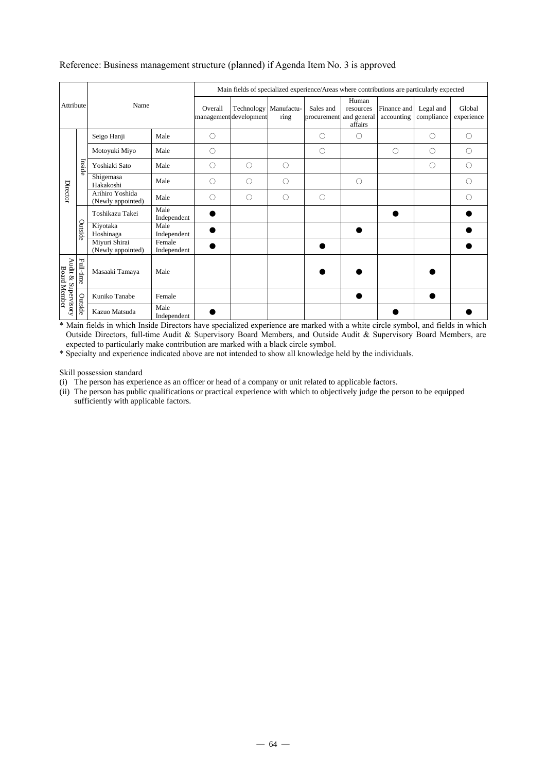| Attribute                                  |           | Name                                 |                       | Main fields of specialized experience/Areas where contributions are particularly expected |                                                 |         |                          |                                              |                           |                         |                      |  |
|--------------------------------------------|-----------|--------------------------------------|-----------------------|-------------------------------------------------------------------------------------------|-------------------------------------------------|---------|--------------------------|----------------------------------------------|---------------------------|-------------------------|----------------------|--|
|                                            |           |                                      |                       | Overall                                                                                   | Technology Manufactu-<br>management development | ring    | Sales and<br>procurement | Human<br>resources<br>and general<br>affairs | Finance and<br>accounting | Legal and<br>compliance | Global<br>experience |  |
| Director                                   | Inside    | Seigo Hanji                          | Male                  | $\circ$                                                                                   |                                                 |         | $\circ$                  | O                                            |                           | C                       | $\bigcirc$           |  |
|                                            |           | Motoyuki Miyo                        | Male                  | $\circ$                                                                                   |                                                 |         | $\circ$                  |                                              | $\bigcirc$                | О                       | Ο                    |  |
|                                            |           | Yoshiaki Sato                        | Male                  | O                                                                                         | O                                               | О       |                          |                                              |                           | О                       | O                    |  |
|                                            |           | Shigemasa<br>Hakakoshi               | Male                  | $\bigcirc$                                                                                | O                                               | О       |                          | $\circ$                                      |                           |                         | O                    |  |
|                                            |           | Arihiro Yoshida<br>(Newly appointed) | Male                  | $\bigcirc$                                                                                | O                                               | $\circ$ | $\circ$                  |                                              |                           |                         | ∩                    |  |
|                                            | Outside   | Toshikazu Takei                      | Male<br>Independent   |                                                                                           |                                                 |         |                          |                                              |                           |                         |                      |  |
|                                            |           | Kiyotaka<br>Hoshinaga                | Male<br>Independent   |                                                                                           |                                                 |         |                          |                                              |                           |                         |                      |  |
|                                            |           | Miyuri Shirai<br>(Newly appointed)   | Female<br>Independent |                                                                                           |                                                 |         |                          |                                              |                           |                         |                      |  |
| Audit & Supervisory<br><b>Board Member</b> | Full-time | Masaaki Tamaya                       | Male                  |                                                                                           |                                                 |         |                          |                                              |                           |                         |                      |  |
|                                            | Outside   | Kuniko Tanabe                        | Female                |                                                                                           |                                                 |         |                          |                                              |                           |                         |                      |  |
|                                            |           | Kazuo Matsuda                        | Male<br>Independent   |                                                                                           |                                                 |         |                          |                                              |                           |                         |                      |  |

### Reference: Business management structure (planned) if Agenda Item No. 3 is approved

\* Main fields in which Inside Directors have specialized experience are marked with a white circle symbol, and fields in which Outside Directors, full-time Audit & Supervisory Board Members, and Outside Audit & Supervisory Board Members, are expected to particularly make contribution are marked with a black circle symbol.

\* Specialty and experience indicated above are not intended to show all knowledge held by the individuals.

Skill possession standard

(i) The person has experience as an officer or head of a company or unit related to applicable factors.

(ii) The person has public qualifications or practical experience with which to objectively judge the person to be equipped sufficiently with applicable factors.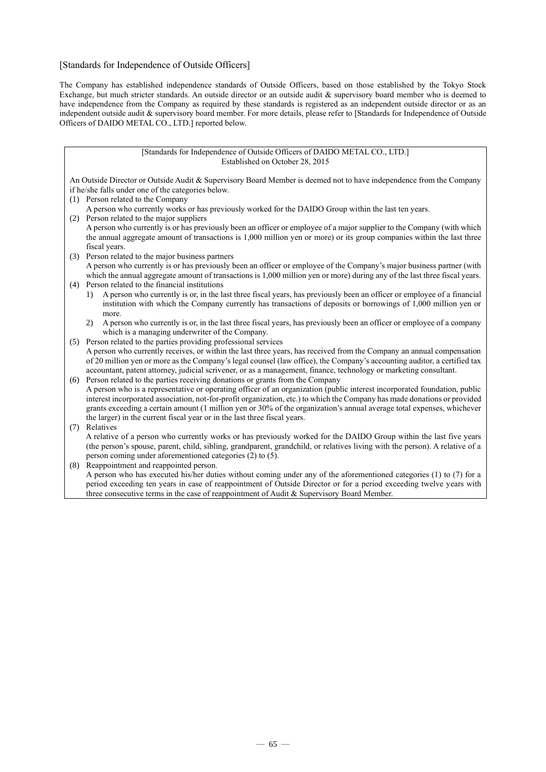### [Standards for Independence of Outside Officers]

The Company has established independence standards of Outside Officers, based on those established by the Tokyo Stock Exchange, but much stricter standards. An outside director or an outside audit & supervisory board member who is deemed to have independence from the Company as required by these standards is registered as an independent outside director or as an independent outside audit & supervisory board member. For more details, please refer to [Standards for Independence of Outside Officers of DAIDO METAL CO., LTD.] reported below.

### [Standards for Independence of Outside Officers of DAIDO METAL CO., LTD.] Established on October 28, 2015

An Outside Director or Outside Audit & Supervisory Board Member is deemed not to have independence from the Company if he/she falls under one of the categories below.

- (1) Person related to the Company
- A person who currently works or has previously worked for the DAIDO Group within the last ten years.
- (2) Person related to the major suppliers A person who currently is or has previously been an officer or employee of a major supplier to the Company (with which the annual aggregate amount of transactions is 1,000 million yen or more) or its group companies within the last three fiscal years.
- (3) Person related to the major business partners A person who currently is or has previously been an officer or employee of the Company's major business partner (with which the annual aggregate amount of transactions is 1,000 million yen or more) during any of the last three fiscal years.
- (4) Person related to the financial institutions
	- 1) A person who currently is or, in the last three fiscal years, has previously been an officer or employee of a financial institution with which the Company currently has transactions of deposits or borrowings of 1,000 million yen or more.
	- 2) A person who currently is or, in the last three fiscal years, has previously been an officer or employee of a company which is a managing underwriter of the Company.

(5) Person related to the parties providing professional services A person who currently receives, or within the last three years, has received from the Company an annual compensation of 20 million yen or more as the Company's legal counsel (law office), the Company's accounting auditor, a certified tax accountant, patent attorney, judicial scrivener, or as a management, finance, technology or marketing consultant.

(6) Person related to the parties receiving donations or grants from the Company A person who is a representative or operating officer of an organization (public interest incorporated foundation, public interest incorporated association, not-for-profit organization, etc.) to which the Company has made donations or provided grants exceeding a certain amount (1 million yen or 30% of the organization's annual average total expenses, whichever the larger) in the current fiscal year or in the last three fiscal years.

(7) Relatives

A relative of a person who currently works or has previously worked for the DAIDO Group within the last five years (the person's spouse, parent, child, sibling, grandparent, grandchild, or relatives living with the person). A relative of a person coming under aforementioned categories (2) to (5).

(8) Reappointment and reappointed person. A person who has executed his/her duties without coming under any of the aforementioned categories (1) to (7) for a

period exceeding ten years in case of reappointment of Outside Director or for a period exceeding twelve years with three consecutive terms in the case of reappointment of Audit & Supervisory Board Member.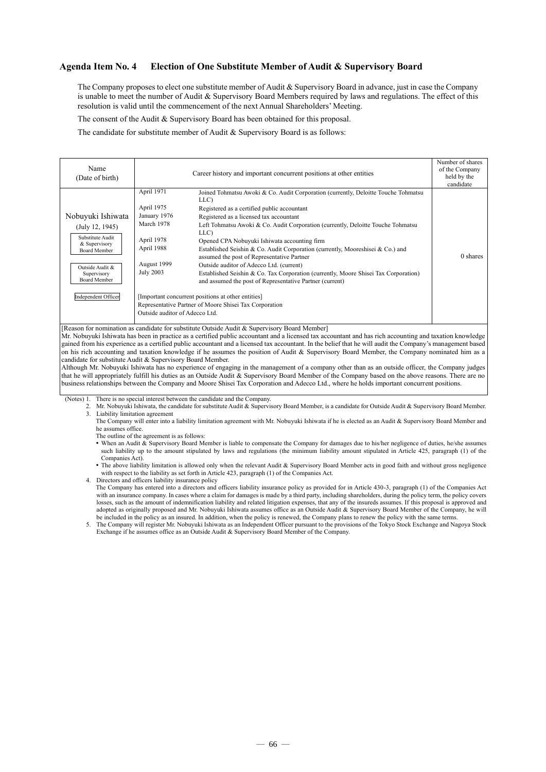### **Agenda Item No. 4 Election of One Substitute Member of Audit & Supervisory Board**

The Company proposes to elect one substitute member of Audit & Supervisory Board in advance, just in case the Company is unable to meet the number of Audit & Supervisory Board Members required by laws and regulations. The effect of this resolution is valid until the commencement of the next Annual Shareholders' Meeting.

The consent of the Audit & Supervisory Board has been obtained for this proposal.

The candidate for substitute member of Audit & Supervisory Board is as follows:

| Name<br>(Date of birth)                                                                                                                                                          | Career history and important concurrent positions at other entities                                                                                                                                                                                                                     |                                                                                                                                                                                                                                                                                                                                                                                                                                                                                                                                                                                                                                                 |          |  |  |
|----------------------------------------------------------------------------------------------------------------------------------------------------------------------------------|-----------------------------------------------------------------------------------------------------------------------------------------------------------------------------------------------------------------------------------------------------------------------------------------|-------------------------------------------------------------------------------------------------------------------------------------------------------------------------------------------------------------------------------------------------------------------------------------------------------------------------------------------------------------------------------------------------------------------------------------------------------------------------------------------------------------------------------------------------------------------------------------------------------------------------------------------------|----------|--|--|
| Nobuyuki Ishiwata<br>(July 12, 1945)<br>Substitute Audit<br>& Supervisory<br><b>Board Member</b><br>Outside Audit &<br>Supervisory<br><b>Board Member</b><br>Independent Officer | April 1971<br>LLC)<br>April 1975<br>January 1976<br>March 1978<br>LLC)<br>April 1978<br>April 1988<br>August 1999<br><b>July 2003</b><br>[Important concurrent positions at other entities]<br>Representative Partner of Moore Shisei Tax Corporation<br>Outside auditor of Adecco Ltd. | Joined Tohmatsu Awoki & Co. Audit Corporation (currently, Deloitte Touche Tohmatsu<br>Registered as a certified public accountant<br>Registered as a licensed tax accountant<br>Left Tohmatsu Awoki & Co. Audit Corporation (currently, Deloitte Touche Tohmatsu<br>Opened CPA Nobuyuki Ishiwata accounting firm<br>Established Seishin & Co. Audit Corporation (currently, Mooreshisei & Co.) and<br>assumed the post of Representative Partner<br>Outside auditor of Adecco Ltd. (current)<br>Established Seishin & Co. Tax Corporation (currently, Moore Shisei Tax Corporation)<br>and assumed the post of Representative Partner (current) | 0 shares |  |  |

[Reason for nomination as candidate for substitute Outside Audit & Supervisory Board Member]

Mr. Nobuyuki Ishiwata has been in practice as a certified public accountant and a licensed tax accountant and has rich accounting and taxation knowledge gained from his experience as a certified public accountant and a licensed tax accountant. In the belief that he will audit the Company's management based on his rich accounting and taxation knowledge if he assumes the position of Audit & Supervisory Board Member, the Company nominated him as a candidate for substitute Audit & Supervisory Board Member.

Although Mr. Nobuyuki Ishiwata has no experience of engaging in the management of a company other than as an outside officer, the Company judges that he will appropriately fulfill his duties as an Outside Audit & Supervisory Board Member of the Company based on the above reasons. There are no business relationships between the Company and Moore Shisei Tax Corporation and Adecco Ltd., where he holds important concurrent positions.

(Notes) 1. There is no special interest between the candidate and the Company.

2. Mr. Nobuyuki Ishiwata, the candidate for substitute Audit & Supervisory Board Member, is a candidate for Outside Audit & Supervisory Board Member. 3. Liability limitation agreement

The Company will enter into a liability limitation agreement with Mr. Nobuyuki Ishiwata if he is elected as an Audit & Supervisory Board Member and he assumes office.

The outline of the agreement is as follows:

• When an Audit & Supervisory Board Member is liable to compensate the Company for damages due to his/her negligence of duties, he/she assumes such liability up to the amount stipulated by laws and regulations (the minimum liability amount stipulated in Article 425, paragraph (1) of the Companies Act).

 The above liability limitation is allowed only when the relevant Audit & Supervisory Board Member acts in good faith and without gross negligence with respect to the liability as set forth in Article 423, paragraph (1) of the Companies Act.

4. Directors and officers liability insurance policy The Company has entered into a directors and officers liability insurance policy as provided for in Article 430-3, paragraph (1) of the Companies Act with an insurance company. In cases where a claim for damages is made by a third party, including shareholders, during the policy term, the policy covers losses, such as the amount of indemnification liability and related litigation expenses, that any of the insureds assumes. If this proposal is approved and adopted as originally proposed and Mr. Nobuyuki Ishiwata assumes office as an Outside Audit & Supervisory Board Member of the Company, he will be included in the policy as an insured. In addition, when the policy is renewed, the Company plans to renew the policy with the same terms.

5. The Company will register Mr. Nobuyuki Ishiwata as an Independent Officer pursuant to the provisions of the Tokyo Stock Exchange and Nagoya Stock Exchange if he assumes office as an Outside Audit & Supervisory Board Member of the Company.